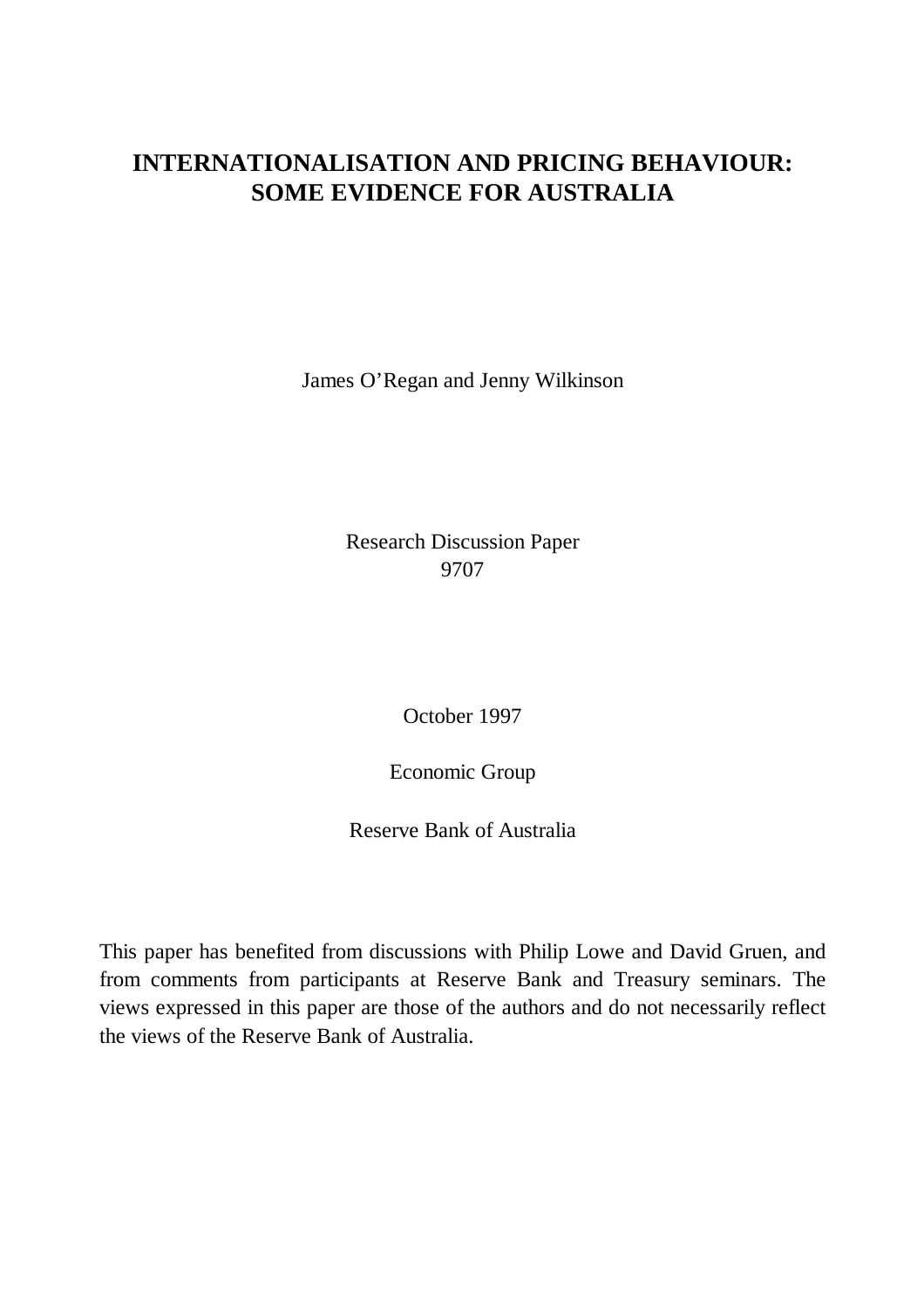# **INTERNATIONALISATION AND PRICING BEHAVIOUR: SOME EVIDENCE FOR AUSTRALIA**

James O'Regan and Jenny Wilkinson

Research Discussion Paper 9707

October 1997

Economic Group

Reserve Bank of Australia

This paper has benefited from discussions with Philip Lowe and David Gruen, and from comments from participants at Reserve Bank and Treasury seminars. The views expressed in this paper are those of the authors and do not necessarily reflect the views of the Reserve Bank of Australia.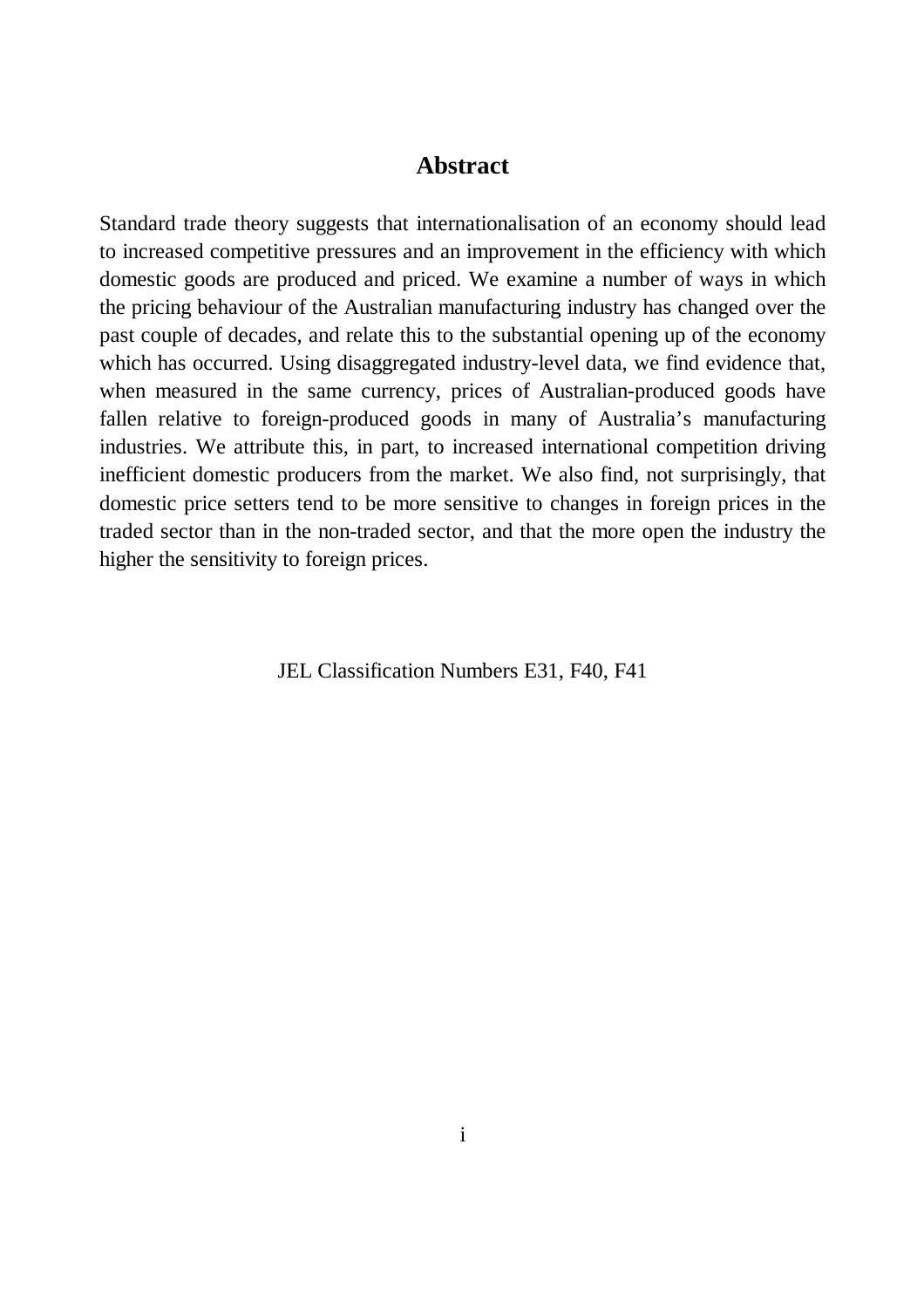### **Abstract**

Standard trade theory suggests that internationalisation of an economy should lead to increased competitive pressures and an improvement in the efficiency with which domestic goods are produced and priced. We examine a number of ways in which the pricing behaviour of the Australian manufacturing industry has changed over the past couple of decades, and relate this to the substantial opening up of the economy which has occurred. Using disaggregated industry-level data, we find evidence that, when measured in the same currency, prices of Australian-produced goods have fallen relative to foreign-produced goods in many of Australia's manufacturing industries. We attribute this, in part, to increased international competition driving inefficient domestic producers from the market. We also find, not surprisingly, that domestic price setters tend to be more sensitive to changes in foreign prices in the traded sector than in the non-traded sector, and that the more open the industry the higher the sensitivity to foreign prices.

JEL Classification Numbers E31, F40, F41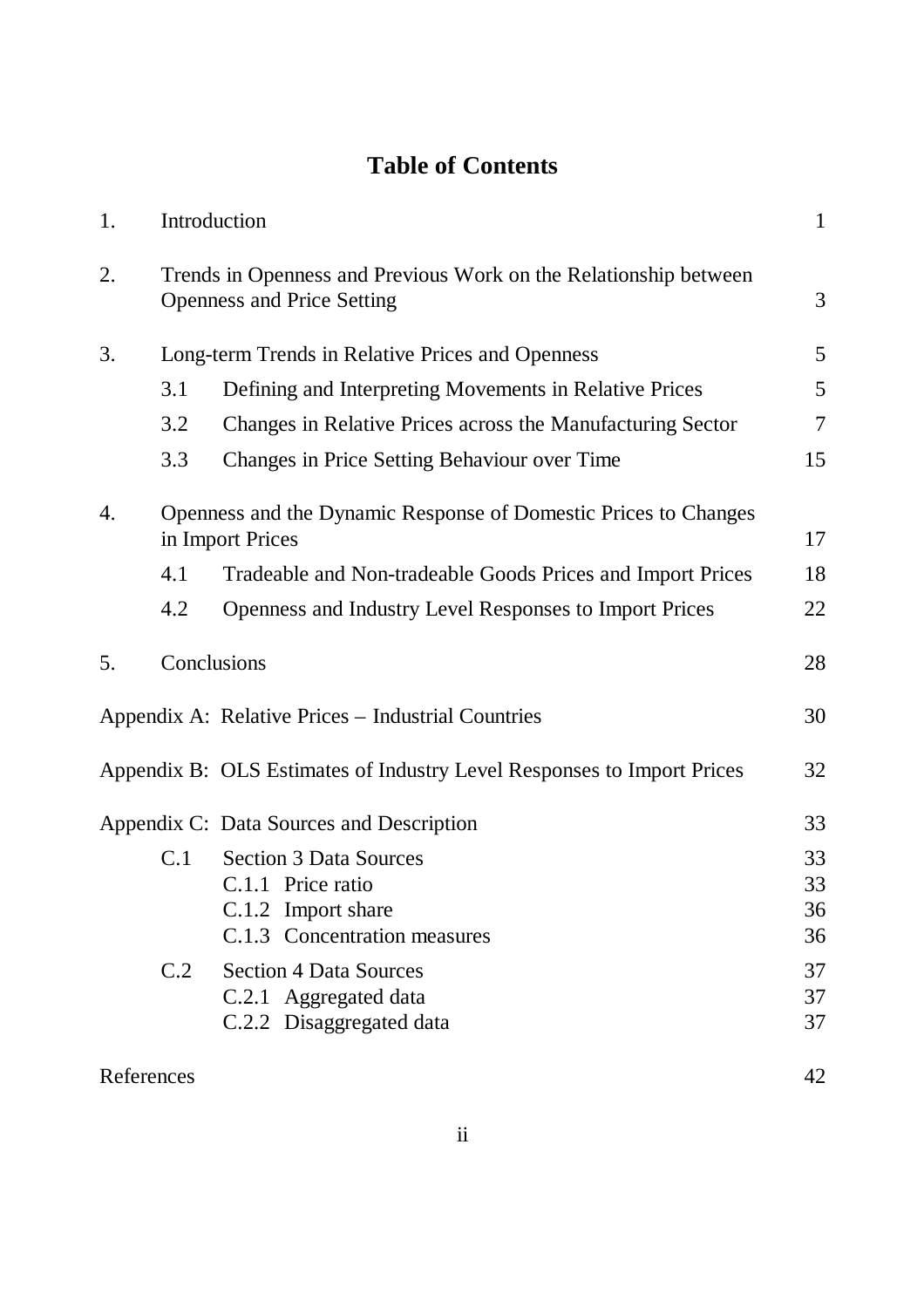# **Table of Contents**

| 1.         |     | Introduction                                                                                          | $\mathbf{1}$   |
|------------|-----|-------------------------------------------------------------------------------------------------------|----------------|
| 2.         |     | Trends in Openness and Previous Work on the Relationship between<br><b>Openness and Price Setting</b> | 3              |
| 3.         |     | Long-term Trends in Relative Prices and Openness                                                      | 5              |
|            | 3.1 | Defining and Interpreting Movements in Relative Prices                                                | 5              |
|            | 3.2 | Changes in Relative Prices across the Manufacturing Sector                                            | $\overline{7}$ |
|            | 3.3 | Changes in Price Setting Behaviour over Time                                                          | 15             |
| 4.         |     | Openness and the Dynamic Response of Domestic Prices to Changes<br>in Import Prices                   | 17             |
|            | 4.1 | Tradeable and Non-tradeable Goods Prices and Import Prices                                            | 18             |
|            | 4.2 | Openness and Industry Level Responses to Import Prices                                                | 22             |
| 5.         |     | Conclusions                                                                                           | 28             |
|            |     | Appendix A: Relative Prices - Industrial Countries                                                    | 30             |
|            |     | Appendix B: OLS Estimates of Industry Level Responses to Import Prices                                | 32             |
|            |     | Appendix C: Data Sources and Description                                                              | 33             |
|            | C.1 | <b>Section 3 Data Sources</b>                                                                         | 33             |
|            |     | C.1.1 Price ratio                                                                                     | 33             |
|            |     | C.1.2 Import share<br>C.1.3 Concentration measures                                                    | 36<br>36       |
|            |     |                                                                                                       |                |
|            | C.2 | <b>Section 4 Data Sources</b>                                                                         | 37             |
|            |     | C.2.1 Aggregated data<br>C.2.2 Disaggregated data                                                     | 37<br>37       |
|            |     |                                                                                                       |                |
| References |     |                                                                                                       | 42             |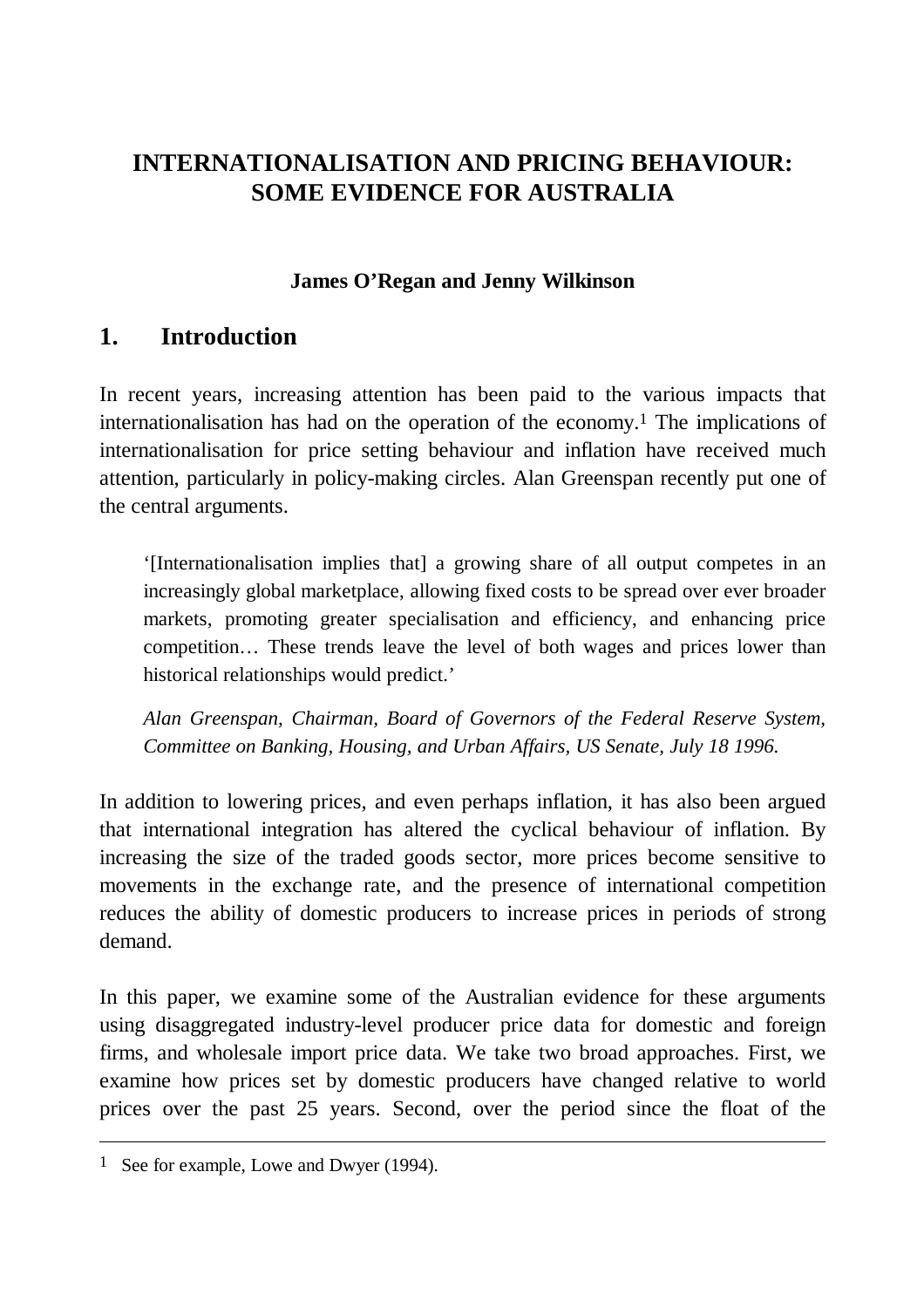# **INTERNATIONALISATION AND PRICING BEHAVIOUR: SOME EVIDENCE FOR AUSTRALIA**

### **James O'Regan and Jenny Wilkinson**

## **1. Introduction**

In recent years, increasing attention has been paid to the various impacts that internationalisation has had on the operation of the economy.1 The implications of internationalisation for price setting behaviour and inflation have received much attention, particularly in policy-making circles. Alan Greenspan recently put one of the central arguments.

'[Internationalisation implies that] a growing share of all output competes in an increasingly global marketplace, allowing fixed costs to be spread over ever broader markets, promoting greater specialisation and efficiency, and enhancing price competition… These trends leave the level of both wages and prices lower than historical relationships would predict.'

*Alan Greenspan, Chairman, Board of Governors of the Federal Reserve System, Committee on Banking, Housing, and Urban Affairs, US Senate, July 18 1996.*

In addition to lowering prices, and even perhaps inflation, it has also been argued that international integration has altered the cyclical behaviour of inflation. By increasing the size of the traded goods sector, more prices become sensitive to movements in the exchange rate, and the presence of international competition reduces the ability of domestic producers to increase prices in periods of strong demand.

In this paper, we examine some of the Australian evidence for these arguments using disaggregated industry-level producer price data for domestic and foreign firms, and wholesale import price data. We take two broad approaches. First, we examine how prices set by domestic producers have changed relative to world prices over the past 25 years. Second, over the period since the float of the

<sup>1</sup> See for example, Lowe and Dwyer (1994).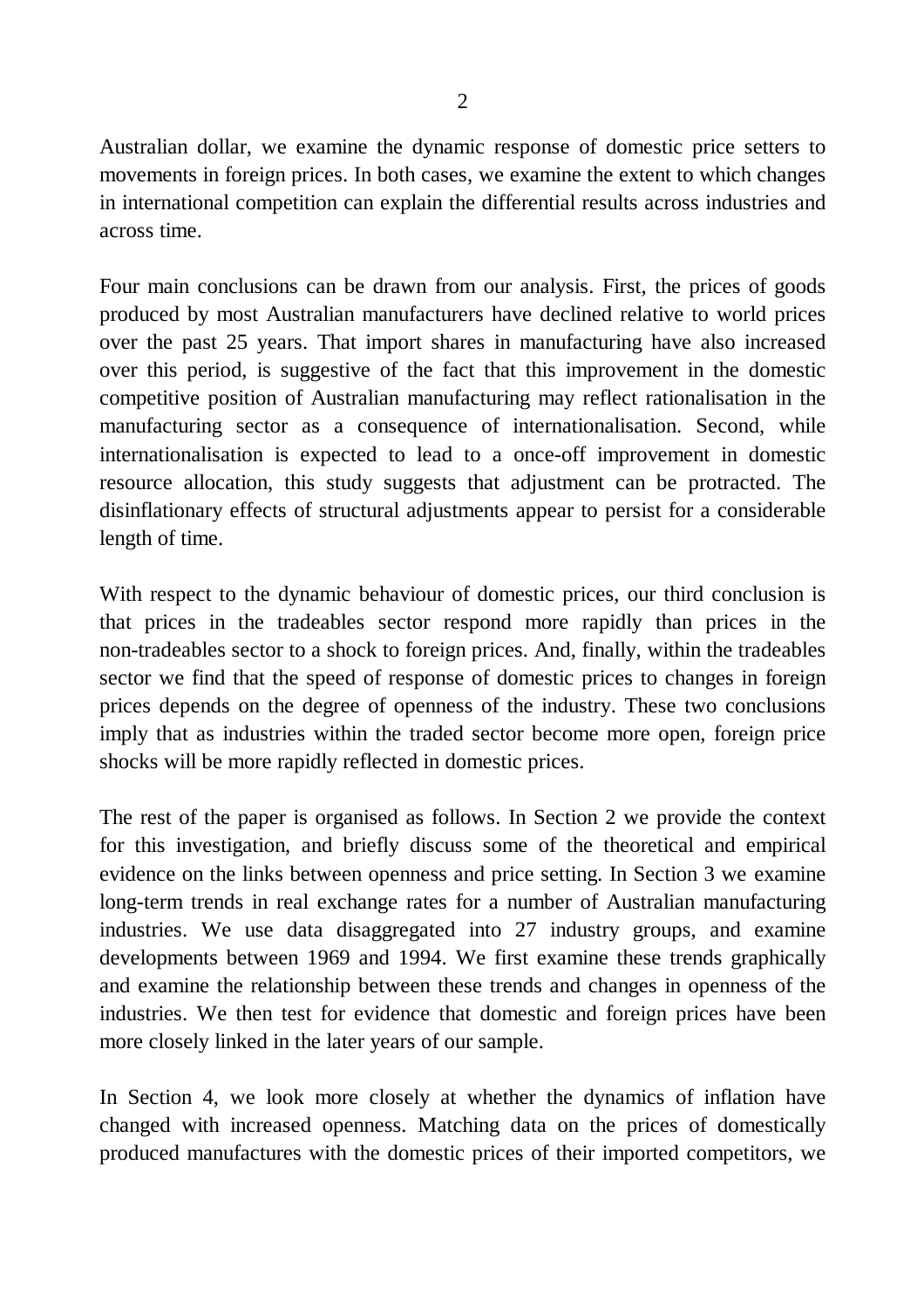Australian dollar, we examine the dynamic response of domestic price setters to movements in foreign prices. In both cases, we examine the extent to which changes in international competition can explain the differential results across industries and across time.

Four main conclusions can be drawn from our analysis. First, the prices of goods produced by most Australian manufacturers have declined relative to world prices over the past 25 years. That import shares in manufacturing have also increased over this period, is suggestive of the fact that this improvement in the domestic competitive position of Australian manufacturing may reflect rationalisation in the manufacturing sector as a consequence of internationalisation. Second, while internationalisation is expected to lead to a once-off improvement in domestic resource allocation, this study suggests that adjustment can be protracted. The disinflationary effects of structural adjustments appear to persist for a considerable length of time.

With respect to the dynamic behaviour of domestic prices, our third conclusion is that prices in the tradeables sector respond more rapidly than prices in the non-tradeables sector to a shock to foreign prices. And, finally, within the tradeables sector we find that the speed of response of domestic prices to changes in foreign prices depends on the degree of openness of the industry. These two conclusions imply that as industries within the traded sector become more open, foreign price shocks will be more rapidly reflected in domestic prices.

The rest of the paper is organised as follows. In Section 2 we provide the context for this investigation, and briefly discuss some of the theoretical and empirical evidence on the links between openness and price setting. In Section 3 we examine long-term trends in real exchange rates for a number of Australian manufacturing industries. We use data disaggregated into 27 industry groups, and examine developments between 1969 and 1994. We first examine these trends graphically and examine the relationship between these trends and changes in openness of the industries. We then test for evidence that domestic and foreign prices have been more closely linked in the later years of our sample.

In Section 4, we look more closely at whether the dynamics of inflation have changed with increased openness. Matching data on the prices of domestically produced manufactures with the domestic prices of their imported competitors, we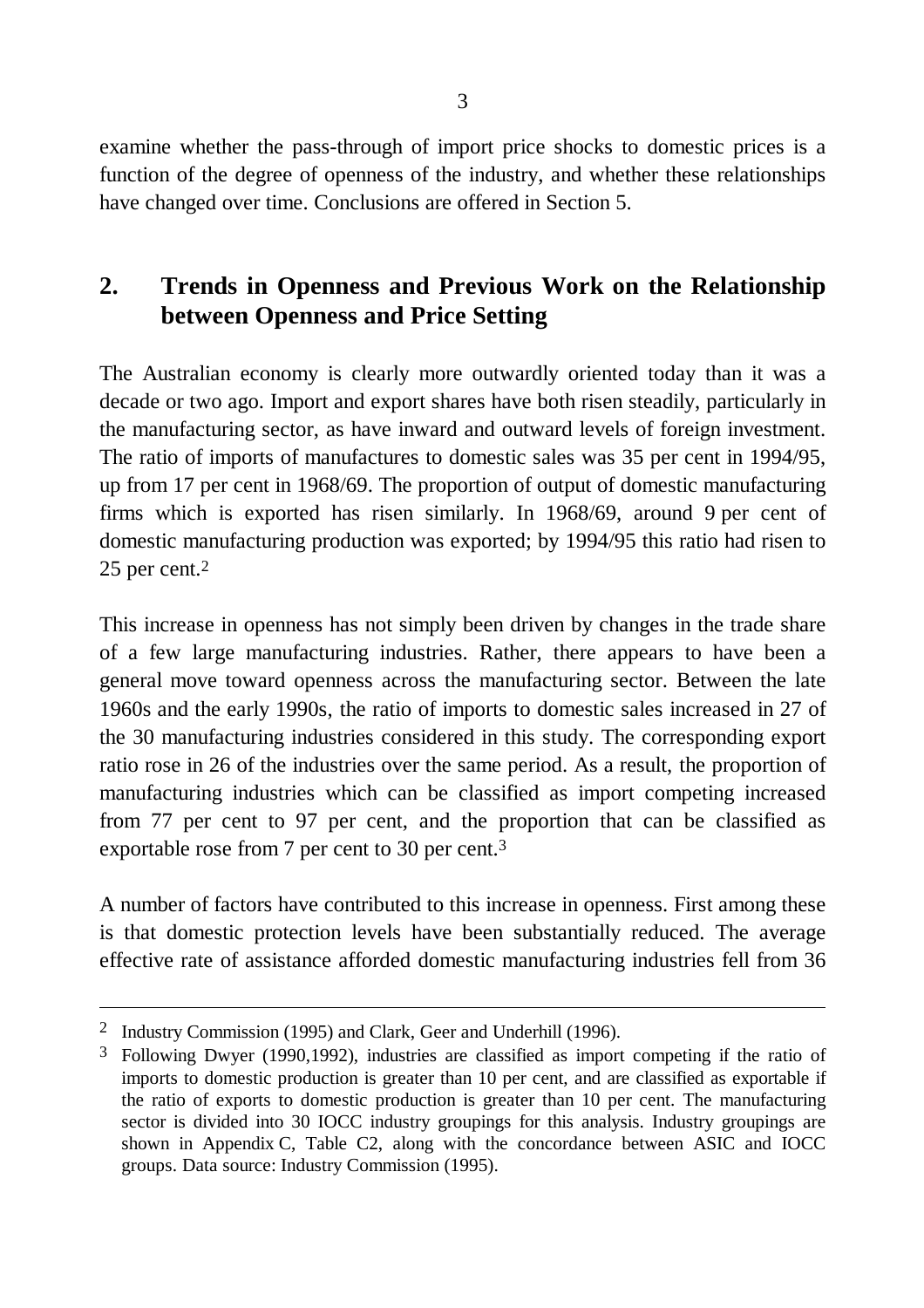examine whether the pass-through of import price shocks to domestic prices is a function of the degree of openness of the industry, and whether these relationships have changed over time. Conclusions are offered in Section 5.

# **2. Trends in Openness and Previous Work on the Relationship between Openness and Price Setting**

The Australian economy is clearly more outwardly oriented today than it was a decade or two ago. Import and export shares have both risen steadily, particularly in the manufacturing sector, as have inward and outward levels of foreign investment. The ratio of imports of manufactures to domestic sales was 35 per cent in 1994/95, up from 17 per cent in 1968/69. The proportion of output of domestic manufacturing firms which is exported has risen similarly. In 1968/69, around 9 per cent of domestic manufacturing production was exported; by 1994/95 this ratio had risen to 25 per cent.2

This increase in openness has not simply been driven by changes in the trade share of a few large manufacturing industries. Rather, there appears to have been a general move toward openness across the manufacturing sector. Between the late 1960s and the early 1990s, the ratio of imports to domestic sales increased in 27 of the 30 manufacturing industries considered in this study. The corresponding export ratio rose in 26 of the industries over the same period. As a result, the proportion of manufacturing industries which can be classified as import competing increased from 77 per cent to 97 per cent, and the proportion that can be classified as exportable rose from 7 per cent to 30 per cent.3

A number of factors have contributed to this increase in openness. First among these is that domestic protection levels have been substantially reduced. The average effective rate of assistance afforded domestic manufacturing industries fell from 36

<sup>2</sup> Industry Commission (1995) and Clark, Geer and Underhill (1996).

<sup>3</sup> Following Dwyer (1990,1992), industries are classified as import competing if the ratio of imports to domestic production is greater than 10 per cent, and are classified as exportable if the ratio of exports to domestic production is greater than 10 per cent. The manufacturing sector is divided into 30 IOCC industry groupings for this analysis. Industry groupings are shown in Appendix C, Table C2, along with the concordance between ASIC and IOCC groups. Data source: Industry Commission (1995).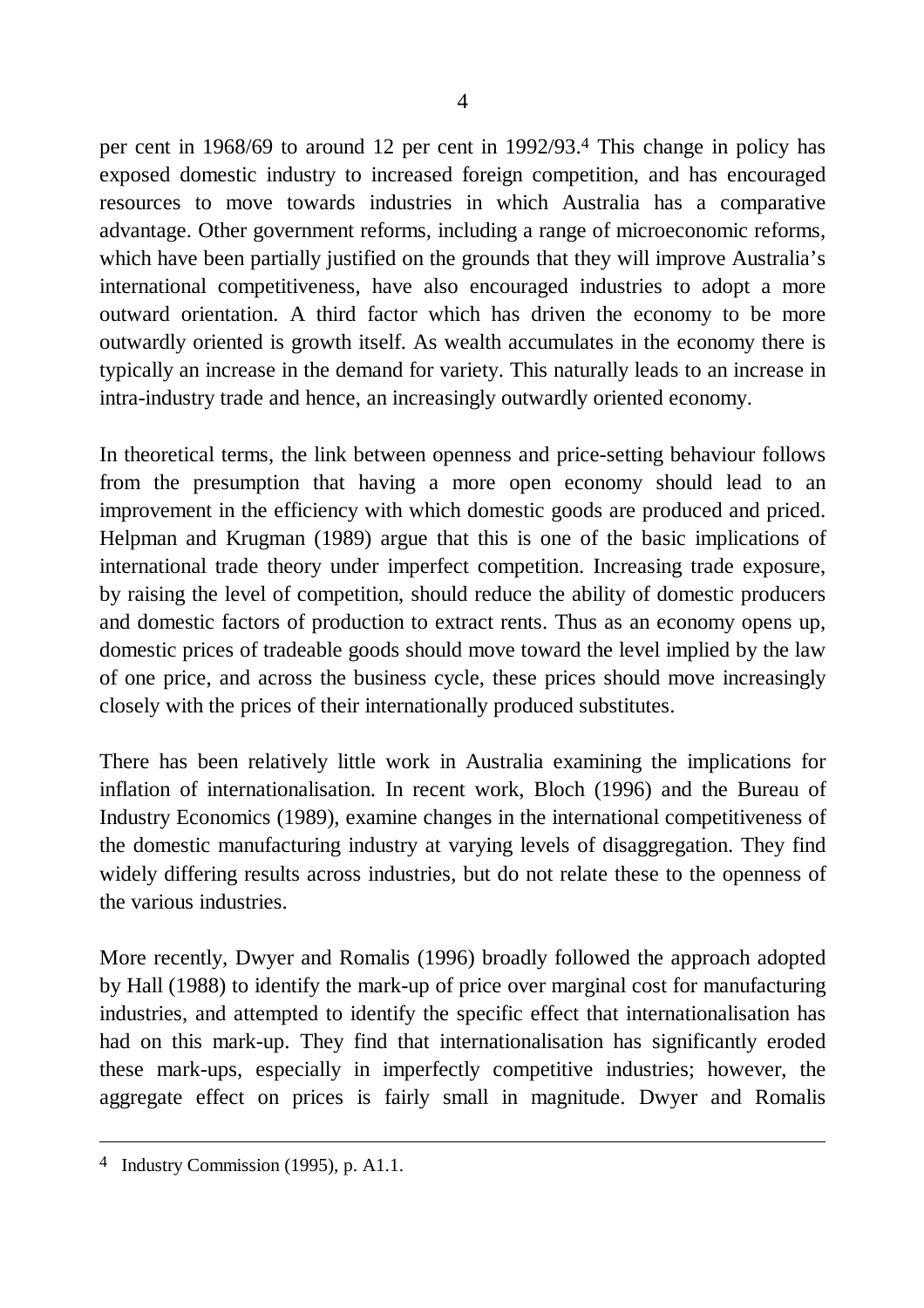per cent in 1968/69 to around 12 per cent in 1992/93.4 This change in policy has exposed domestic industry to increased foreign competition, and has encouraged resources to move towards industries in which Australia has a comparative advantage. Other government reforms, including a range of microeconomic reforms, which have been partially justified on the grounds that they will improve Australia's international competitiveness, have also encouraged industries to adopt a more outward orientation. A third factor which has driven the economy to be more outwardly oriented is growth itself. As wealth accumulates in the economy there is typically an increase in the demand for variety. This naturally leads to an increase in intra-industry trade and hence, an increasingly outwardly oriented economy.

In theoretical terms, the link between openness and price-setting behaviour follows from the presumption that having a more open economy should lead to an improvement in the efficiency with which domestic goods are produced and priced. Helpman and Krugman (1989) argue that this is one of the basic implications of international trade theory under imperfect competition. Increasing trade exposure, by raising the level of competition, should reduce the ability of domestic producers and domestic factors of production to extract rents. Thus as an economy opens up, domestic prices of tradeable goods should move toward the level implied by the law of one price, and across the business cycle, these prices should move increasingly closely with the prices of their internationally produced substitutes.

There has been relatively little work in Australia examining the implications for inflation of internationalisation. In recent work, Bloch (1996) and the Bureau of Industry Economics (1989), examine changes in the international competitiveness of the domestic manufacturing industry at varying levels of disaggregation. They find widely differing results across industries, but do not relate these to the openness of the various industries.

More recently, Dwyer and Romalis (1996) broadly followed the approach adopted by Hall (1988) to identify the mark-up of price over marginal cost for manufacturing industries, and attempted to identify the specific effect that internationalisation has had on this mark-up. They find that internationalisation has significantly eroded these mark-ups, especially in imperfectly competitive industries; however, the aggregate effect on prices is fairly small in magnitude. Dwyer and Romalis

<sup>4</sup> Industry Commission (1995), p. A1.1.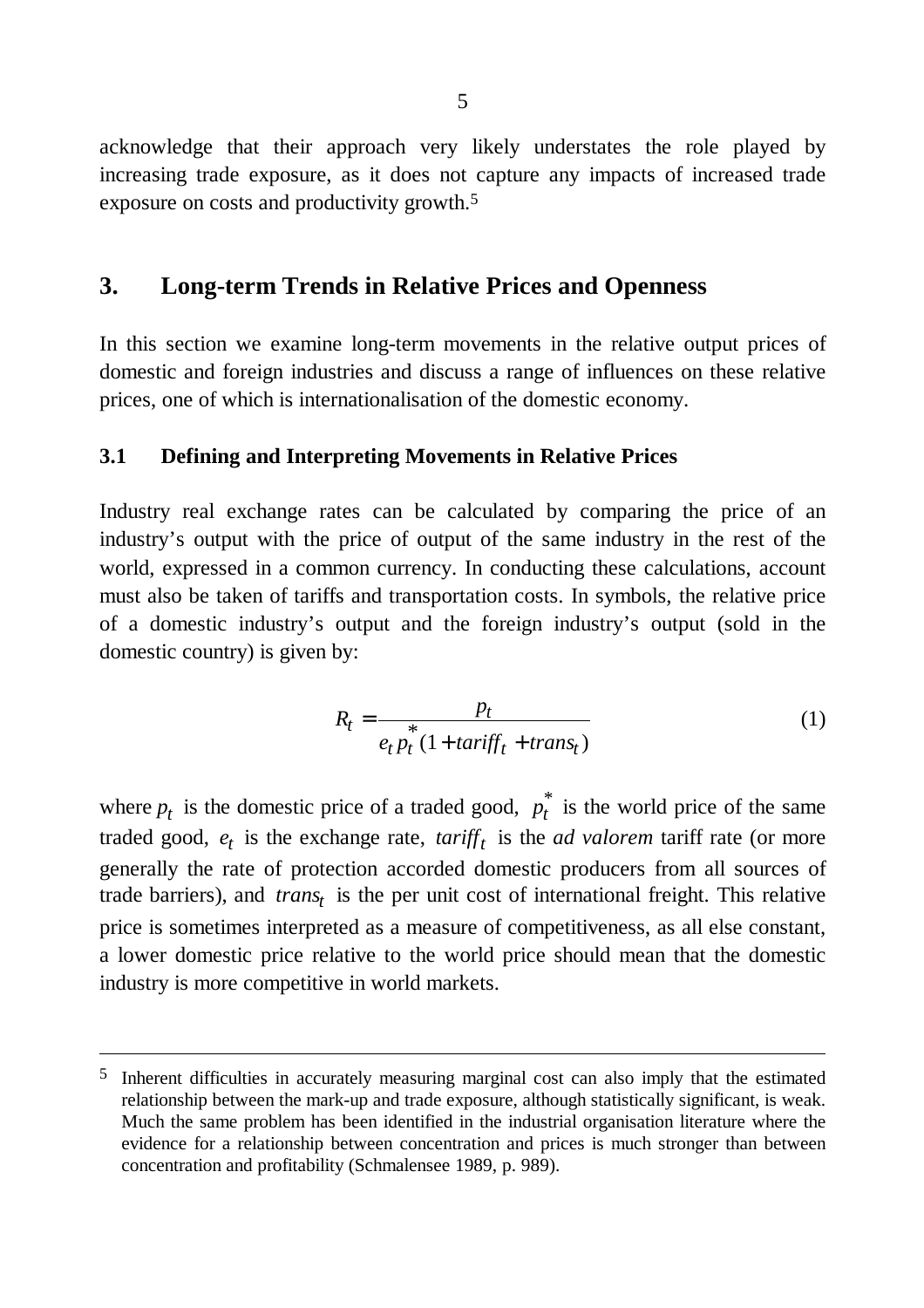acknowledge that their approach very likely understates the role played by increasing trade exposure, as it does not capture any impacts of increased trade exposure on costs and productivity growth.5

### **3. Long-term Trends in Relative Prices and Openness**

In this section we examine long-term movements in the relative output prices of domestic and foreign industries and discuss a range of influences on these relative prices, one of which is internationalisation of the domestic economy.

#### **3.1 Defining and Interpreting Movements in Relative Prices**

Industry real exchange rates can be calculated by comparing the price of an industry's output with the price of output of the same industry in the rest of the world, expressed in a common currency. In conducting these calculations, account must also be taken of tariffs and transportation costs. In symbols, the relative price of a domestic industry's output and the foreign industry's output (sold in the domestic country) is given by:

$$
R_t = \frac{p_t}{e_t p_t^*(1 + \tan if f_t + \tan s_t)}
$$
(1)

where  $p_t$  is the domestic price of a traded good,  $p_t^*$  is the world price of the same traded good,  $e_t$  is the exchange rate,  $tariff_t$  is the *ad valorem* tariff rate (or more generally the rate of protection accorded domestic producers from all sources of trade barriers), and *trans<sup>t</sup>* is the per unit cost of international freight. This relative price is sometimes interpreted as a measure of competitiveness, as all else constant, a lower domestic price relative to the world price should mean that the domestic industry is more competitive in world markets.

<sup>5</sup> Inherent difficulties in accurately measuring marginal cost can also imply that the estimated relationship between the mark-up and trade exposure, although statistically significant, is weak. Much the same problem has been identified in the industrial organisation literature where the evidence for a relationship between concentration and prices is much stronger than between concentration and profitability (Schmalensee 1989, p. 989).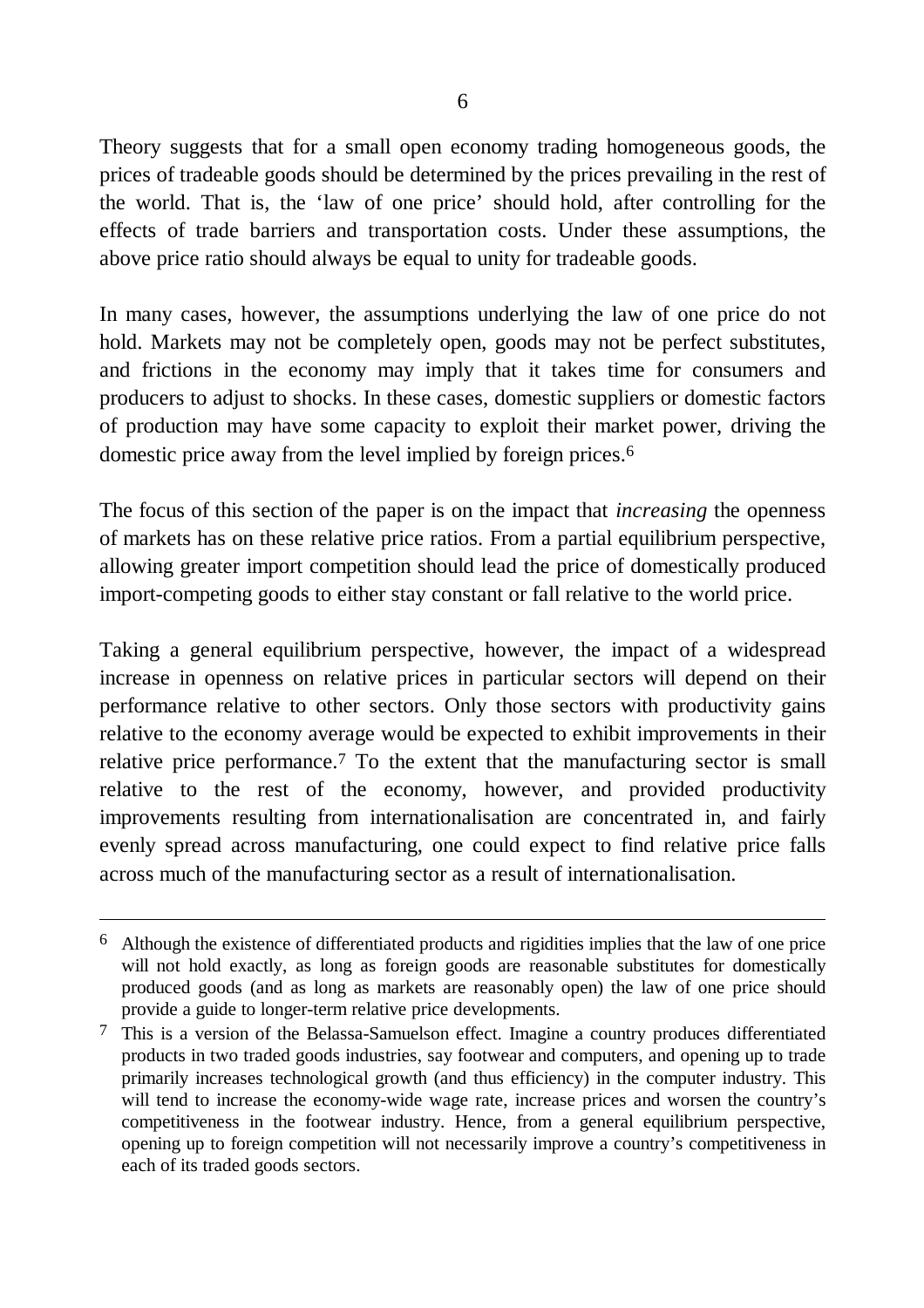Theory suggests that for a small open economy trading homogeneous goods, the prices of tradeable goods should be determined by the prices prevailing in the rest of the world. That is, the 'law of one price' should hold, after controlling for the effects of trade barriers and transportation costs. Under these assumptions, the above price ratio should always be equal to unity for tradeable goods.

In many cases, however, the assumptions underlying the law of one price do not hold. Markets may not be completely open, goods may not be perfect substitutes, and frictions in the economy may imply that it takes time for consumers and producers to adjust to shocks. In these cases, domestic suppliers or domestic factors of production may have some capacity to exploit their market power, driving the domestic price away from the level implied by foreign prices. 6

The focus of this section of the paper is on the impact that *increasing* the openness of markets has on these relative price ratios. From a partial equilibrium perspective, allowing greater import competition should lead the price of domestically produced import-competing goods to either stay constant or fall relative to the world price.

Taking a general equilibrium perspective, however, the impact of a widespread increase in openness on relative prices in particular sectors will depend on their performance relative to other sectors. Only those sectors with productivity gains relative to the economy average would be expected to exhibit improvements in their relative price performance.<sup>7</sup> To the extent that the manufacturing sector is small relative to the rest of the economy, however, and provided productivity improvements resulting from internationalisation are concentrated in, and fairly evenly spread across manufacturing, one could expect to find relative price falls across much of the manufacturing sector as a result of internationalisation.

 $\overline{a}$ 

 $6$  Although the existence of differentiated products and rigidities implies that the law of one price will not hold exactly, as long as foreign goods are reasonable substitutes for domestically produced goods (and as long as markets are reasonably open) the law of one price should provide a guide to longer-term relative price developments.

 $7$  This is a version of the Belassa-Samuelson effect. Imagine a country produces differentiated products in two traded goods industries, say footwear and computers, and opening up to trade primarily increases technological growth (and thus efficiency) in the computer industry. This will tend to increase the economy-wide wage rate, increase prices and worsen the country's competitiveness in the footwear industry. Hence, from a general equilibrium perspective, opening up to foreign competition will not necessarily improve a country's competitiveness in each of its traded goods sectors.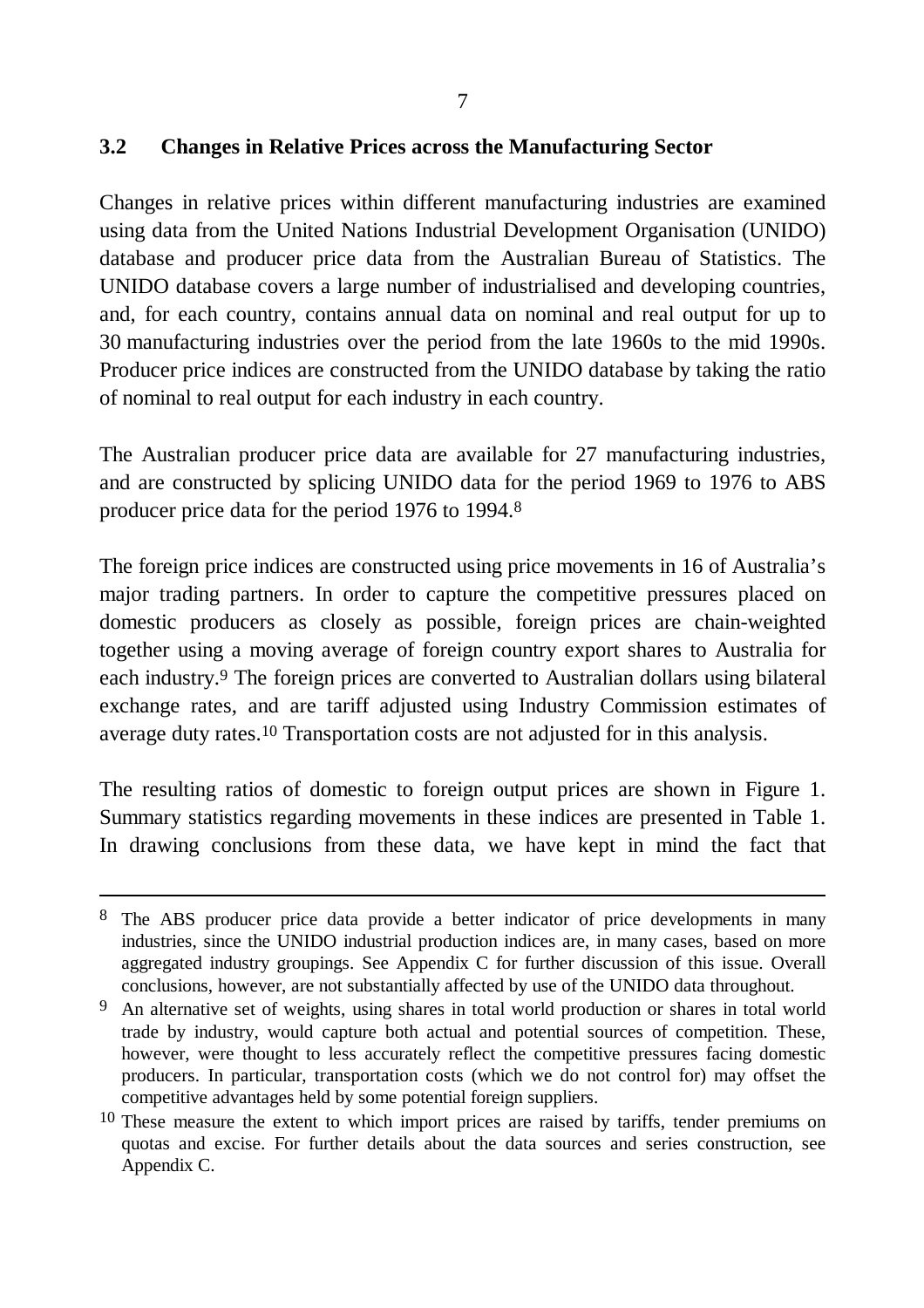### **3.2 Changes in Relative Prices across the Manufacturing Sector**

Changes in relative prices within different manufacturing industries are examined using data from the United Nations Industrial Development Organisation (UNIDO) database and producer price data from the Australian Bureau of Statistics. The UNIDO database covers a large number of industrialised and developing countries, and, for each country, contains annual data on nominal and real output for up to 30 manufacturing industries over the period from the late 1960s to the mid 1990s. Producer price indices are constructed from the UNIDO database by taking the ratio of nominal to real output for each industry in each country.

The Australian producer price data are available for 27 manufacturing industries, and are constructed by splicing UNIDO data for the period 1969 to 1976 to ABS producer price data for the period 1976 to 1994. 8

The foreign price indices are constructed using price movements in 16 of Australia's major trading partners. In order to capture the competitive pressures placed on domestic producers as closely as possible, foreign prices are chain-weighted together using a moving average of foreign country export shares to Australia for each industry.9 The foreign prices are converted to Australian dollars using bilateral exchange rates, and are tariff adjusted using Industry Commission estimates of average duty rates.10 Transportation costs are not adjusted for in this analysis.

The resulting ratios of domestic to foreign output prices are shown in Figure 1. Summary statistics regarding movements in these indices are presented in Table 1. In drawing conclusions from these data, we have kept in mind the fact that

<sup>8</sup> The ABS producer price data provide a better indicator of price developments in many industries, since the UNIDO industrial production indices are, in many cases, based on more aggregated industry groupings. See Appendix C for further discussion of this issue. Overall conclusions, however, are not substantially affected by use of the UNIDO data throughout.

<sup>9</sup> An alternative set of weights, using shares in total world production or shares in total world trade by industry, would capture both actual and potential sources of competition. These, however, were thought to less accurately reflect the competitive pressures facing domestic producers. In particular, transportation costs (which we do not control for) may offset the competitive advantages held by some potential foreign suppliers.

 $10$  These measure the extent to which import prices are raised by tariffs, tender premiums on quotas and excise. For further details about the data sources and series construction, see Appendix C.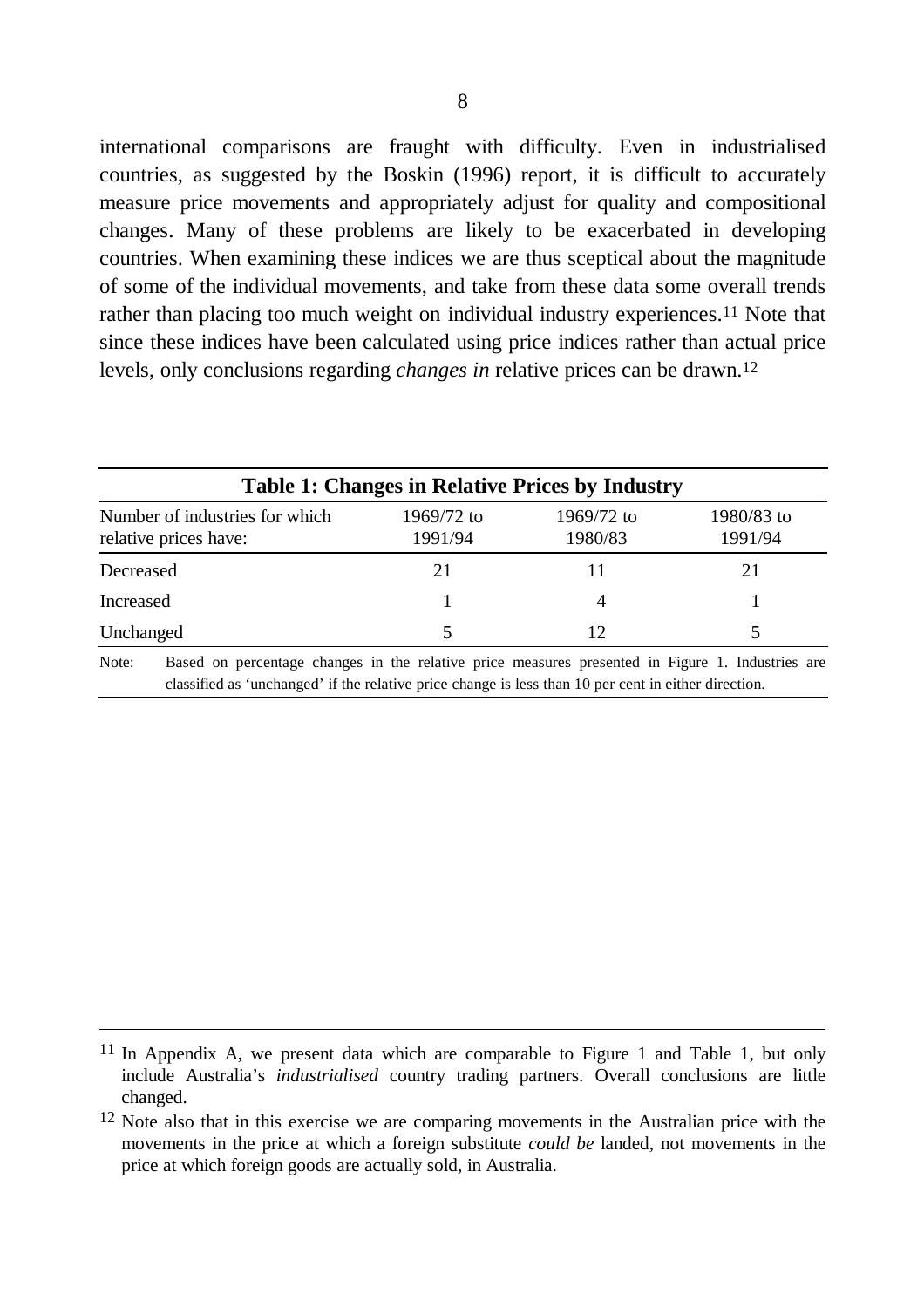international comparisons are fraught with difficulty. Even in industrialised countries, as suggested by the Boskin (1996) report, it is difficult to accurately measure price movements and appropriately adjust for quality and compositional changes. Many of these problems are likely to be exacerbated in developing countries. When examining these indices we are thus sceptical about the magnitude of some of the individual movements, and take from these data some overall trends rather than placing too much weight on individual industry experiences.<sup>11</sup> Note that since these indices have been calculated using price indices rather than actual price levels, only conclusions regarding *changes in* relative prices can be drawn.12

|                                                                                                                                                                                                                   | <b>Table 1: Changes in Relative Prices by Industry</b> |                       |                       |  |  |
|-------------------------------------------------------------------------------------------------------------------------------------------------------------------------------------------------------------------|--------------------------------------------------------|-----------------------|-----------------------|--|--|
| Number of industries for which<br>relative prices have:                                                                                                                                                           | 1969/72 to<br>1991/94                                  | 1969/72 to<br>1980/83 | 1980/83 to<br>1991/94 |  |  |
| Decreased                                                                                                                                                                                                         | 21                                                     |                       | 21                    |  |  |
| Increased                                                                                                                                                                                                         |                                                        | 4                     |                       |  |  |
| Unchanged                                                                                                                                                                                                         | 5.                                                     | 12                    |                       |  |  |
| Based on percentage changes in the relative price measures presented in Figure 1. Industries are<br>Note:<br>classified as 'unchanged' if the relative price change is less than 10 per cent in either direction. |                                                        |                       |                       |  |  |

<sup>11</sup> In Appendix A, we present data which are comparable to Figure 1 and Table 1, but only include Australia's *industrialised* country trading partners. Overall conclusions are little changed.

<sup>&</sup>lt;sup>12</sup> Note also that in this exercise we are comparing movements in the Australian price with the movements in the price at which a foreign substitute *could be* landed, not movements in the price at which foreign goods are actually sold, in Australia.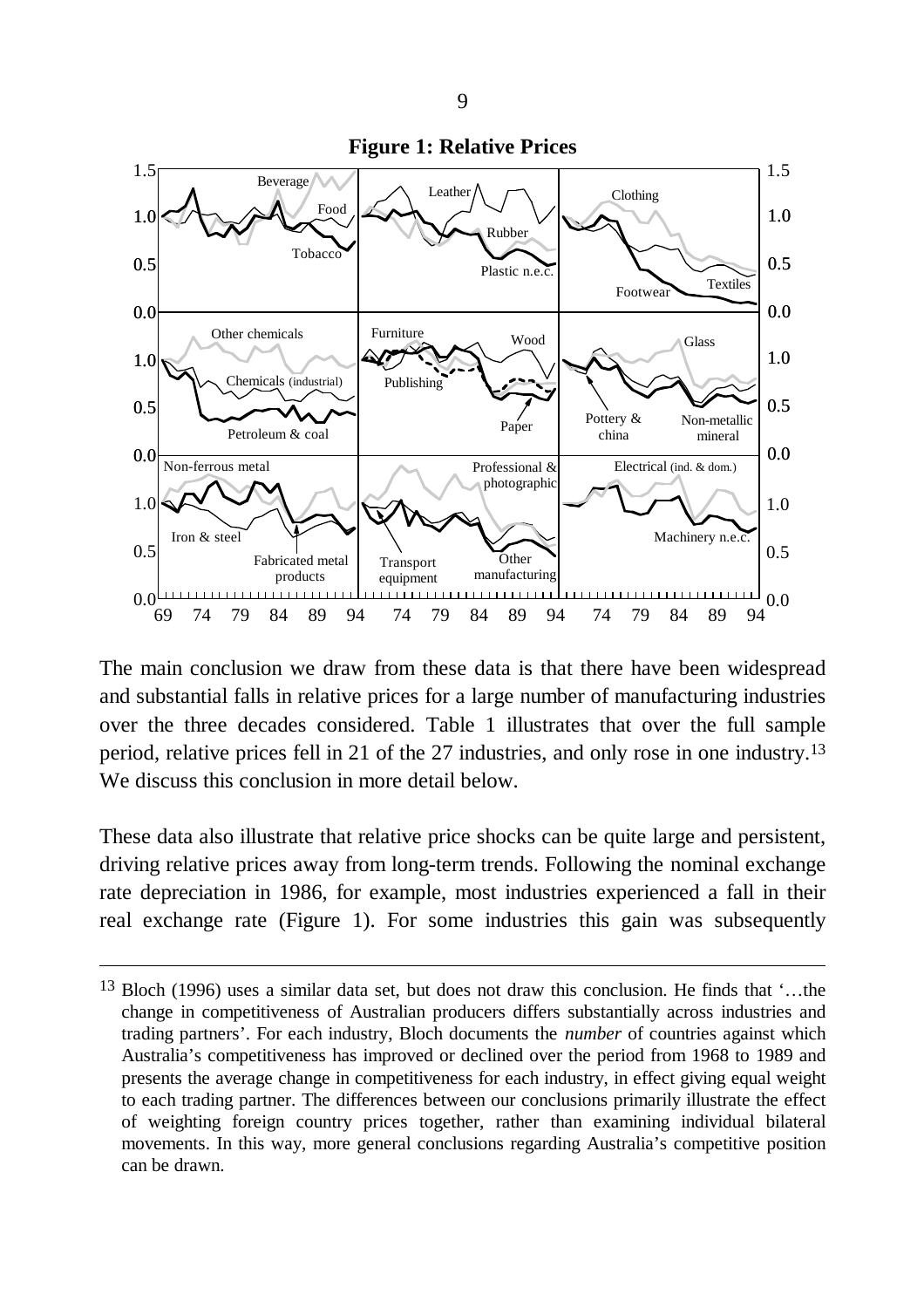

The main conclusion we draw from these data is that there have been widespread and substantial falls in relative prices for a large number of manufacturing industries over the three decades considered. Table 1 illustrates that over the full sample period, relative prices fell in 21 of the 27 industries, and only rose in one industry.13 We discuss this conclusion in more detail below.

These data also illustrate that relative price shocks can be quite large and persistent, driving relative prices away from long-term trends. Following the nominal exchange rate depreciation in 1986, for example, most industries experienced a fall in their real exchange rate (Figure 1). For some industries this gain was subsequently

<sup>13</sup> Bloch (1996) uses a similar data set, but does not draw this conclusion. He finds that '… the change in competitiveness of Australian producers differs substantially across industries and trading partners'. For each industry, Bloch documents the *number* of countries against which Australia's competitiveness has improved or declined over the period from 1968 to 1989 and presents the average change in competitiveness for each industry, in effect giving equal weight to each trading partner. The differences between our conclusions primarily illustrate the effect of weighting foreign country prices together, rather than examining individual bilateral movements. In this way, more general conclusions regarding Australia's competitive position can be drawn.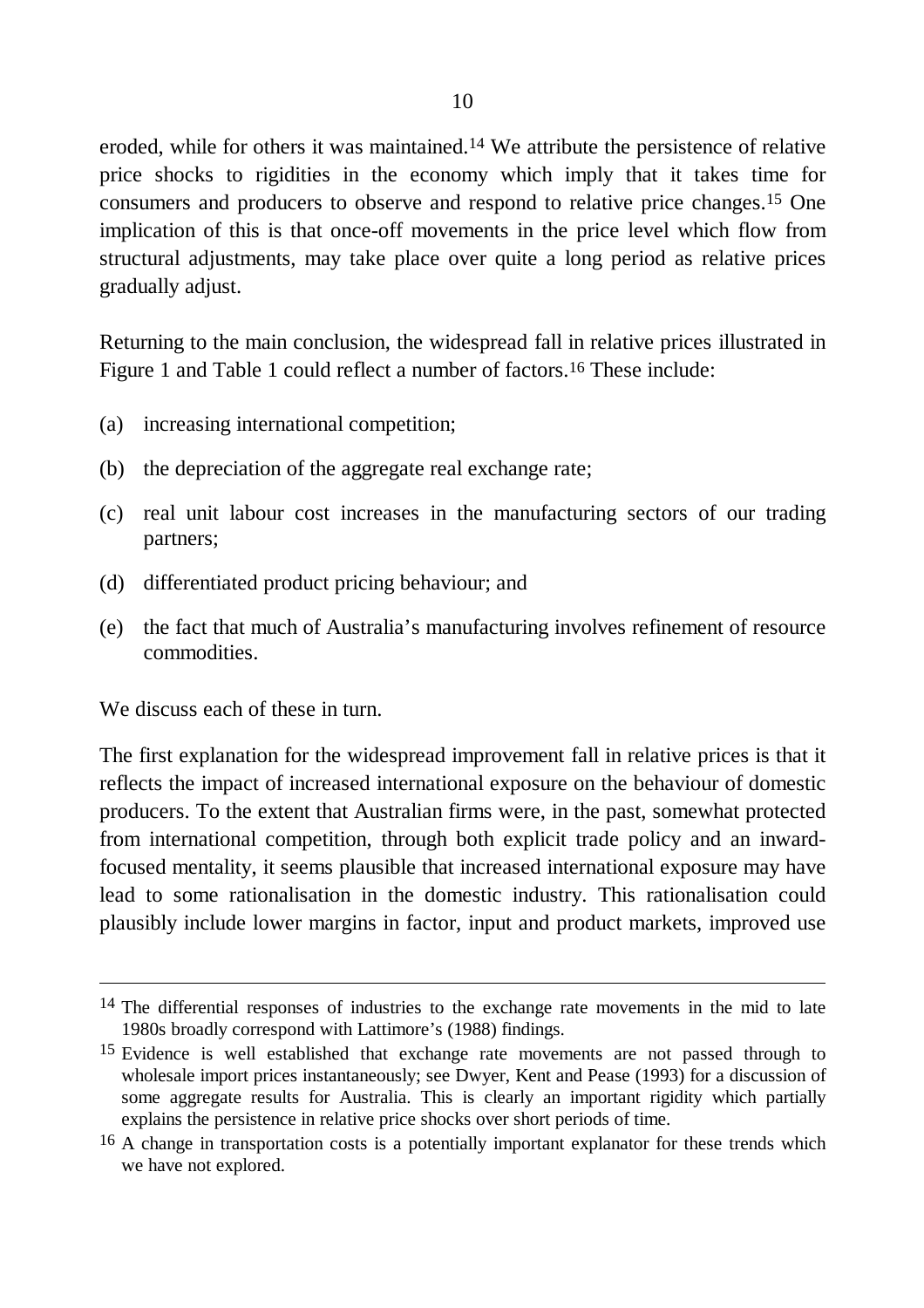eroded, while for others it was maintained.14 We attribute the persistence of relative price shocks to rigidities in the economy which imply that it takes time for consumers and producers to observe and respond to relative price changes.15 One implication of this is that once-off movements in the price level which flow from structural adjustments, may take place over quite a long period as relative prices gradually adjust.

Returning to the main conclusion, the widespread fall in relative prices illustrated in Figure 1 and Table 1 could reflect a number of factors.16 These include:

- (a) increasing international competition;
- (b) the depreciation of the aggregate real exchange rate;
- (c) real unit labour cost increases in the manufacturing sectors of our trading partners;
- (d) differentiated product pricing behaviour; and
- (e) the fact that much of Australia's manufacturing involves refinement of resource commodities.

We discuss each of these in turn.

-

The first explanation for the widespread improvement fall in relative prices is that it reflects the impact of increased international exposure on the behaviour of domestic producers. To the extent that Australian firms were, in the past, somewhat protected from international competition, through both explicit trade policy and an inwardfocused mentality, it seems plausible that increased international exposure may have lead to some rationalisation in the domestic industry. This rationalisation could plausibly include lower margins in factor, input and product markets, improved use

<sup>&</sup>lt;sup>14</sup> The differential responses of industries to the exchange rate movements in the mid to late 1980s broadly correspond with Lattimore's (1988) findings.

<sup>&</sup>lt;sup>15</sup> Evidence is well established that exchange rate movements are not passed through to wholesale import prices instantaneously; see Dwyer, Kent and Pease (1993) for a discussion of some aggregate results for Australia. This is clearly an important rigidity which partially explains the persistence in relative price shocks over short periods of time.

<sup>&</sup>lt;sup>16</sup> A change in transportation costs is a potentially important explanator for these trends which we have not explored.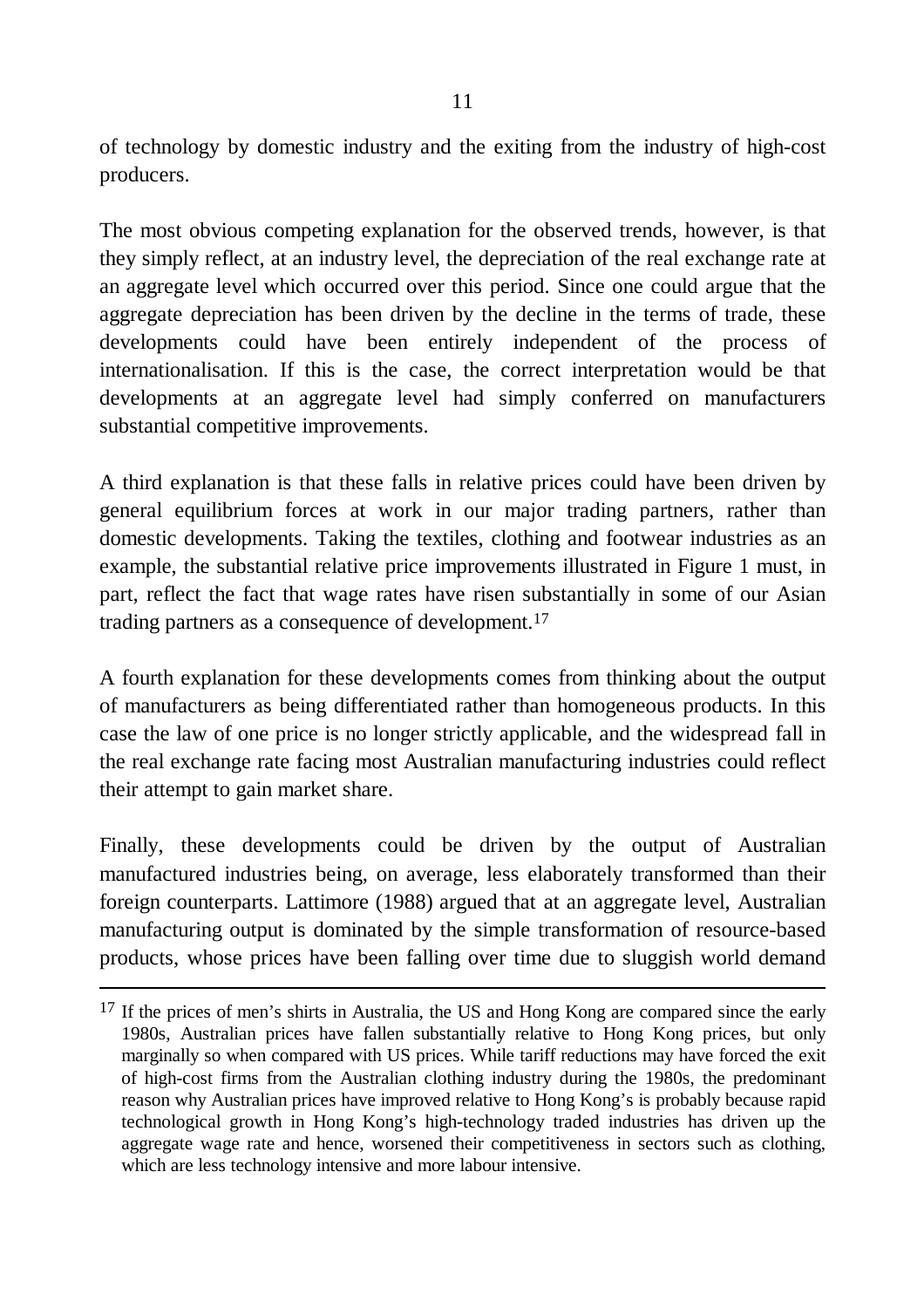of technology by domestic industry and the exiting from the industry of high-cost producers.

The most obvious competing explanation for the observed trends, however, is that they simply reflect, at an industry level, the depreciation of the real exchange rate at an aggregate level which occurred over this period. Since one could argue that the aggregate depreciation has been driven by the decline in the terms of trade, these developments could have been entirely independent of the process of internationalisation. If this is the case, the correct interpretation would be that developments at an aggregate level had simply conferred on manufacturers substantial competitive improvements.

A third explanation is that these falls in relative prices could have been driven by general equilibrium forces at work in our major trading partners, rather than domestic developments. Taking the textiles, clothing and footwear industries as an example, the substantial relative price improvements illustrated in Figure 1 must, in part, reflect the fact that wage rates have risen substantially in some of our Asian trading partners as a consequence of development.17

A fourth explanation for these developments comes from thinking about the output of manufacturers as being differentiated rather than homogeneous products. In this case the law of one price is no longer strictly applicable, and the widespread fall in the real exchange rate facing most Australian manufacturing industries could reflect their attempt to gain market share.

Finally, these developments could be driven by the output of Australian manufactured industries being, on average, less elaborately transformed than their foreign counterparts. Lattimore (1988) argued that at an aggregate level, Australian manufacturing output is dominated by the simple transformation of resource-based products, whose prices have been falling over time due to sluggish world demand

<sup>&</sup>lt;sup>17</sup> If the prices of men's shirts in Australia, the US and Hong Kong are compared since the early 1980s, Australian prices have fallen substantially relative to Hong Kong prices, but only marginally so when compared with US prices. While tariff reductions may have forced the exit of high-cost firms from the Australian clothing industry during the 1980s, the predominant reason why Australian prices have improved relative to Hong Kong's is probably because rapid technological growth in Hong Kong's high-technology traded industries has driven up the aggregate wage rate and hence, worsened their competitiveness in sectors such as clothing, which are less technology intensive and more labour intensive.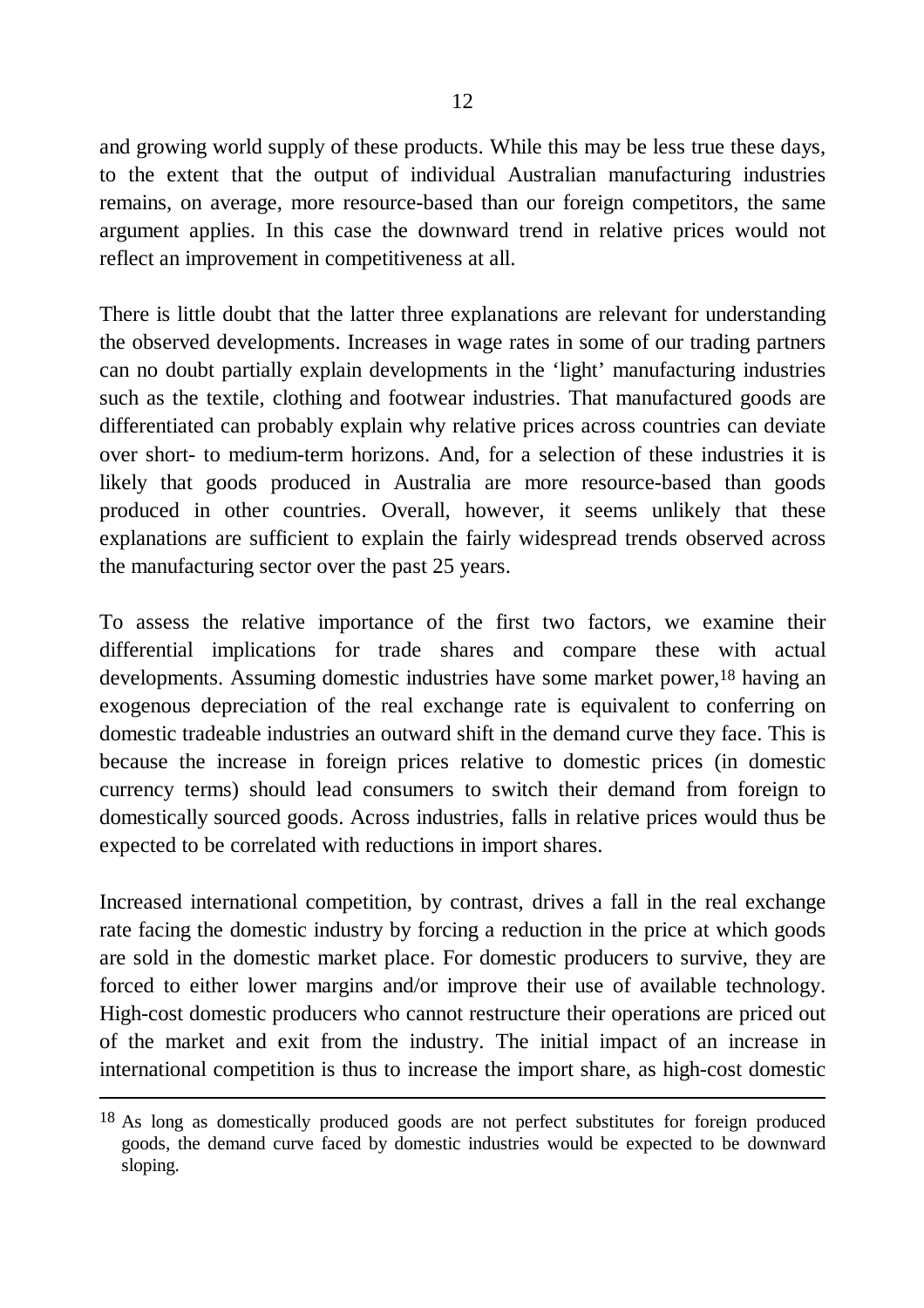and growing world supply of these products. While this may be less true these days, to the extent that the output of individual Australian manufacturing industries remains, on average, more resource-based than our foreign competitors, the same argument applies. In this case the downward trend in relative prices would not reflect an improvement in competitiveness at all.

There is little doubt that the latter three explanations are relevant for understanding the observed developments. Increases in wage rates in some of our trading partners can no doubt partially explain developments in the 'light' manufacturing industries such as the textile, clothing and footwear industries. That manufactured goods are differentiated can probably explain why relative prices across countries can deviate over short- to medium-term horizons. And, for a selection of these industries it is likely that goods produced in Australia are more resource-based than goods produced in other countries. Overall, however, it seems unlikely that these explanations are sufficient to explain the fairly widespread trends observed across the manufacturing sector over the past 25 years.

To assess the relative importance of the first two factors, we examine their differential implications for trade shares and compare these with actual developments. Assuming domestic industries have some market power,18 having an exogenous depreciation of the real exchange rate is equivalent to conferring on domestic tradeable industries an outward shift in the demand curve they face. This is because the increase in foreign prices relative to domestic prices (in domestic currency terms) should lead consumers to switch their demand from foreign to domestically sourced goods. Across industries, falls in relative prices would thus be expected to be correlated with reductions in import shares.

Increased international competition, by contrast, drives a fall in the real exchange rate facing the domestic industry by forcing a reduction in the price at which goods are sold in the domestic market place. For domestic producers to survive, they are forced to either lower margins and/or improve their use of available technology. High-cost domestic producers who cannot restructure their operations are priced out of the market and exit from the industry. The initial impact of an increase in international competition is thus to increase the import share, as high-cost domestic

<sup>18</sup> As long as domestically produced goods are not perfect substitutes for foreign produced goods, the demand curve faced by domestic industries would be expected to be downward sloping.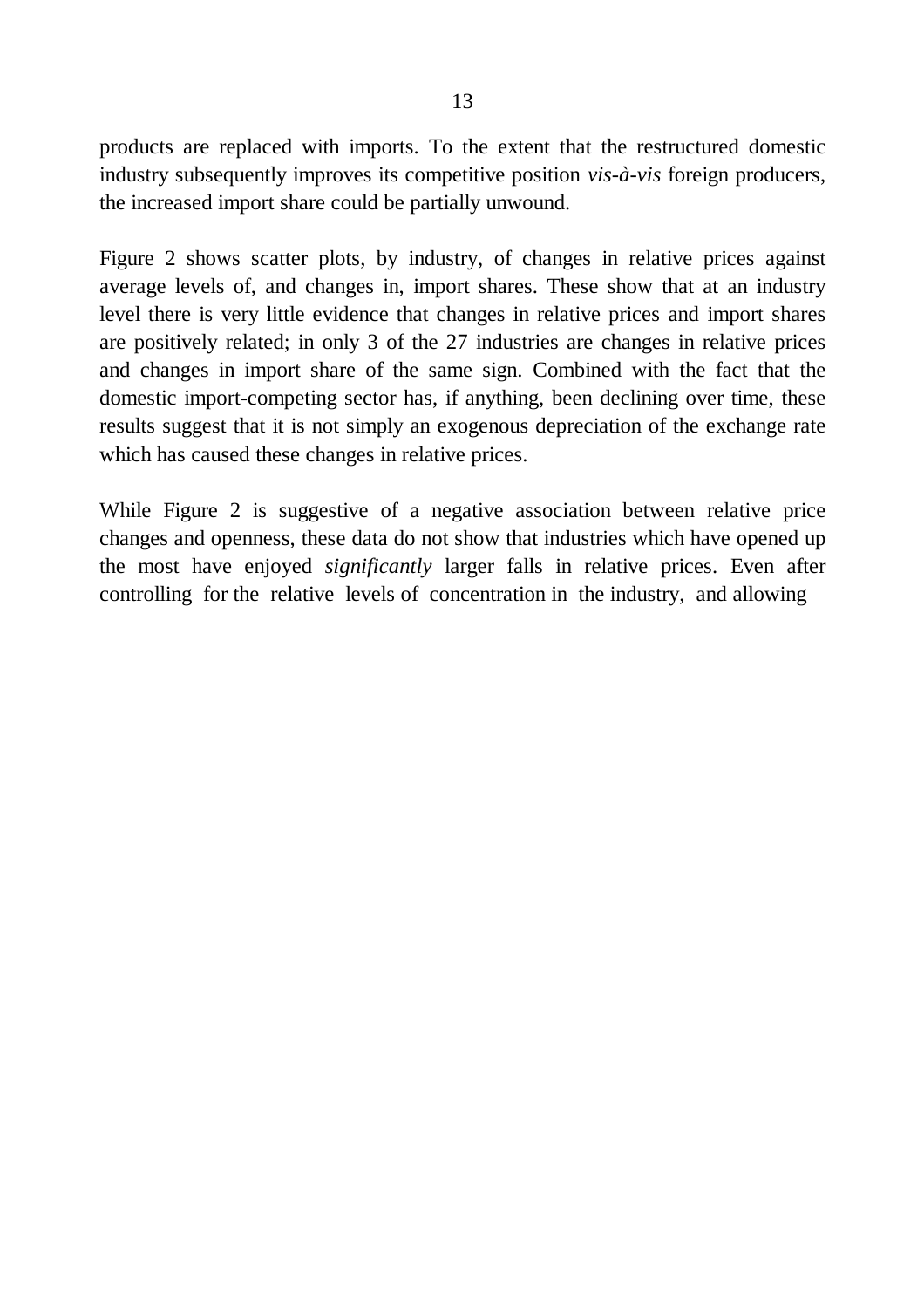products are replaced with imports. To the extent that the restructured domestic industry subsequently improves its competitive position *vis-à-vis* foreign producers, the increased import share could be partially unwound.

Figure 2 shows scatter plots, by industry, of changes in relative prices against average levels of, and changes in, import shares. These show that at an industry level there is very little evidence that changes in relative prices and import shares are positively related; in only 3 of the 27 industries are changes in relative prices and changes in import share of the same sign. Combined with the fact that the domestic import-competing sector has, if anything, been declining over time, these results suggest that it is not simply an exogenous depreciation of the exchange rate which has caused these changes in relative prices.

While Figure 2 is suggestive of a negative association between relative price changes and openness, these data do not show that industries which have opened up the most have enjoyed *significantly* larger falls in relative prices. Even after controlling for the relative levels of concentration in the industry, and allowing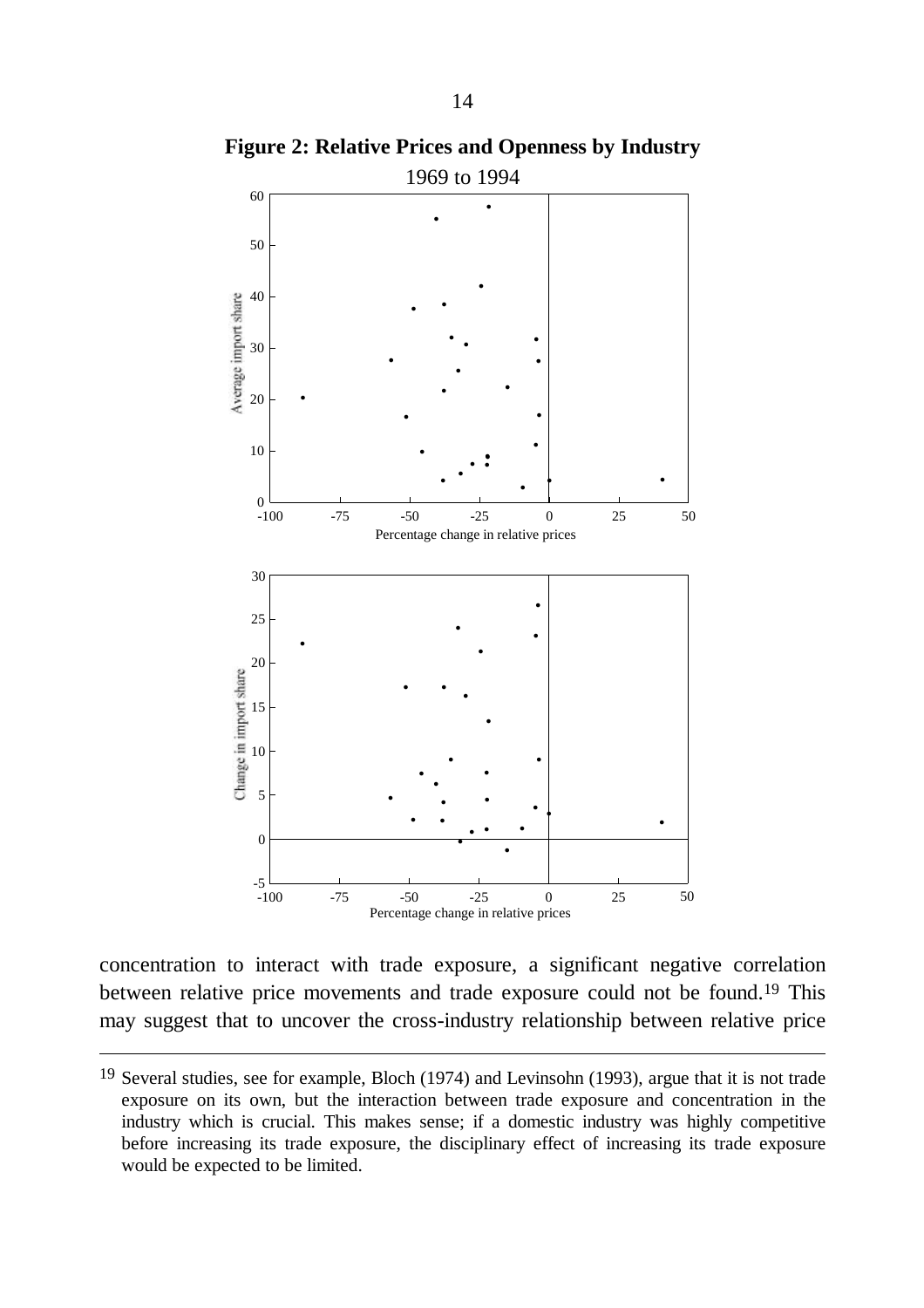

**Figure 2: Relative Prices and Openness by Industry**

concentration to interact with trade exposure, a significant negative correlation between relative price movements and trade exposure could not be found.19 This may suggest that to uncover the cross-industry relationship between relative price

<sup>19</sup> Several studies, see for example, Bloch (1974) and Levinsohn (1993), argue that it is not trade exposure on its own, but the interaction between trade exposure and concentration in the industry which is crucial. This makes sense; if a domestic industry was highly competitive before increasing its trade exposure, the disciplinary effect of increasing its trade exposure would be expected to be limited.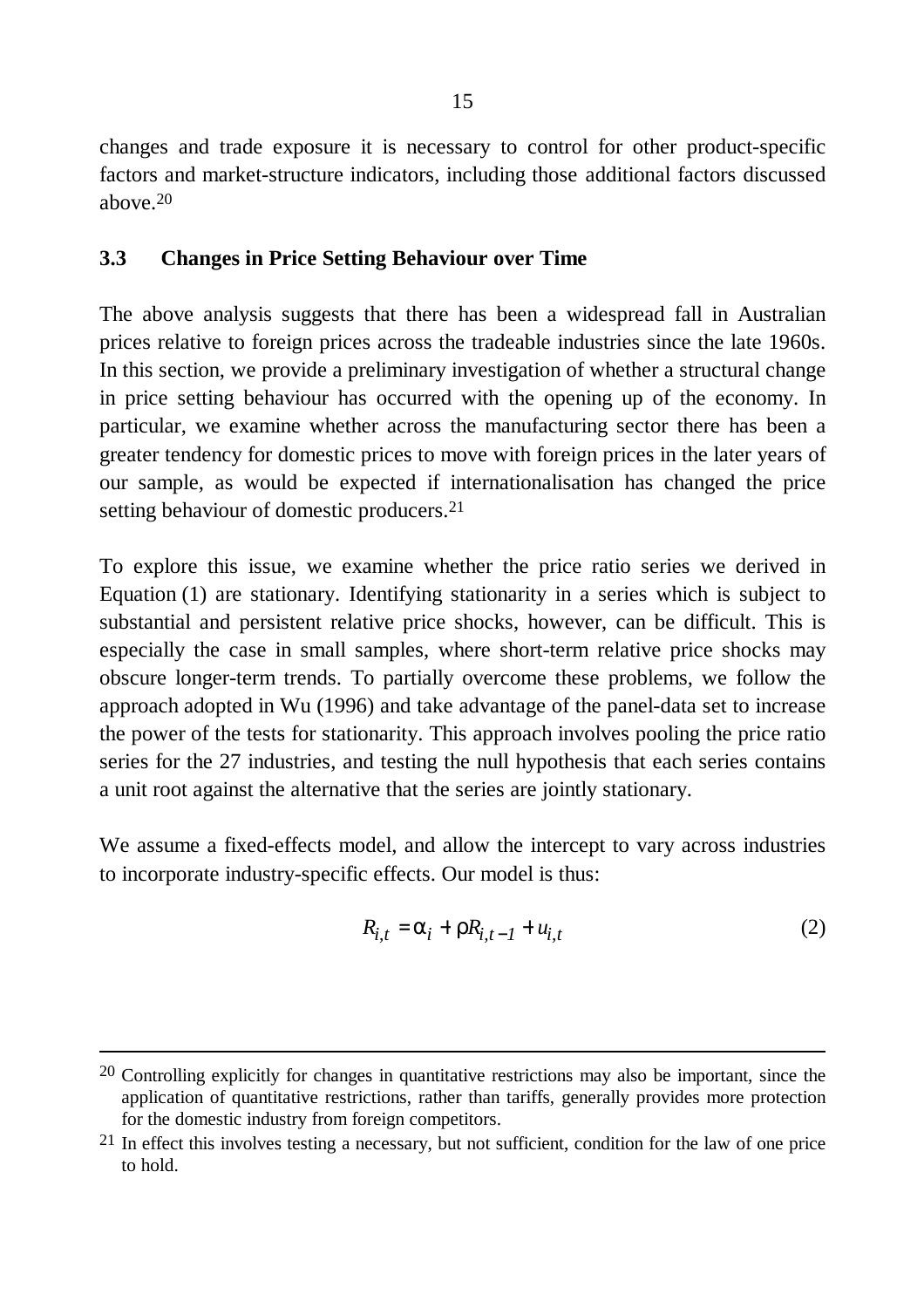changes and trade exposure it is necessary to control for other product-specific factors and market-structure indicators, including those additional factors discussed above. 20

### **3.3 Changes in Price Setting Behaviour over Time**

The above analysis suggests that there has been a widespread fall in Australian prices relative to foreign prices across the tradeable industries since the late 1960s. In this section, we provide a preliminary investigation of whether a structural change in price setting behaviour has occurred with the opening up of the economy. In particular, we examine whether across the manufacturing sector there has been a greater tendency for domestic prices to move with foreign prices in the later years of our sample, as would be expected if internationalisation has changed the price setting behaviour of domestic producers. 21

To explore this issue, we examine whether the price ratio series we derived in Equation (1) are stationary. Identifying stationarity in a series which is subject to substantial and persistent relative price shocks, however, can be difficult. This is especially the case in small samples, where short-term relative price shocks may obscure longer-term trends. To partially overcome these problems, we follow the approach adopted in Wu (1996) and take advantage of the panel-data set to increase the power of the tests for stationarity. This approach involves pooling the price ratio series for the 27 industries, and testing the null hypothesis that each series contains a unit root against the alternative that the series are jointly stationary.

We assume a fixed-effects model, and allow the intercept to vary across industries to incorporate industry-specific effects. Our model is thus:

$$
R_{i,t} = \mathbf{a}_i + \mathbf{r} R_{i,t-1} + u_{i,t} \tag{2}
$$

<sup>&</sup>lt;sup>20</sup> Controlling explicitly for changes in quantitative restrictions may also be important, since the application of quantitative restrictions, rather than tariffs, generally provides more protection for the domestic industry from foreign competitors.

<sup>21</sup> In effect this involves testing a necessary, but not sufficient, condition for the law of one price to hold.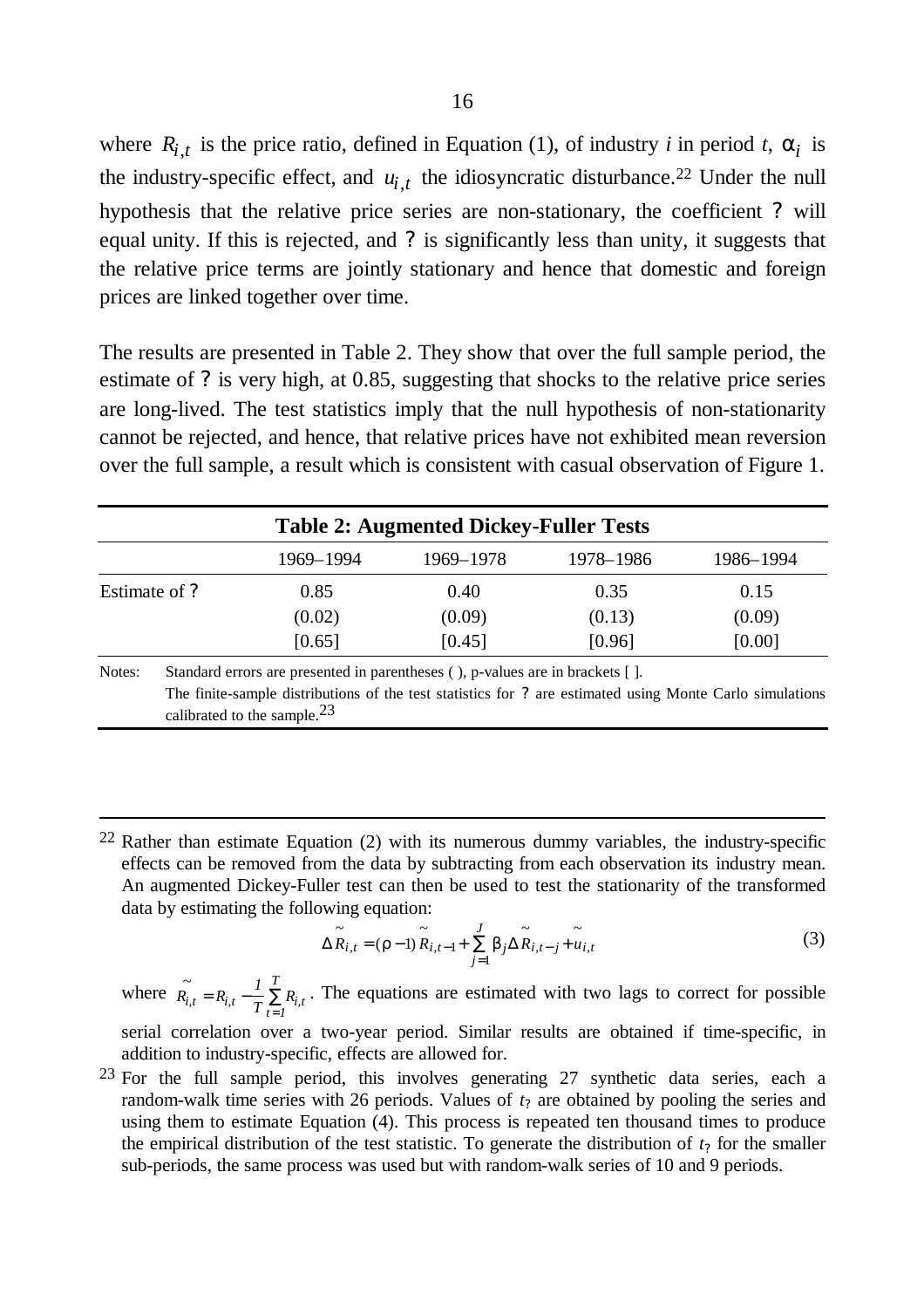where  $R_{i,t}$  is the price ratio, defined in Equation (1), of industry *i* in period *t*,  $a_i$  is the industry-specific effect, and  $u_{i,t}$  the idiosyncratic disturbance.<sup>22</sup> Under the null hypothesis that the relative price series are non-stationary, the coefficient *?* will equal unity. If this is rejected, and *?* is significantly less than unity, it suggests that the relative price terms are jointly stationary and hence that domestic and foreign prices are linked together over time.

The results are presented in Table 2. They show that over the full sample period, the estimate of *?* is very high, at 0.85, suggesting that shocks to the relative price series are long-lived. The test statistics imply that the null hypothesis of non-stationarity cannot be rejected, and hence, that relative prices have not exhibited mean reversion over the full sample, a result which is consistent with casual observation of Figure 1.

|                                                                                                                               | <b>Table 2: Augmented Dickey-Fuller Tests</b> |           |           |           |  |  |  |
|-------------------------------------------------------------------------------------------------------------------------------|-----------------------------------------------|-----------|-----------|-----------|--|--|--|
|                                                                                                                               | 1969–1994                                     | 1969-1978 | 1978–1986 | 1986-1994 |  |  |  |
| Estimate of ?                                                                                                                 | 0.85                                          | 0.40      | 0.35      | 0.15      |  |  |  |
|                                                                                                                               | (0.02)                                        | (0.09)    | (0.13)    | (0.09)    |  |  |  |
|                                                                                                                               | [0.65]                                        | [0.45]    | [0.96]    | [0.00]    |  |  |  |
| Notes:<br>Standard errors are presented in parentheses (), p-values are in brackets [].<br>march index caused contracted to a |                                               |           |           |           |  |  |  |

The finite-sample distributions of the test statistics for *?* are estimated using Monte Carlo simulations calibrated to the sample.23

22 Rather than estimate Equation (2) with its numerous dummy variables, the industry-specific effects can be removed from the data by subtracting from each observation its industry mean. An augmented Dickey-Fuller test can then be used to test the stationarity of the transformed data by estimating the following equation:

-

$$
\Delta \widetilde{R}_{i,t} = (\mathbf{r} - 1) \widetilde{R}_{i,t-1} + \sum_{j=1}^{J} \mathbf{b}_j \Delta \widetilde{R}_{i,t-j} + \widetilde{u}_{i,t}
$$
\n(3)

where  $\tilde{R_i}$  $R_{i,t} - \frac{I}{\pi}$  $P_{i,t} = R_{i,t} - \frac{1}{T} \sum_{t=1}^{T} R_{i,t}$ *T*  $= R_{i,t} -$ =  $\sum R_{i,t}$ . The equations are estimated with two lags to correct for possible

serial correlation over a two-year period. Similar results are obtained if time-specific, in addition to industry-specific, effects are allowed for.

23 For the full sample period, this involves generating 27 synthetic data series, each a random-walk time series with 26 periods. Values of *t?* are obtained by pooling the series and using them to estimate Equation (4). This process is repeated ten thousand times to produce the empirical distribution of the test statistic. To generate the distribution of  $t<sub>2</sub>$  for the smaller sub-periods, the same process was used but with random-walk series of 10 and 9 periods.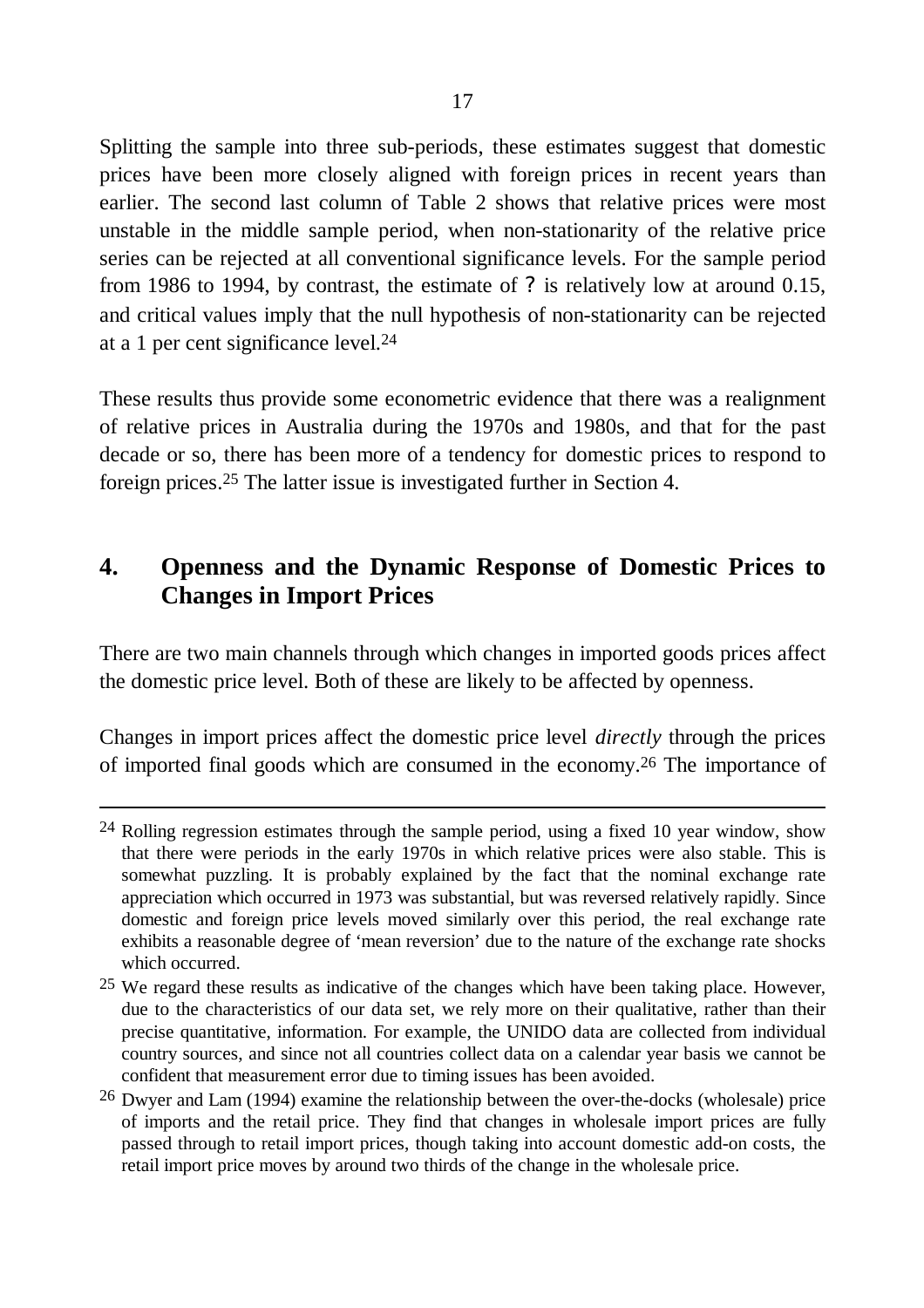Splitting the sample into three sub-periods, these estimates suggest that domestic prices have been more closely aligned with foreign prices in recent years than earlier. The second last column of Table 2 shows that relative prices were most unstable in the middle sample period, when non-stationarity of the relative price series can be rejected at all conventional significance levels. For the sample period from 1986 to 1994, by contrast, the estimate of *?* is relatively low at around 0.15, and critical values imply that the null hypothesis of non-stationarity can be rejected at a 1 per cent significance level.24

These results thus provide some econometric evidence that there was a realignment of relative prices in Australia during the 1970s and 1980s, and that for the past decade or so, there has been more of a tendency for domestic prices to respond to foreign prices. 25 The latter issue is investigated further in Section 4.

# **4. Openness and the Dynamic Response of Domestic Prices to Changes in Import Prices**

There are two main channels through which changes in imported goods prices affect the domestic price level. Both of these are likely to be affected by openness.

Changes in import prices affect the domestic price level *directly* through the prices of imported final goods which are consumed in the economy.26 The importance of

<sup>24</sup> Rolling regression estimates through the sample period, using a fixed 10 year window, show that there were periods in the early 1970s in which relative prices were also stable. This is somewhat puzzling. It is probably explained by the fact that the nominal exchange rate appreciation which occurred in 1973 was substantial, but was reversed relatively rapidly. Since domestic and foreign price levels moved similarly over this period, the real exchange rate exhibits a reasonable degree of 'mean reversion' due to the nature of the exchange rate shocks which occurred.

<sup>25</sup> We regard these results as indicative of the changes which have been taking place. However, due to the characteristics of our data set, we rely more on their qualitative, rather than their precise quantitative, information. For example, the UNIDO data are collected from individual country sources, and since not all countries collect data on a calendar year basis we cannot be confident that measurement error due to timing issues has been avoided.

<sup>26</sup> Dwyer and Lam (1994) examine the relationship between the over-the-docks (wholesale) price of imports and the retail price. They find that changes in wholesale import prices are fully passed through to retail import prices, though taking into account domestic add-on costs, the retail import price moves by around two thirds of the change in the wholesale price.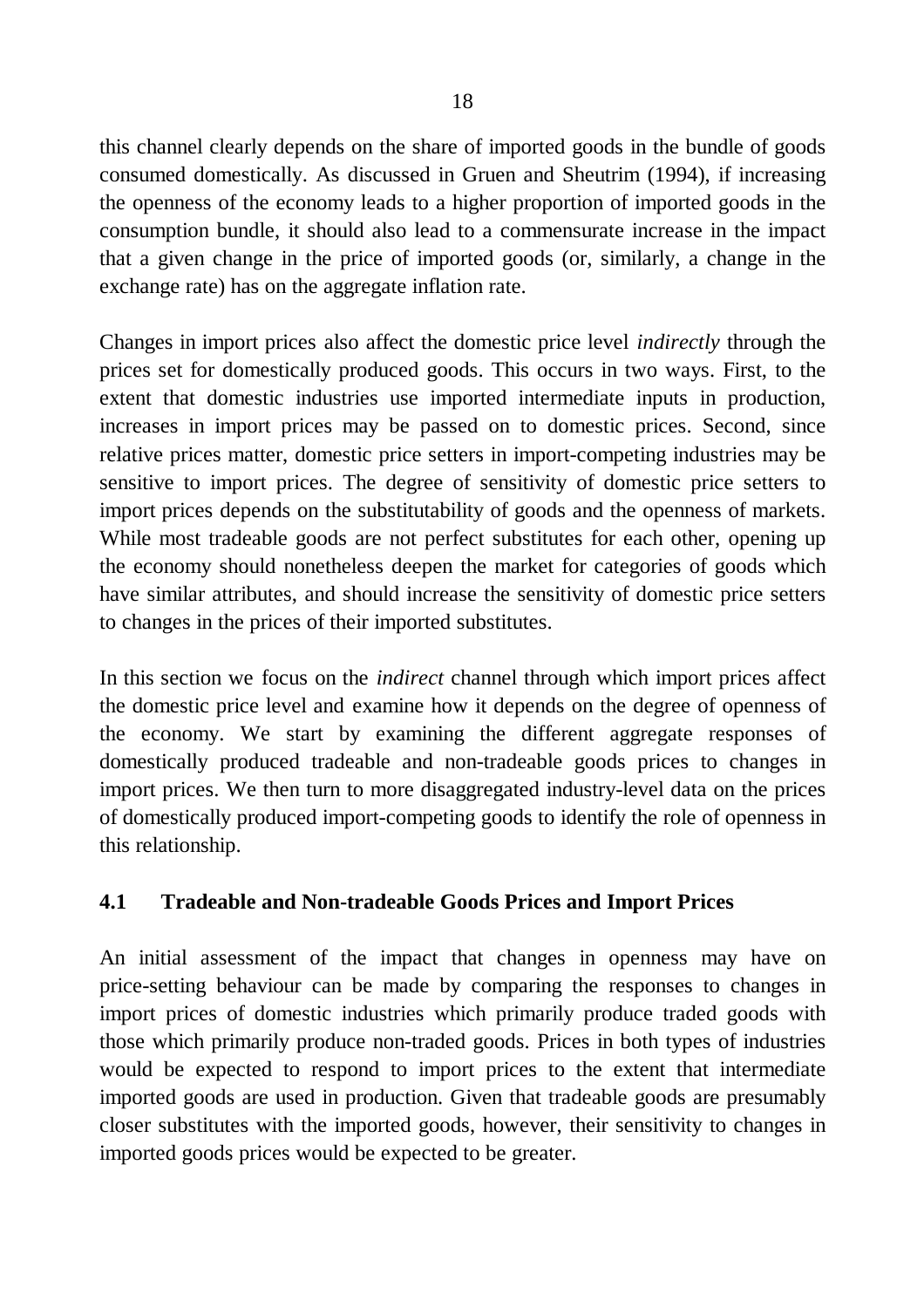this channel clearly depends on the share of imported goods in the bundle of goods consumed domestically. As discussed in Gruen and Sheutrim (1994), if increasing the openness of the economy leads to a higher proportion of imported goods in the consumption bundle, it should also lead to a commensurate increase in the impact that a given change in the price of imported goods (or, similarly, a change in the exchange rate) has on the aggregate inflation rate.

Changes in import prices also affect the domestic price level *indirectly* through the prices set for domestically produced goods. This occurs in two ways. First, to the extent that domestic industries use imported intermediate inputs in production, increases in import prices may be passed on to domestic prices. Second, since relative prices matter, domestic price setters in import-competing industries may be sensitive to import prices. The degree of sensitivity of domestic price setters to import prices depends on the substitutability of goods and the openness of markets. While most tradeable goods are not perfect substitutes for each other, opening up the economy should nonetheless deepen the market for categories of goods which have similar attributes, and should increase the sensitivity of domestic price setters to changes in the prices of their imported substitutes.

In this section we focus on the *indirect* channel through which import prices affect the domestic price level and examine how it depends on the degree of openness of the economy. We start by examining the different aggregate responses of domestically produced tradeable and non-tradeable goods prices to changes in import prices. We then turn to more disaggregated industry-level data on the prices of domestically produced import-competing goods to identify the role of openness in this relationship.

# **4.1 Tradeable and Non-tradeable Goods Prices and Import Prices**

An initial assessment of the impact that changes in openness may have on price-setting behaviour can be made by comparing the responses to changes in import prices of domestic industries which primarily produce traded goods with those which primarily produce non-traded goods. Prices in both types of industries would be expected to respond to import prices to the extent that intermediate imported goods are used in production. Given that tradeable goods are presumably closer substitutes with the imported goods, however, their sensitivity to changes in imported goods prices would be expected to be greater.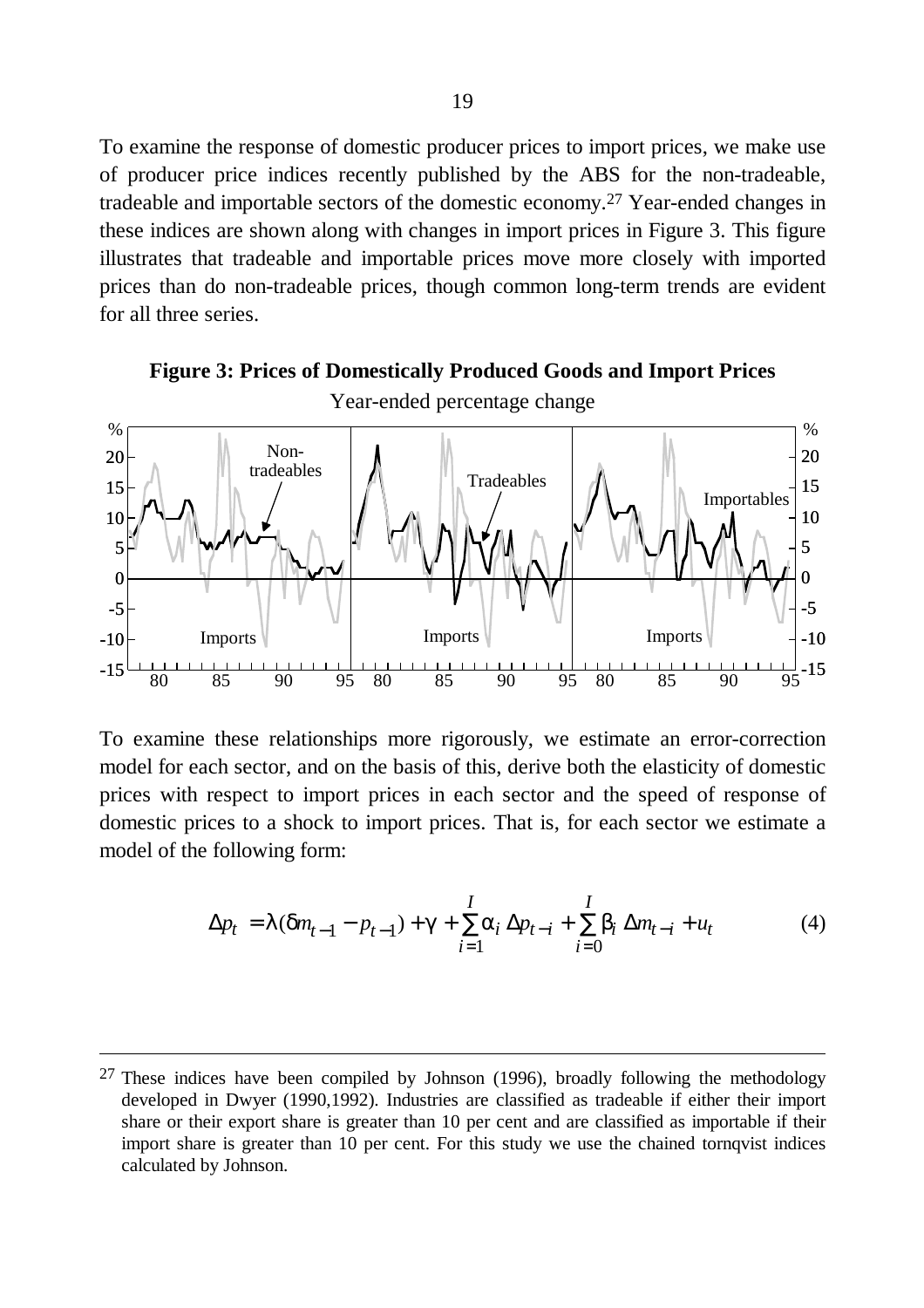To examine the response of domestic producer prices to import prices, we make use of producer price indices recently published by the ABS for the non-tradeable, tradeable and importable sectors of the domestic economy.27 Year-ended changes in these indices are shown along with changes in import prices in Figure 3. This figure illustrates that tradeable and importable prices move more closely with imported prices than do non-tradeable prices, though common long-term trends are evident for all three series.



**Figure 3: Prices of Domestically Produced Goods and Import Prices** Year-ended percentage change

To examine these relationships more rigorously, we estimate an error-correction model for each sector, and on the basis of this, derive both the elasticity of domestic prices with respect to import prices in each sector and the speed of response of domestic prices to a shock to import prices. That is, for each sector we estimate a model of the following form:

$$
\Delta p_t = I(\mathbf{d}n_{t-1} - p_{t-1}) + \mathbf{g} + \sum_{i=1}^{I} a_i \Delta p_{t-i} + \sum_{i=0}^{I} b_i \Delta m_{t-i} + u_t
$$
(4)

 $27$  These indices have been compiled by Johnson (1996), broadly following the methodology developed in Dwyer (1990,1992). Industries are classified as tradeable if either their import share or their export share is greater than 10 per cent and are classified as importable if their import share is greater than 10 per cent. For this study we use the chained tornqvist indices calculated by Johnson.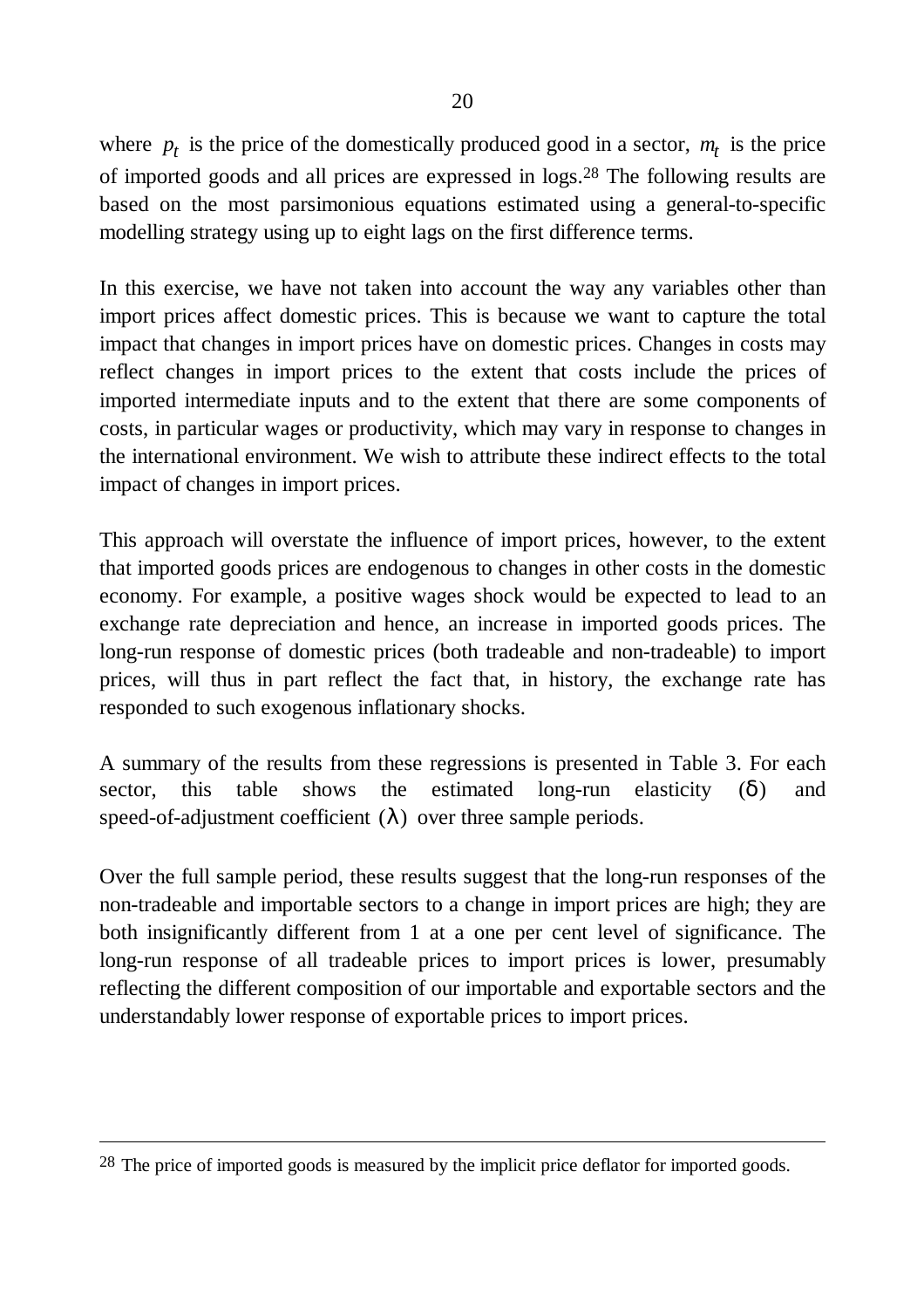where  $p_t$  is the price of the domestically produced good in a sector,  $m_t$  is the price of imported goods and all prices are expressed in logs.28 The following results are based on the most parsimonious equations estimated using a general-to-specific modelling strategy using up to eight lags on the first difference terms.

In this exercise, we have not taken into account the way any variables other than import prices affect domestic prices. This is because we want to capture the total impact that changes in import prices have on domestic prices. Changes in costs may reflect changes in import prices to the extent that costs include the prices of imported intermediate inputs and to the extent that there are some components of costs, in particular wages or productivity, which may vary in response to changes in the international environment. We wish to attribute these indirect effects to the total impact of changes in import prices.

This approach will overstate the influence of import prices, however, to the extent that imported goods prices are endogenous to changes in other costs in the domestic economy. For example, a positive wages shock would be expected to lead to an exchange rate depreciation and hence, an increase in imported goods prices. The long-run response of domestic prices (both tradeable and non-tradeable) to import prices, will thus in part reflect the fact that, in history, the exchange rate has responded to such exogenous inflationary shocks.

A summary of the results from these regressions is presented in Table 3. For each sector, this table shows the estimated long-run elasticity (*d*) and speed-of-adjustment coefficient (*l*) over three sample periods.

Over the full sample period, these results suggest that the long-run responses of the non-tradeable and importable sectors to a change in import prices are high; they are both insignificantly different from 1 at a one per cent level of significance. The long-run response of all tradeable prices to import prices is lower, presumably reflecting the different composition of our importable and exportable sectors and the understandably lower response of exportable prices to import prices.

<sup>&</sup>lt;sup>28</sup> The price of imported goods is measured by the implicit price deflator for imported goods.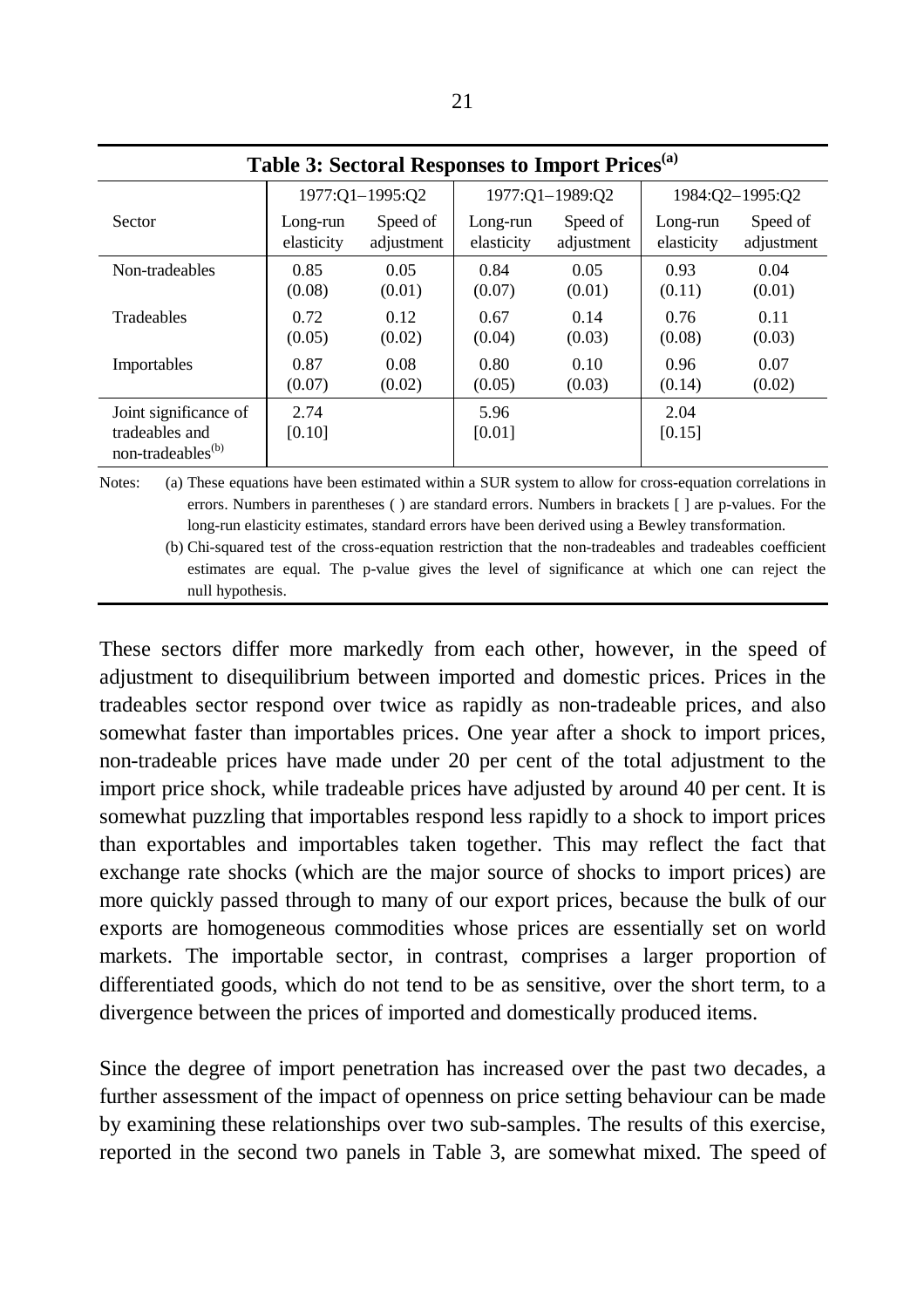| Table 3: Sectoral Responses to Import Prices <sup>(a)</sup>              |                |                 |                |                 |                |                 |  |
|--------------------------------------------------------------------------|----------------|-----------------|----------------|-----------------|----------------|-----------------|--|
|                                                                          |                | 1977:Q1-1995:Q2 |                | 1977:Q1-1989:Q2 |                | 1984:Q2-1995:Q2 |  |
| Sector                                                                   | Long-run       | Speed of        | Long-run       | Speed of        | Long-run       | Speed of        |  |
|                                                                          | elasticity     | adjustment      | elasticity     | adjustment      | elasticity     | adjustment      |  |
| Non-tradeables                                                           | 0.85           | 0.05            | 0.84           | 0.05            | 0.93           | 0.04            |  |
|                                                                          | (0.08)         | (0.01)          | (0.07)         | (0.01)          | (0.11)         | (0.01)          |  |
| Tradeables                                                               | 0.72           | 0.12            | 0.67           | 0.14            | 0.76           | 0.11            |  |
|                                                                          | (0.05)         | (0.02)          | (0.04)         | (0.03)          | (0.08)         | (0.03)          |  |
| Importables                                                              | 0.87           | 0.08            | 0.80           | 0.10            | 0.96           | 0.07            |  |
|                                                                          | (0.07)         | (0.02)          | (0.05)         | (0.03)          | (0.14)         | (0.02)          |  |
| Joint significance of<br>tradeables and<br>non-tradeables <sup>(b)</sup> | 2.74<br>[0.10] |                 | 5.96<br>[0.01] |                 | 2.04<br>[0.15] |                 |  |

Notes: (a) These equations have been estimated within a SUR system to allow for cross-equation correlations in errors. Numbers in parentheses ( ) are standard errors. Numbers in brackets [ ] are p-values. For the long-run elasticity estimates, standard errors have been derived using a Bewley transformation.

(b) Chi-squared test of the cross-equation restriction that the non-tradeables and tradeables coefficient estimates are equal. The p-value gives the level of significance at which one can reject the null hypothesis.

These sectors differ more markedly from each other, however, in the speed of adjustment to disequilibrium between imported and domestic prices. Prices in the tradeables sector respond over twice as rapidly as non-tradeable prices, and also somewhat faster than importables prices. One year after a shock to import prices, non-tradeable prices have made under 20 per cent of the total adjustment to the import price shock, while tradeable prices have adjusted by around 40 per cent. It is somewhat puzzling that importables respond less rapidly to a shock to import prices than exportables and importables taken together. This may reflect the fact that exchange rate shocks (which are the major source of shocks to import prices) are more quickly passed through to many of our export prices, because the bulk of our exports are homogeneous commodities whose prices are essentially set on world markets. The importable sector, in contrast, comprises a larger proportion of differentiated goods, which do not tend to be as sensitive, over the short term, to a divergence between the prices of imported and domestically produced items.

Since the degree of import penetration has increased over the past two decades, a further assessment of the impact of openness on price setting behaviour can be made by examining these relationships over two sub-samples. The results of this exercise, reported in the second two panels in Table 3, are somewhat mixed. The speed of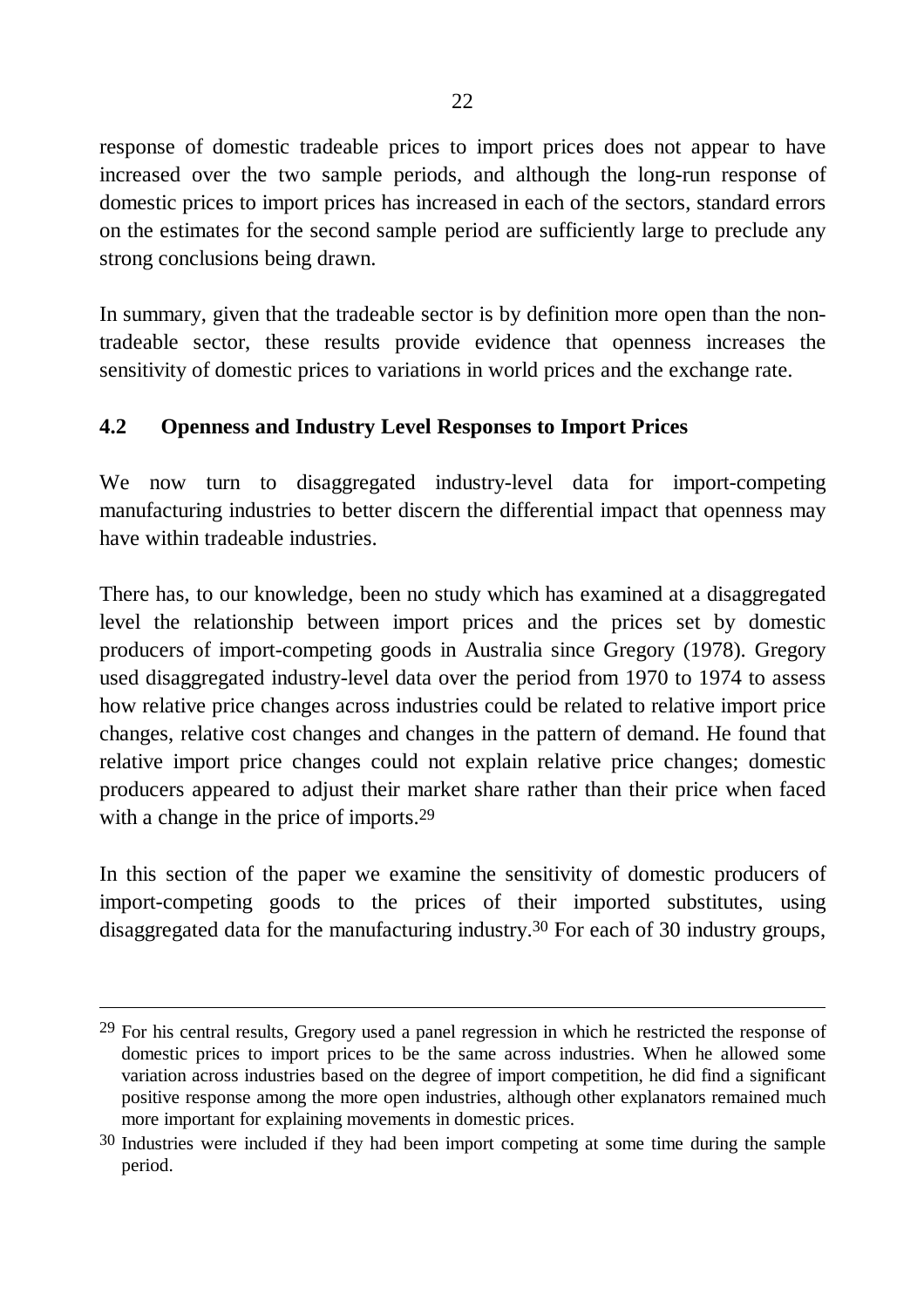response of domestic tradeable prices to import prices does not appear to have increased over the two sample periods, and although the long-run response of domestic prices to import prices has increased in each of the sectors, standard errors on the estimates for the second sample period are sufficiently large to preclude any strong conclusions being drawn.

In summary, given that the tradeable sector is by definition more open than the nontradeable sector, these results provide evidence that openness increases the sensitivity of domestic prices to variations in world prices and the exchange rate.

## **4.2 Openness and Industry Level Responses to Import Prices**

We now turn to disaggregated industry-level data for import-competing manufacturing industries to better discern the differential impact that openness may have within tradeable industries.

There has, to our knowledge, been no study which has examined at a disaggregated level the relationship between import prices and the prices set by domestic producers of import-competing goods in Australia since Gregory (1978). Gregory used disaggregated industry-level data over the period from 1970 to 1974 to assess how relative price changes across industries could be related to relative import price changes, relative cost changes and changes in the pattern of demand. He found that relative import price changes could not explain relative price changes; domestic producers appeared to adjust their market share rather than their price when faced with a change in the price of imports.<sup>29</sup>

In this section of the paper we examine the sensitivity of domestic producers of import-competing goods to the prices of their imported substitutes, using disaggregated data for the manufacturing industry.30 For each of 30 industry groups,

 $29$  For his central results, Gregory used a panel regression in which he restricted the response of domestic prices to import prices to be the same across industries. When he allowed some variation across industries based on the degree of import competition, he did find a significant positive response among the more open industries, although other explanators remained much more important for explaining movements in domestic prices.

<sup>&</sup>lt;sup>30</sup> Industries were included if they had been import competing at some time during the sample period.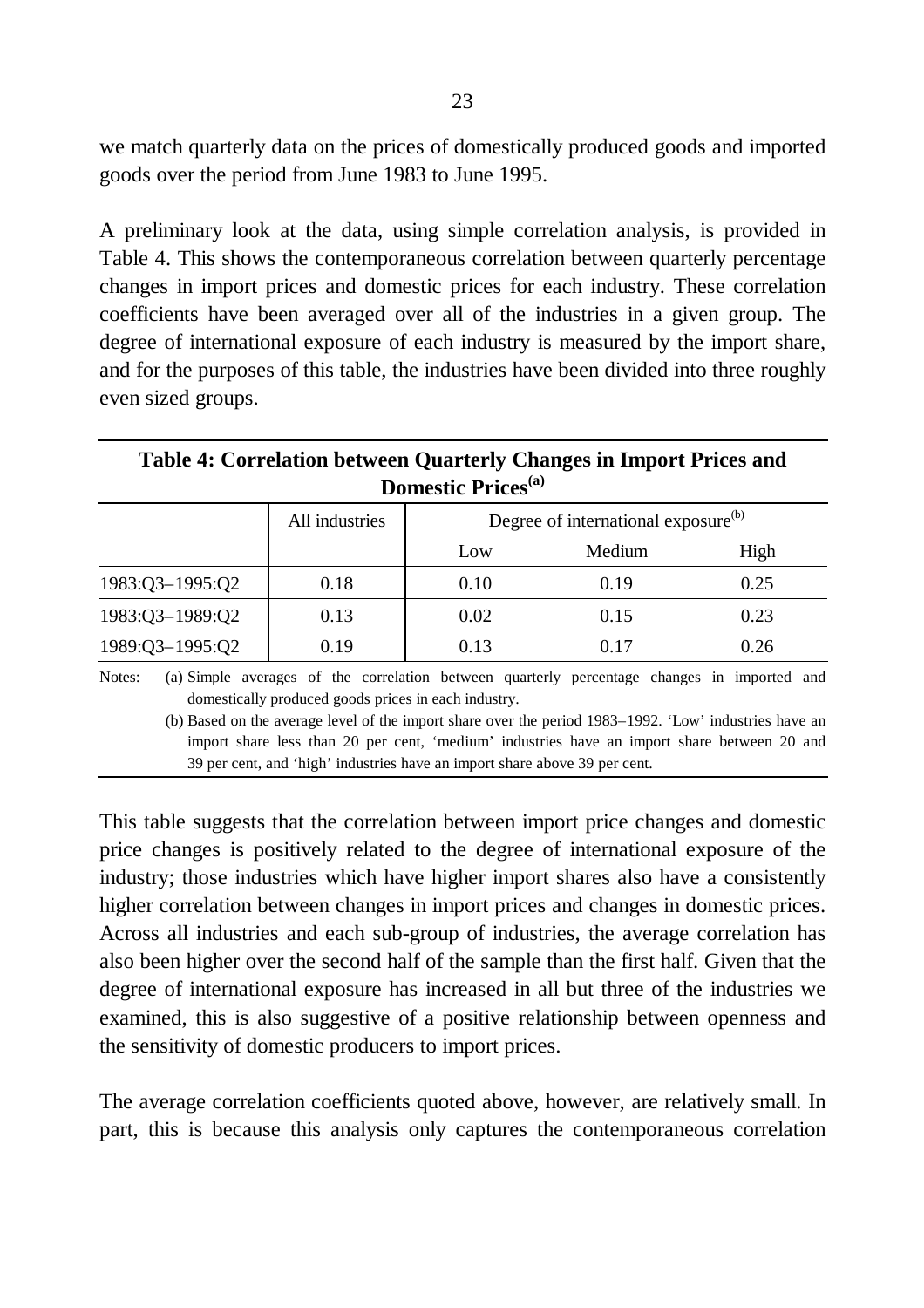we match quarterly data on the prices of domestically produced goods and imported goods over the period from June 1983 to June 1995.

A preliminary look at the data, using simple correlation analysis, is provided in Table 4. This shows the contemporaneous correlation between quarterly percentage changes in import prices and domestic prices for each industry. These correlation coefficients have been averaged over all of the industries in a given group. The degree of international exposure of each industry is measured by the import share, and for the purposes of this table, the industries have been divided into three roughly even sized groups.

### **Table 4: Correlation between Quarterly Changes in Import Prices and Domestic Prices(a)**

|                     | All industries | Degree of international exposure <sup>(b)</sup> |        |      |  |
|---------------------|----------------|-------------------------------------------------|--------|------|--|
|                     |                | Low                                             | Medium | High |  |
| $1983:Q3 - 1995:Q2$ | 0.18           | 0.10                                            | 0.19   | 0.25 |  |
| 1983:Q3-1989:Q2     | 0.13           | 0.02                                            | 0.15   | 0.23 |  |
| 1989:Q3-1995:Q2     | 0.19           | 0.13                                            | 0.17   | 0.26 |  |

Notes: (a) Simple averages of the correlation between quarterly percentage changes in imported and domestically produced goods prices in each industry.

(b) Based on the average level of the import share over the period 1983–1992. 'Low' industries have an import share less than 20 per cent, 'medium' industries have an import share between 20 and 39 per cent, and 'high' industries have an import share above 39 per cent.

This table suggests that the correlation between import price changes and domestic price changes is positively related to the degree of international exposure of the industry; those industries which have higher import shares also have a consistently higher correlation between changes in import prices and changes in domestic prices. Across all industries and each sub-group of industries, the average correlation has also been higher over the second half of the sample than the first half. Given that the degree of international exposure has increased in all but three of the industries we examined, this is also suggestive of a positive relationship between openness and the sensitivity of domestic producers to import prices.

The average correlation coefficients quoted above, however, are relatively small. In part, this is because this analysis only captures the contemporaneous correlation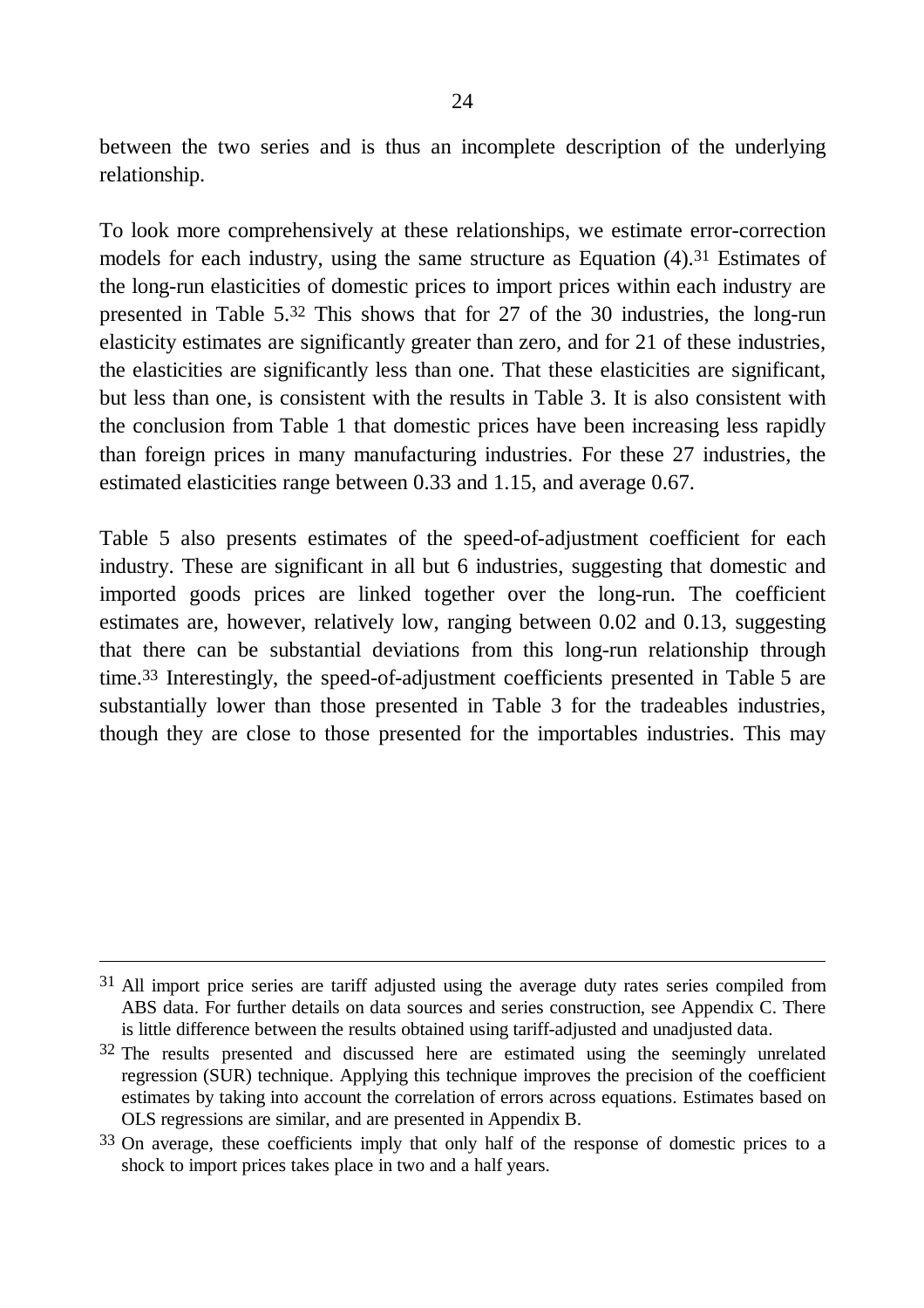between the two series and is thus an incomplete description of the underlying relationship.

To look more comprehensively at these relationships, we estimate error-correction models for each industry, using the same structure as Equation (4).31 Estimates of the long-run elasticities of domestic prices to import prices within each industry are presented in Table 5. 32 This shows that for 27 of the 30 industries, the long-run elasticity estimates are significantly greater than zero, and for 21 of these industries, the elasticities are significantly less than one. That these elasticities are significant, but less than one, is consistent with the results in Table 3. It is also consistent with the conclusion from Table 1 that domestic prices have been increasing less rapidly than foreign prices in many manufacturing industries. For these 27 industries, the estimated elasticities range between 0.33 and 1.15, and average 0.67.

Table 5 also presents estimates of the speed-of-adjustment coefficient for each industry. These are significant in all but 6 industries, suggesting that domestic and imported goods prices are linked together over the long-run. The coefficient estimates are, however, relatively low, ranging between 0.02 and 0.13, suggesting that there can be substantial deviations from this long-run relationship through time. 33 Interestingly, the speed-of-adjustment coefficients presented in Table 5 are substantially lower than those presented in Table 3 for the tradeables industries, though they are close to those presented for the importables industries. This may

<sup>&</sup>lt;sup>31</sup> All import price series are tariff adjusted using the average duty rates series compiled from ABS data. For further details on data sources and series construction, see Appendix C. There is little difference between the results obtained using tariff-adjusted and unadjusted data.

<sup>&</sup>lt;sup>32</sup> The results presented and discussed here are estimated using the seemingly unrelated regression (SUR) technique. Applying this technique improves the precision of the coefficient estimates by taking into account the correlation of errors across equations. Estimates based on OLS regressions are similar, and are presented in Appendix B.

<sup>&</sup>lt;sup>33</sup> On average, these coefficients imply that only half of the response of domestic prices to a shock to import prices takes place in two and a half years.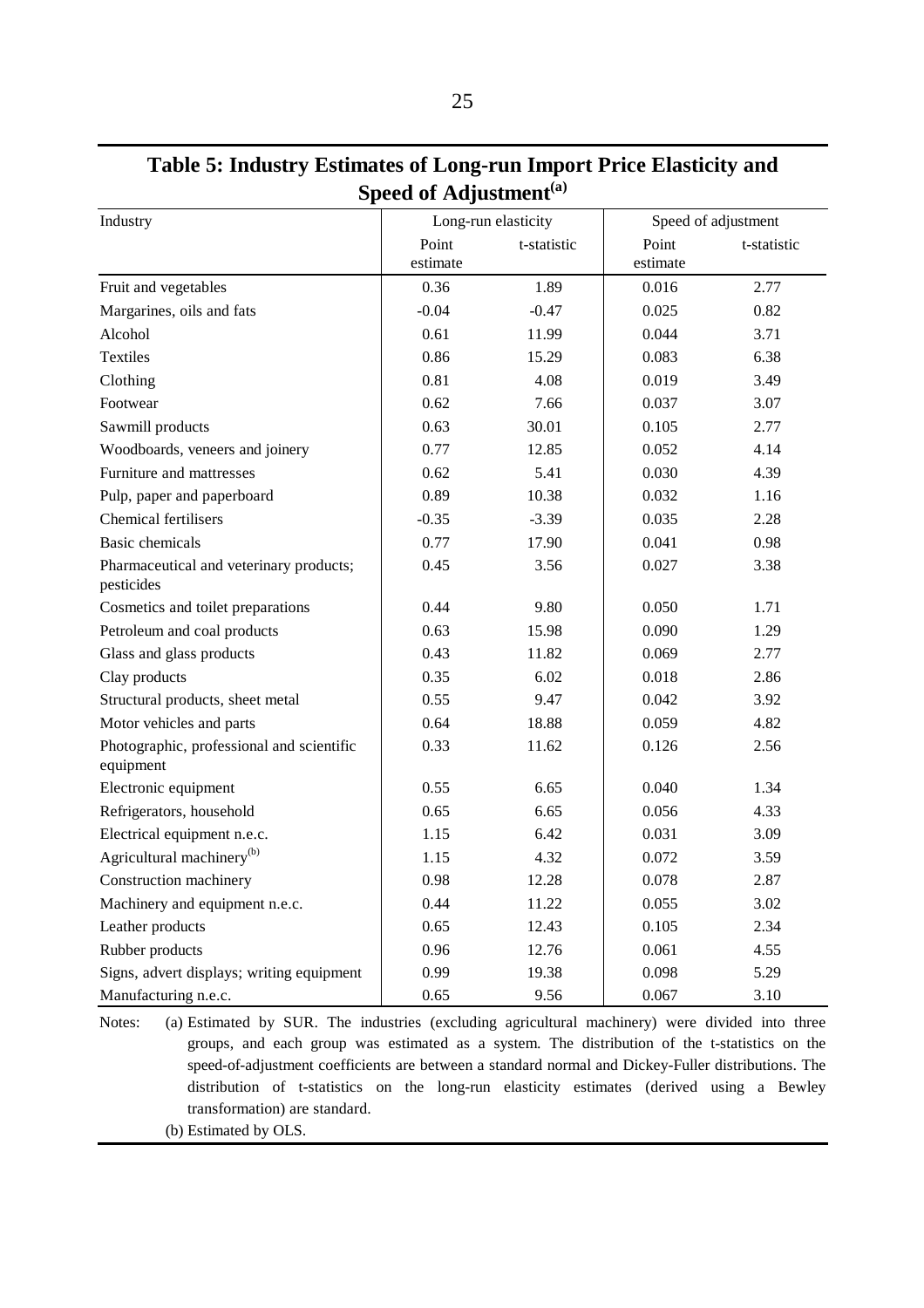### **Table 5: Industry Estimates of Long-run Import Price Elasticity and Speed of Adjustment(a)**

| Industry                                               |          | Long-run elasticity |          | Speed of adjustment |
|--------------------------------------------------------|----------|---------------------|----------|---------------------|
|                                                        | Point    | t-statistic         | Point    | t-statistic         |
|                                                        | estimate |                     | estimate |                     |
| Fruit and vegetables                                   | 0.36     | 1.89                | 0.016    | 2.77                |
| Margarines, oils and fats                              | $-0.04$  | $-0.47$             | 0.025    | 0.82                |
| Alcohol                                                | 0.61     | 11.99               | 0.044    | 3.71                |
| <b>Textiles</b>                                        | 0.86     | 15.29               | 0.083    | 6.38                |
| Clothing                                               | 0.81     | 4.08                | 0.019    | 3.49                |
| Footwear                                               | 0.62     | 7.66                | 0.037    | 3.07                |
| Sawmill products                                       | 0.63     | 30.01               | 0.105    | 2.77                |
| Woodboards, veneers and joinery                        | 0.77     | 12.85               | 0.052    | 4.14                |
| Furniture and mattresses                               | 0.62     | 5.41                | 0.030    | 4.39                |
| Pulp, paper and paperboard                             | 0.89     | 10.38               | 0.032    | 1.16                |
| Chemical fertilisers                                   | $-0.35$  | $-3.39$             | 0.035    | 2.28                |
| <b>Basic</b> chemicals                                 | 0.77     | 17.90               | 0.041    | 0.98                |
| Pharmaceutical and veterinary products;<br>pesticides  | 0.45     | 3.56                | 0.027    | 3.38                |
| Cosmetics and toilet preparations                      | 0.44     | 9.80                | 0.050    | 1.71                |
| Petroleum and coal products                            | 0.63     | 15.98               | 0.090    | 1.29                |
| Glass and glass products                               | 0.43     | 11.82               | 0.069    | 2.77                |
| Clay products                                          | 0.35     | 6.02                | 0.018    | 2.86                |
| Structural products, sheet metal                       | 0.55     | 9.47                | 0.042    | 3.92                |
| Motor vehicles and parts                               | 0.64     | 18.88               | 0.059    | 4.82                |
| Photographic, professional and scientific<br>equipment | 0.33     | 11.62               | 0.126    | 2.56                |
| Electronic equipment                                   | 0.55     | 6.65                | 0.040    | 1.34                |
| Refrigerators, household                               | 0.65     | 6.65                | 0.056    | 4.33                |
| Electrical equipment n.e.c.                            | 1.15     | 6.42                | 0.031    | 3.09                |
| Agricultural machinery <sup>(b)</sup>                  | 1.15     | 4.32                | 0.072    | 3.59                |
| Construction machinery                                 | 0.98     | 12.28               | 0.078    | 2.87                |
| Machinery and equipment n.e.c.                         | 0.44     | 11.22               | 0.055    | 3.02                |
| Leather products                                       | 0.65     | 12.43               | 0.105    | 2.34                |
| Rubber products                                        | 0.96     | 12.76               | 0.061    | 4.55                |
| Signs, advert displays; writing equipment              | 0.99     | 19.38               | 0.098    | 5.29                |
| Manufacturing n.e.c.                                   | 0.65     | 9.56                | 0.067    | 3.10                |

Notes: (a) Estimated by SUR. The industries (excluding agricultural machinery) were divided into three groups, and each group was estimated as a system. The distribution of the t-statistics on the speed-of-adjustment coefficients are between a standard normal and Dickey-Fuller distributions. The distribution of t-statistics on the long-run elasticity estimates (derived using a Bewley transformation) are standard.

(b) Estimated by OLS.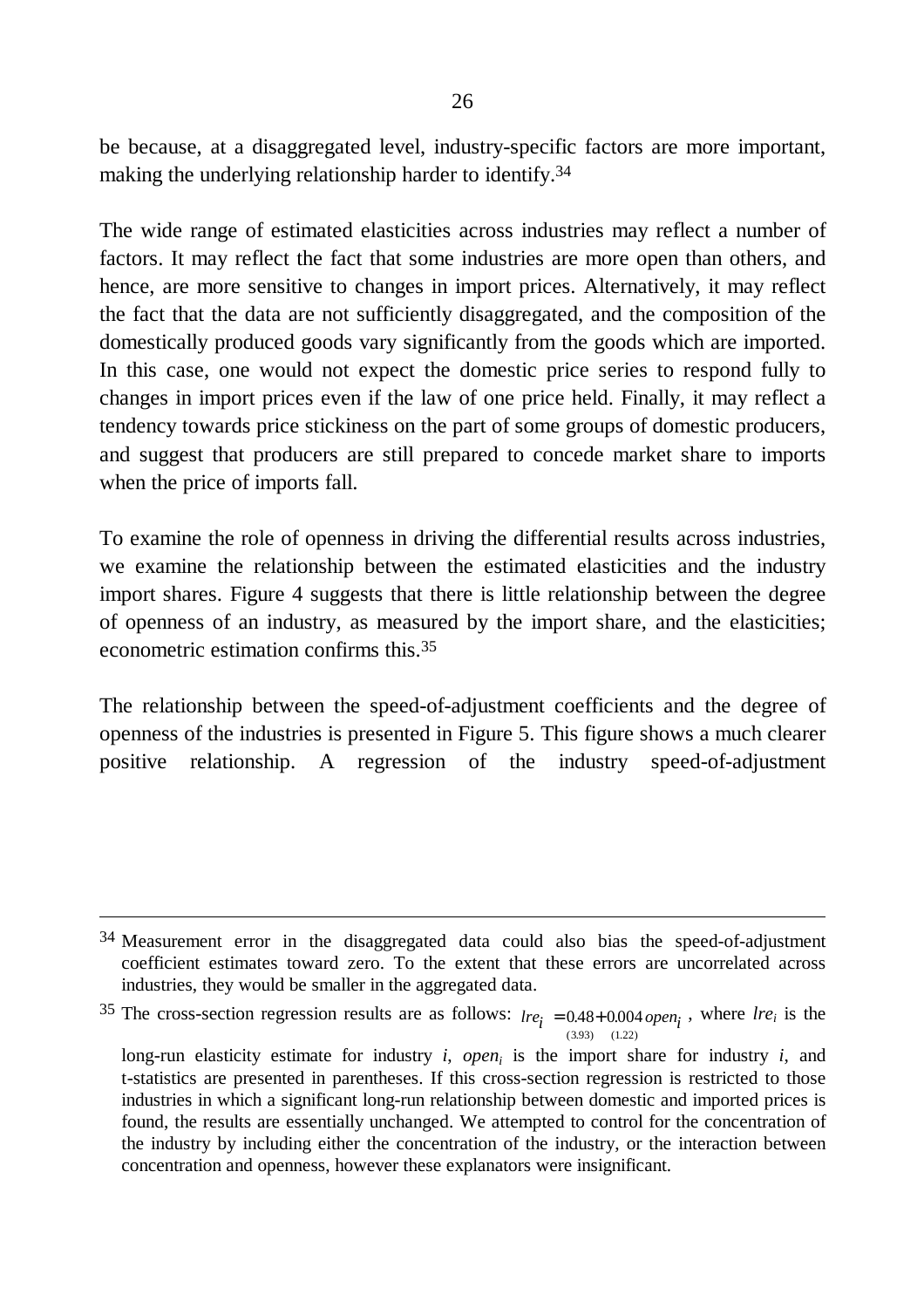be because, at a disaggregated level, industry-specific factors are more important, making the underlying relationship harder to identify.34

The wide range of estimated elasticities across industries may reflect a number of factors. It may reflect the fact that some industries are more open than others, and hence, are more sensitive to changes in import prices. Alternatively, it may reflect the fact that the data are not sufficiently disaggregated, and the composition of the domestically produced goods vary significantly from the goods which are imported. In this case, one would not expect the domestic price series to respond fully to changes in import prices even if the law of one price held. Finally, it may reflect a tendency towards price stickiness on the part of some groups of domestic producers, and suggest that producers are still prepared to concede market share to imports when the price of imports fall.

To examine the role of openness in driving the differential results across industries, we examine the relationship between the estimated elasticities and the industry import shares. Figure 4 suggests that there is little relationship between the degree of openness of an industry, as measured by the import share, and the elasticities; econometric estimation confirms this. 35

The relationship between the speed-of-adjustment coefficients and the degree of openness of the industries is presented in Figure 5. This figure shows a much clearer positive relationship. A regression of the industry speed-of-adjustment

<sup>34</sup> Measurement error in the disaggregated data could also bias the speed-of-adjustment coefficient estimates toward zero. To the extent that these errors are uncorrelated across industries, they would be smaller in the aggregated data.

<sup>&</sup>lt;sup>35</sup> The cross-section regression results are as follows:  $ire<sub>i</sub> = 0.48 + 0.004 open<sub>i</sub>$ , where  $ire<sub>i</sub>$  is the  $(3.93)$   $(1.22)$ 

long-run elasticity estimate for industry  $i$ , *open*<sub>i</sub> is the import share for industry  $i$ , and t-statistics are presented in parentheses. If this cross-section regression is restricted to those industries in which a significant long-run relationship between domestic and imported prices is found, the results are essentially unchanged. We attempted to control for the concentration of the industry by including either the concentration of the industry, or the interaction between concentration and openness, however these explanators were insignificant.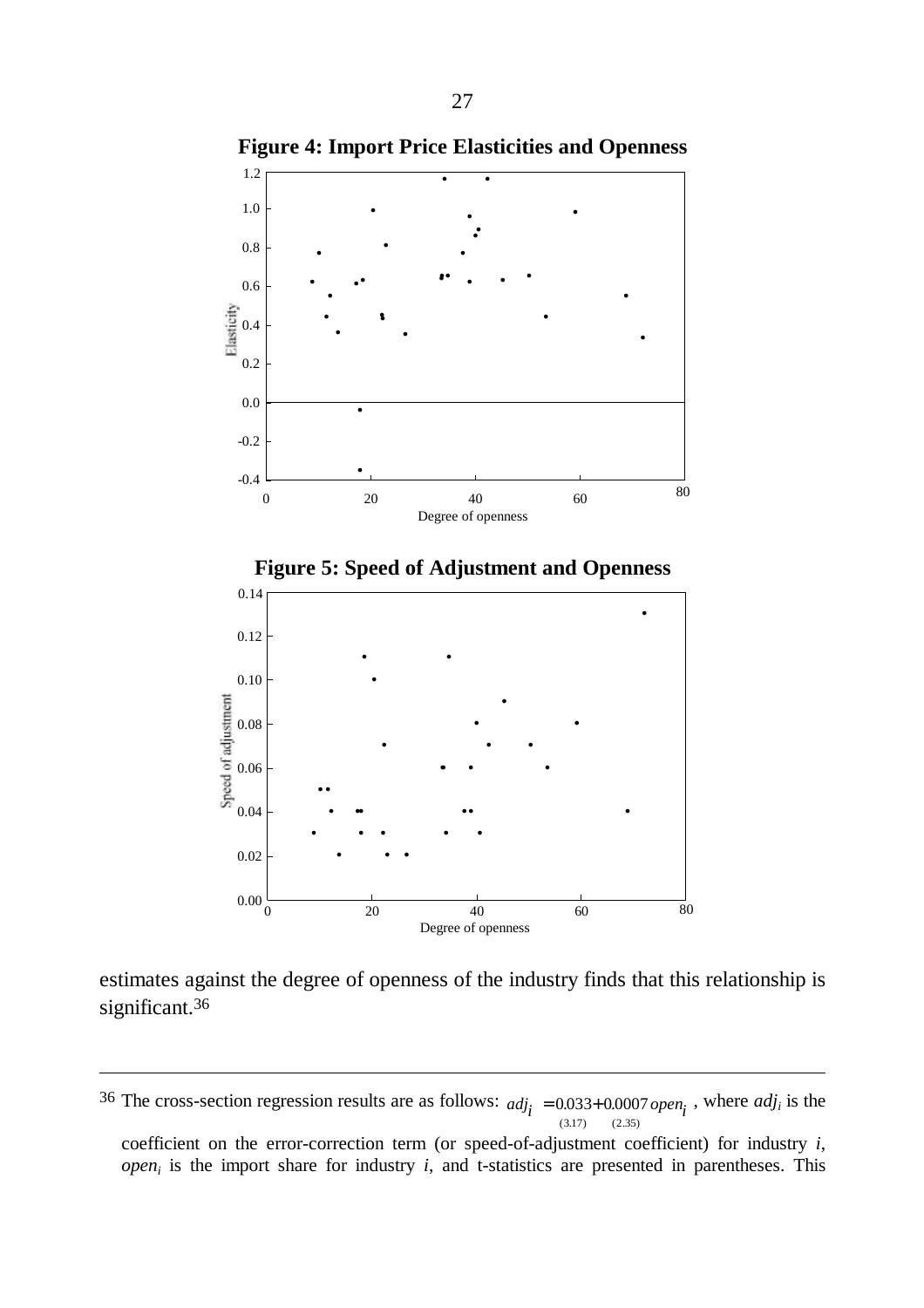

**Figure 4: Import Price Elasticities and Openness**

estimates against the degree of openness of the industry finds that this relationship is significant.<sup>36</sup>

-

coefficient on the error-correction term (or speed-of-adjustment coefficient) for industry *i*, *open<sup>i</sup>* is the import share for industry *i*, and t-statistics are presented in parentheses. This

<sup>&</sup>lt;sup>36</sup> The cross-section regression results are as follows:  $adj_i = 0.033 + 0.0007$  open<sub>i</sub>, where  $adj_i$  is the  $(3.17)$   $(2.35)$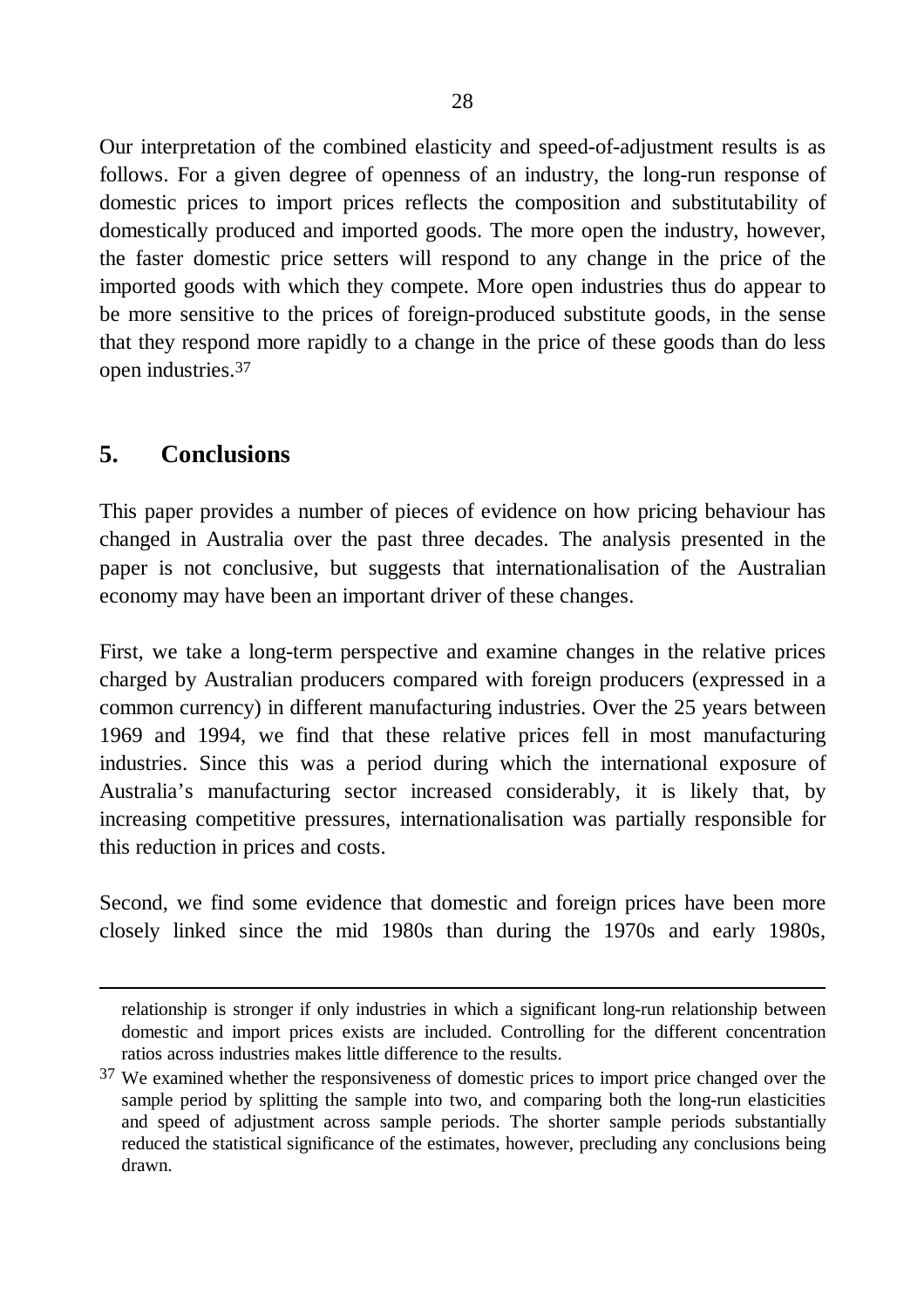Our interpretation of the combined elasticity and speed-of-adjustment results is as follows. For a given degree of openness of an industry, the long-run response of domestic prices to import prices reflects the composition and substitutability of domestically produced and imported goods. The more open the industry, however, the faster domestic price setters will respond to any change in the price of the imported goods with which they compete. More open industries thus do appear to be more sensitive to the prices of foreign-produced substitute goods, in the sense that they respond more rapidly to a change in the price of these goods than do less open industries.37

# **5. Conclusions**

-

This paper provides a number of pieces of evidence on how pricing behaviour has changed in Australia over the past three decades. The analysis presented in the paper is not conclusive, but suggests that internationalisation of the Australian economy may have been an important driver of these changes.

First, we take a long-term perspective and examine changes in the relative prices charged by Australian producers compared with foreign producers (expressed in a common currency) in different manufacturing industries. Over the 25 years between 1969 and 1994, we find that these relative prices fell in most manufacturing industries. Since this was a period during which the international exposure of Australia's manufacturing sector increased considerably, it is likely that, by increasing competitive pressures, internationalisation was partially responsible for this reduction in prices and costs.

Second, we find some evidence that domestic and foreign prices have been more closely linked since the mid 1980s than during the 1970s and early 1980s,

relationship is stronger if only industries in which a significant long-run relationship between domestic and import prices exists are included. Controlling for the different concentration ratios across industries makes little difference to the results.

<sup>&</sup>lt;sup>37</sup> We examined whether the responsiveness of domestic prices to import price changed over the sample period by splitting the sample into two, and comparing both the long-run elasticities and speed of adjustment across sample periods. The shorter sample periods substantially reduced the statistical significance of the estimates, however, precluding any conclusions being drawn.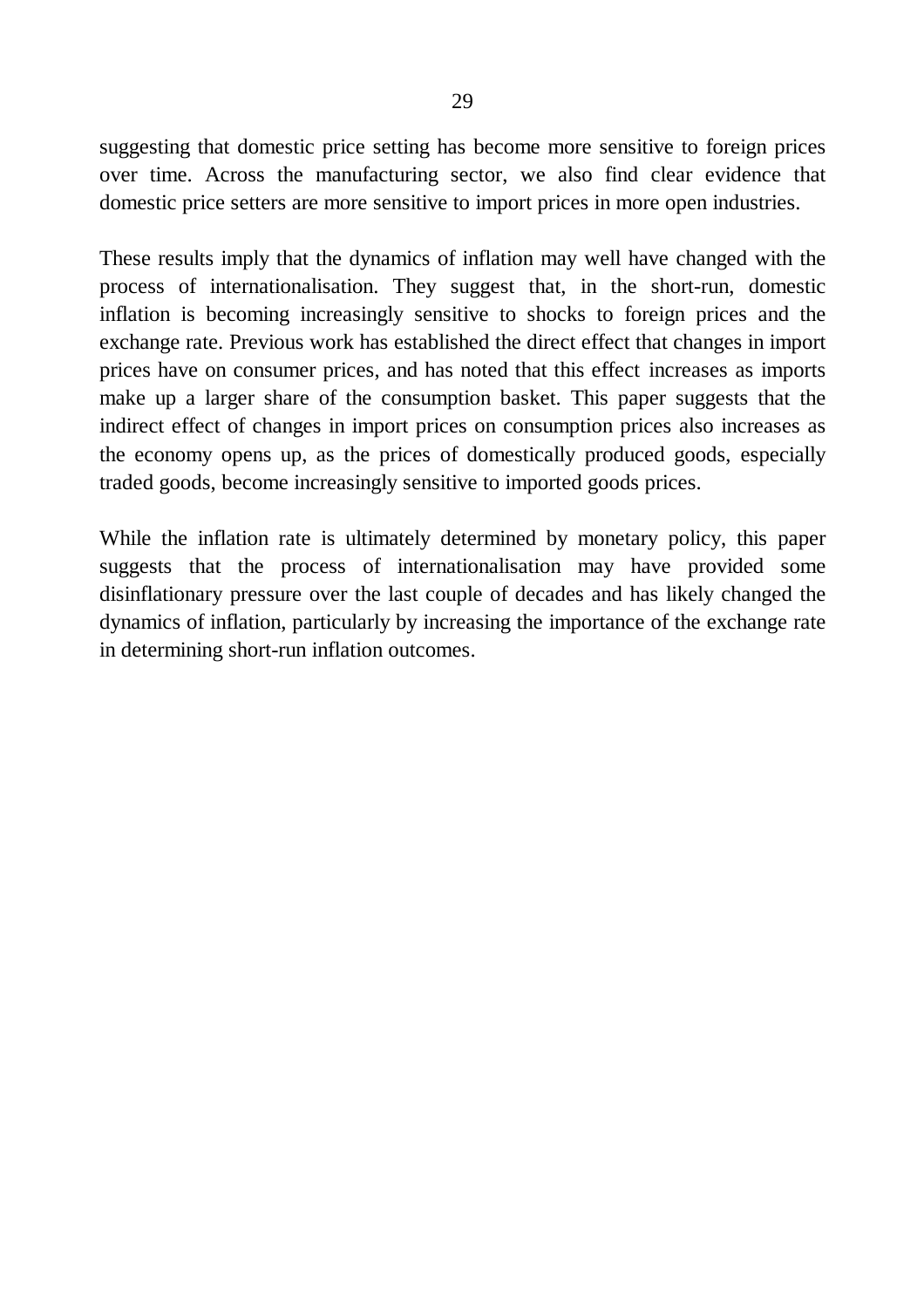suggesting that domestic price setting has become more sensitive to foreign prices over time. Across the manufacturing sector, we also find clear evidence that domestic price setters are more sensitive to import prices in more open industries.

These results imply that the dynamics of inflation may well have changed with the process of internationalisation. They suggest that, in the short-run, domestic inflation is becoming increasingly sensitive to shocks to foreign prices and the exchange rate. Previous work has established the direct effect that changes in import prices have on consumer prices, and has noted that this effect increases as imports make up a larger share of the consumption basket. This paper suggests that the indirect effect of changes in import prices on consumption prices also increases as the economy opens up, as the prices of domestically produced goods, especially traded goods, become increasingly sensitive to imported goods prices.

While the inflation rate is ultimately determined by monetary policy, this paper suggests that the process of internationalisation may have provided some disinflationary pressure over the last couple of decades and has likely changed the dynamics of inflation, particularly by increasing the importance of the exchange rate in determining short-run inflation outcomes.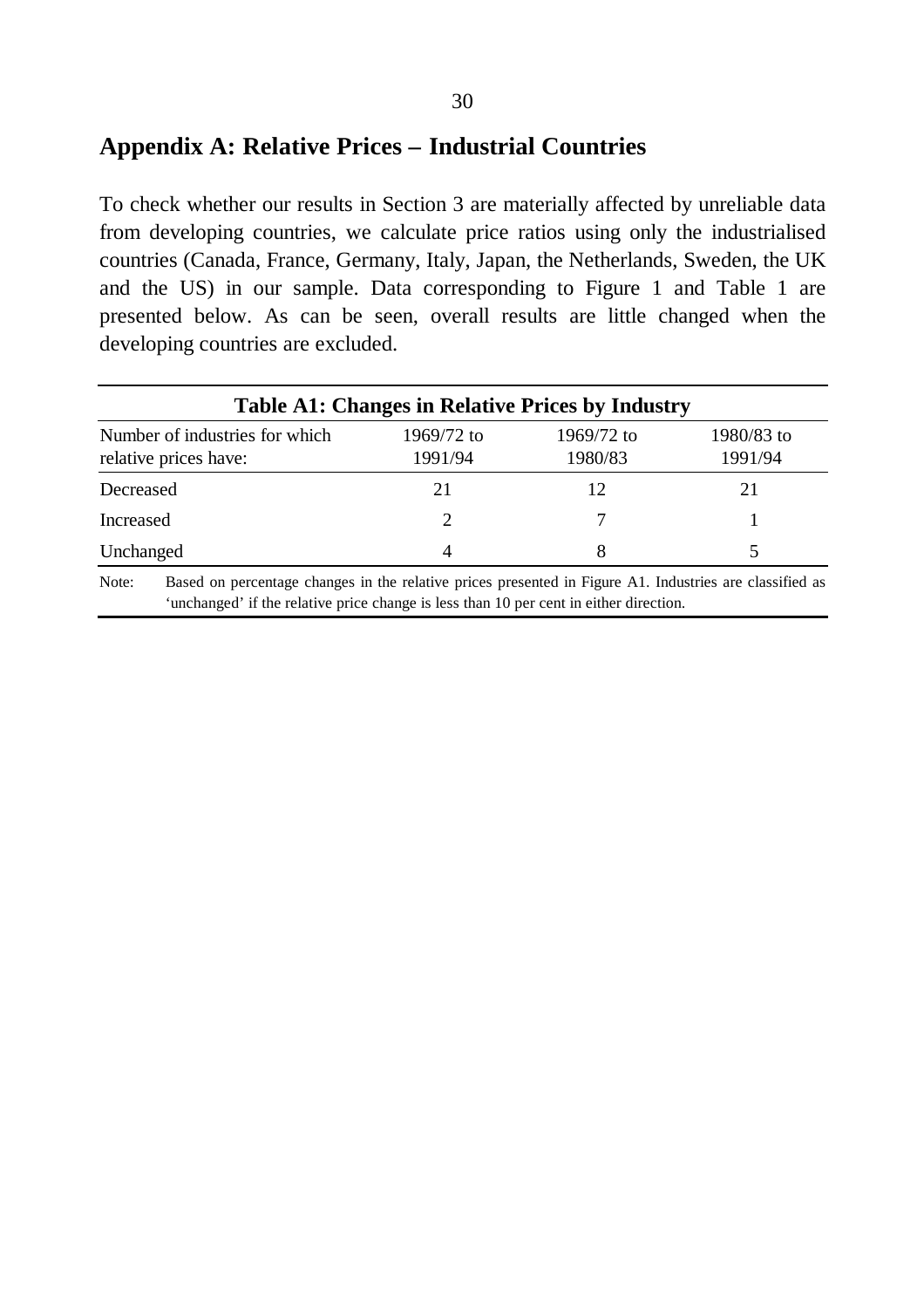## **Appendix A: Relative Prices – Industrial Countries**

To check whether our results in Section 3 are materially affected by unreliable data from developing countries, we calculate price ratios using only the industrialised countries (Canada, France, Germany, Italy, Japan, the Netherlands, Sweden, the UK and the US) in our sample. Data corresponding to Figure 1 and Table 1 are presented below. As can be seen, overall results are little changed when the developing countries are excluded.

| <b>Table A1: Changes in Relative Prices by Industry</b>                                                                                                                                                    |                       |                       |                       |  |  |  |
|------------------------------------------------------------------------------------------------------------------------------------------------------------------------------------------------------------|-----------------------|-----------------------|-----------------------|--|--|--|
| Number of industries for which<br>relative prices have:                                                                                                                                                    | 1969/72 to<br>1991/94 | 1969/72 to<br>1980/83 | 1980/83 to<br>1991/94 |  |  |  |
| Decreased                                                                                                                                                                                                  | 21                    | 12                    | 21                    |  |  |  |
| Increased                                                                                                                                                                                                  | $\mathcal{D}_{\cdot}$ |                       |                       |  |  |  |
| Unchanged                                                                                                                                                                                                  | 4                     |                       |                       |  |  |  |
| Based on percentage changes in the relative prices presented in Figure A1. Industries are classified as<br>Note:<br>'unchanged' if the relative price change is less than 10 per cent in either direction. |                       |                       |                       |  |  |  |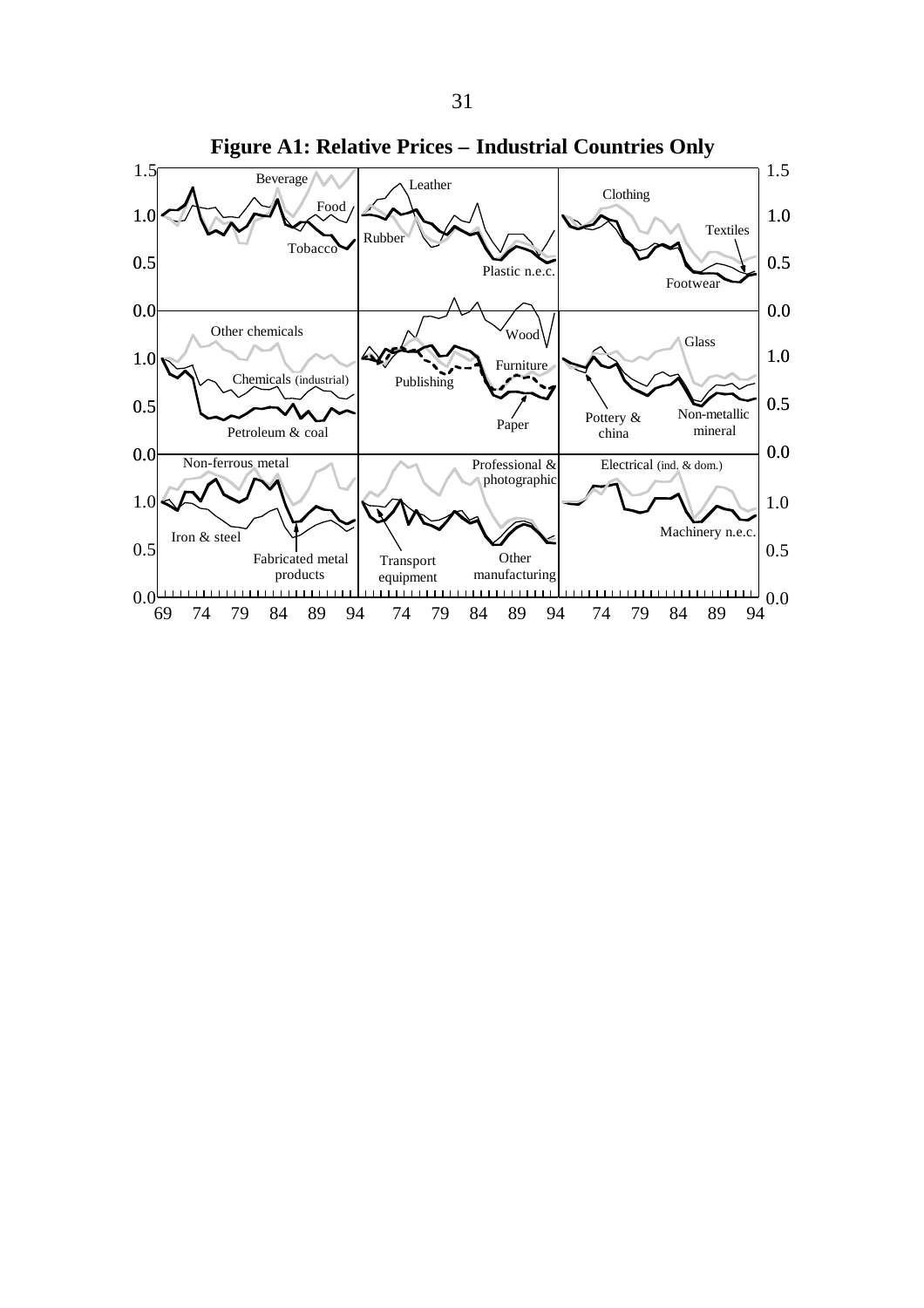

**Figure A1: Relative Prices – Industrial Countries Only**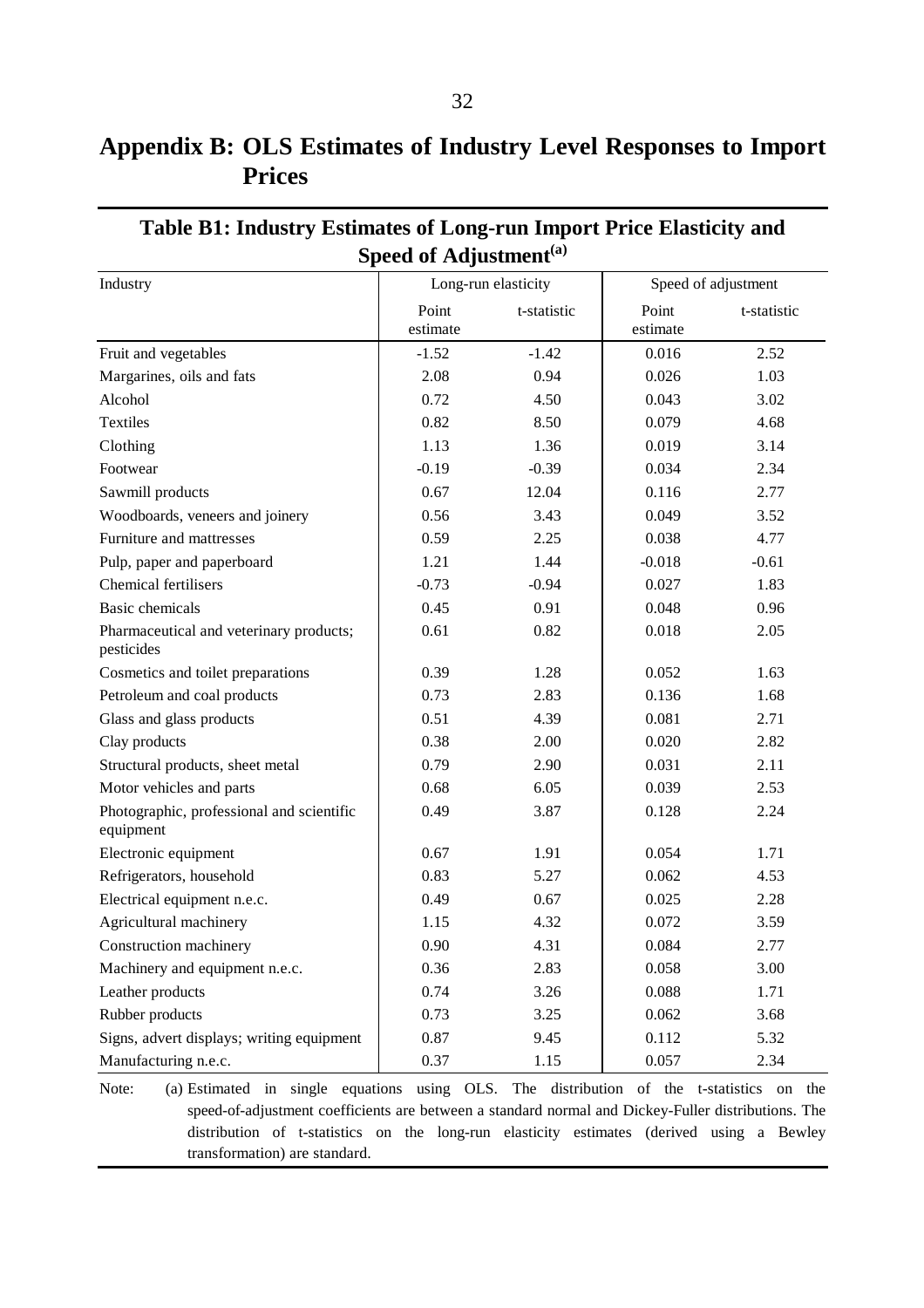# **Appendix B: OLS Estimates of Industry Level Responses to Import Prices**

| Industry                                               |                   | Long-run elasticity |                   | Speed of adjustment |
|--------------------------------------------------------|-------------------|---------------------|-------------------|---------------------|
|                                                        | Point<br>estimate | t-statistic         | Point<br>estimate | t-statistic         |
| Fruit and vegetables                                   | $-1.52$           | $-1.42$             | 0.016             | 2.52                |
| Margarines, oils and fats                              | 2.08              | 0.94                | 0.026             | 1.03                |
| Alcohol                                                | 0.72              | 4.50                | 0.043             | 3.02                |
| <b>Textiles</b>                                        | 0.82              | 8.50                | 0.079             | 4.68                |
| Clothing                                               | 1.13              | 1.36                | 0.019             | 3.14                |
| Footwear                                               | $-0.19$           | $-0.39$             | 0.034             | 2.34                |
| Sawmill products                                       | 0.67              | 12.04               | 0.116             | 2.77                |
| Woodboards, veneers and joinery                        | 0.56              | 3.43                | 0.049             | 3.52                |
| Furniture and mattresses                               | 0.59              | 2.25                | 0.038             | 4.77                |
| Pulp, paper and paperboard                             | 1.21              | 1.44                | $-0.018$          | $-0.61$             |
| Chemical fertilisers                                   | $-0.73$           | $-0.94$             | 0.027             | 1.83                |
| <b>Basic</b> chemicals                                 | 0.45              | 0.91                | 0.048             | 0.96                |
| Pharmaceutical and veterinary products;<br>pesticides  | 0.61              | 0.82                | 0.018             | 2.05                |
| Cosmetics and toilet preparations                      | 0.39              | 1.28                | 0.052             | 1.63                |
| Petroleum and coal products                            | 0.73              | 2.83                | 0.136             | 1.68                |
| Glass and glass products                               | 0.51              | 4.39                | 0.081             | 2.71                |
| Clay products                                          | 0.38              | 2.00                | 0.020             | 2.82                |
| Structural products, sheet metal                       | 0.79              | 2.90                | 0.031             | 2.11                |
| Motor vehicles and parts                               | 0.68              | 6.05                | 0.039             | 2.53                |
| Photographic, professional and scientific<br>equipment | 0.49              | 3.87                | 0.128             | 2.24                |
| Electronic equipment                                   | 0.67              | 1.91                | 0.054             | 1.71                |
| Refrigerators, household                               | 0.83              | 5.27                | 0.062             | 4.53                |
| Electrical equipment n.e.c.                            | 0.49              | 0.67                | 0.025             | 2.28                |
| Agricultural machinery                                 | 1.15              | 4.32                | 0.072             | 3.59                |
| Construction machinery                                 | 0.90              | 4.31                | 0.084             | 2.77                |
| Machinery and equipment n.e.c.                         | 0.36              | 2.83                | 0.058             | 3.00                |
| Leather products                                       | 0.74              | 3.26                | 0.088             | 1.71                |
| Rubber products                                        | 0.73              | 3.25                | 0.062             | 3.68                |
| Signs, advert displays; writing equipment              | 0.87              | 9.45                | 0.112             | 5.32                |
| Manufacturing n.e.c.                                   | 0.37              | 1.15                | 0.057             | 2.34                |

### **Table B1: Industry Estimates of Long-run Import Price Elasticity and Speed of Adjustment(a)**

Note: (a) Estimated in single equations using OLS. The distribution of the t-statistics on the speed-of-adjustment coefficients are between a standard normal and Dickey-Fuller distributions. The distribution of t-statistics on the long-run elasticity estimates (derived using a Bewley transformation) are standard.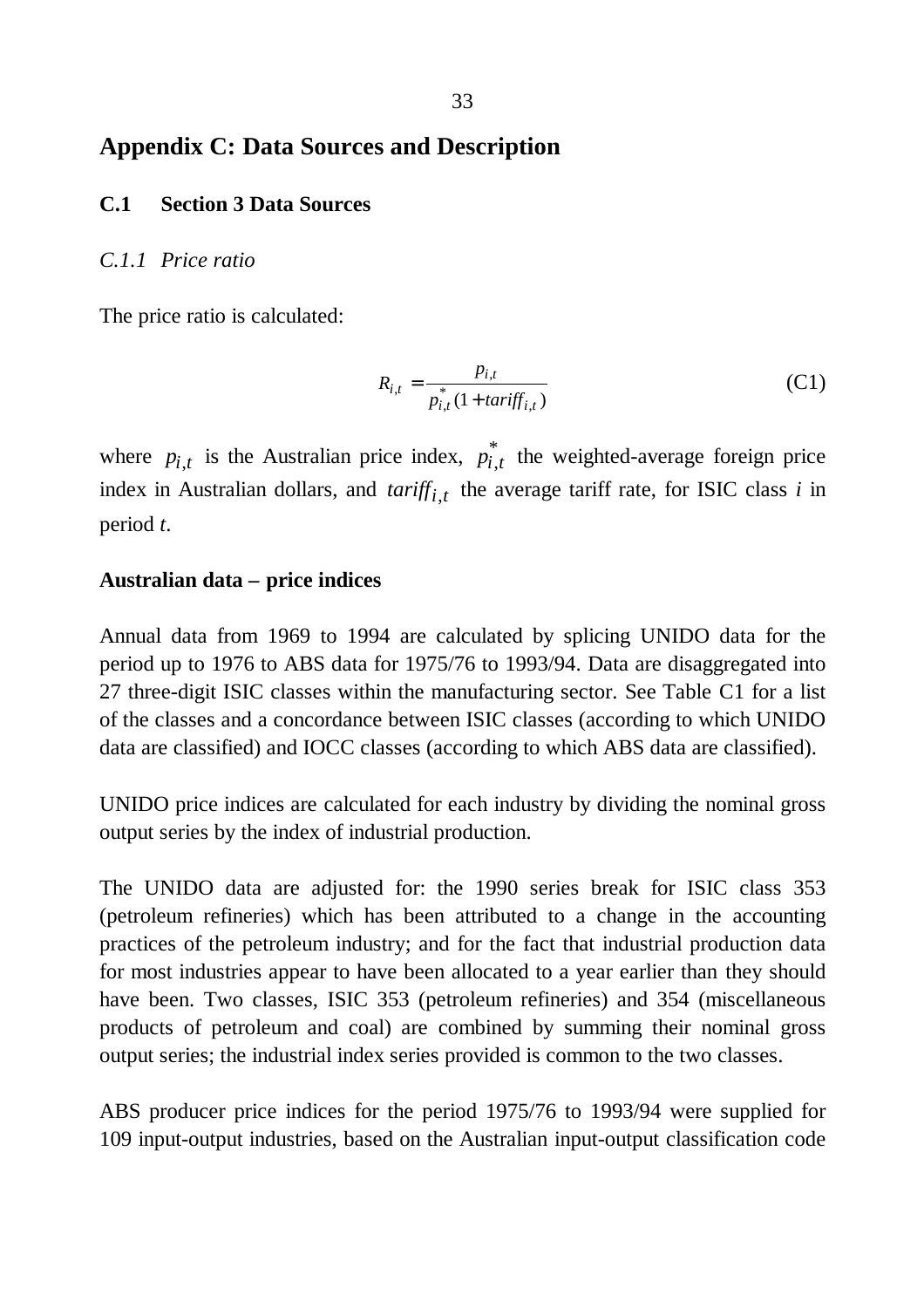## **Appendix C: Data Sources and Description**

#### **C.1 Section 3 Data Sources**

#### *C.1.1 Price ratio*

The price ratio is calculated:

$$
R_{i,t} = \frac{p_{i,t}}{p_{i,t}^*(1 + \text{tariff}_{i,t})}
$$
 (C1)

where  $p_{i,t}$  is the Australian price index,  $p_{i,t}^*$  the weighted-average foreign price index in Australian dollars, and *tariffi*,*t* the average tariff rate, for ISIC class *i* in period *t*.

#### **Australian data – price indices**

Annual data from 1969 to 1994 are calculated by splicing UNIDO data for the period up to 1976 to ABS data for 1975/76 to 1993/94. Data are disaggregated into 27 three-digit ISIC classes within the manufacturing sector. See Table C1 for a list of the classes and a concordance between ISIC classes (according to which UNIDO data are classified) and IOCC classes (according to which ABS data are classified).

UNIDO price indices are calculated for each industry by dividing the nominal gross output series by the index of industrial production.

The UNIDO data are adjusted for: the 1990 series break for ISIC class 353 (petroleum refineries) which has been attributed to a change in the accounting practices of the petroleum industry; and for the fact that industrial production data for most industries appear to have been allocated to a year earlier than they should have been. Two classes, ISIC 353 (petroleum refineries) and 354 (miscellaneous products of petroleum and coal) are combined by summing their nominal gross output series; the industrial index series provided is common to the two classes.

ABS producer price indices for the period 1975/76 to 1993/94 were supplied for 109 input-output industries, based on the Australian input-output classification code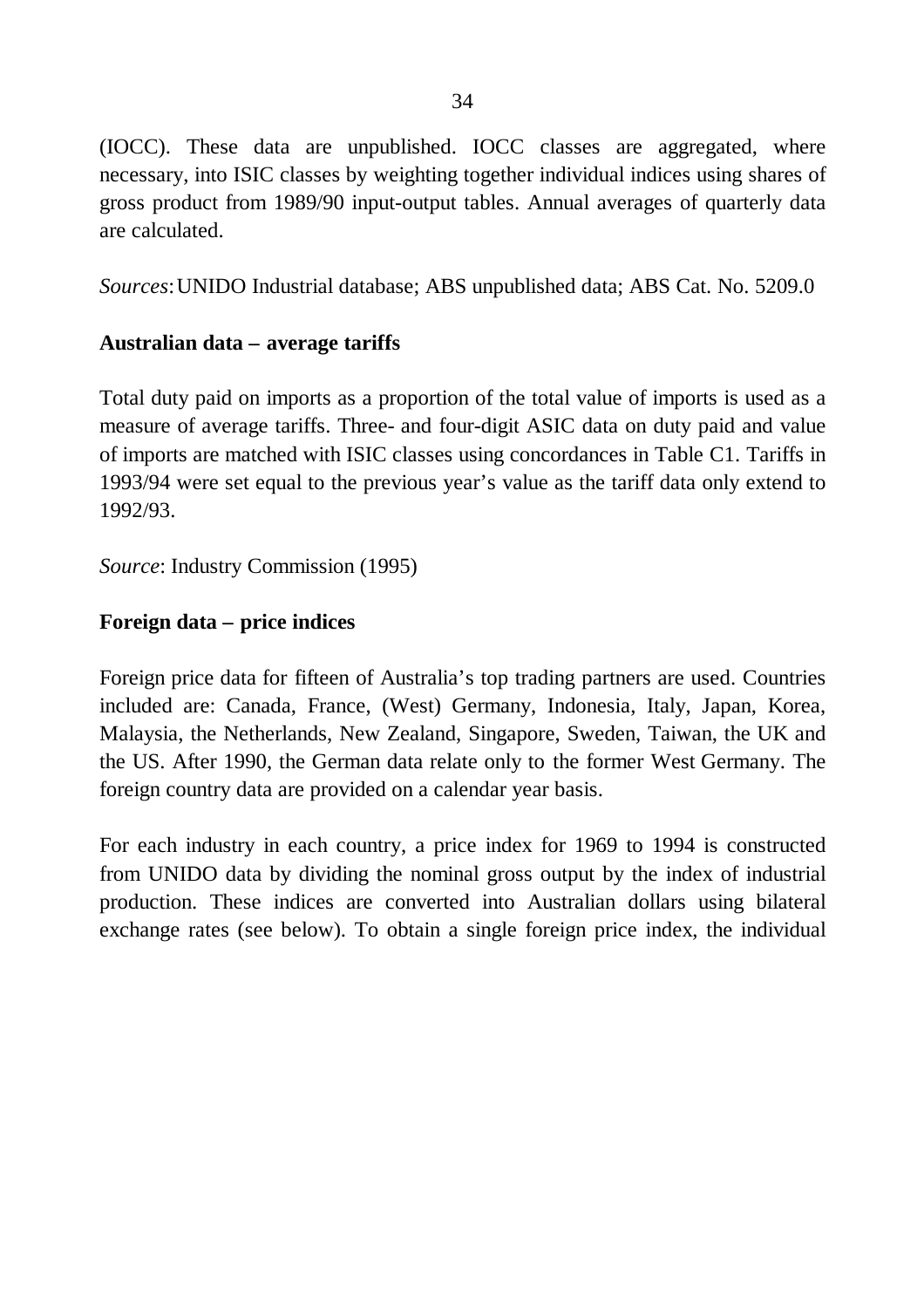(IOCC). These data are unpublished. IOCC classes are aggregated, where necessary, into ISIC classes by weighting together individual indices using shares of gross product from 1989/90 input-output tables. Annual averages of quarterly data are calculated.

*Sources*:UNIDO Industrial database; ABS unpublished data; ABS Cat. No. 5209.0

### **Australian data – average tariffs**

Total duty paid on imports as a proportion of the total value of imports is used as a measure of average tariffs. Three- and four-digit ASIC data on duty paid and value of imports are matched with ISIC classes using concordances in Table C1. Tariffs in 1993/94 were set equal to the previous year's value as the tariff data only extend to 1992/93.

*Source*: Industry Commission (1995)

### **Foreign data – price indices**

Foreign price data for fifteen of Australia's top trading partners are used. Countries included are: Canada, France, (West) Germany, Indonesia, Italy, Japan, Korea, Malaysia, the Netherlands, New Zealand, Singapore, Sweden, Taiwan, the UK and the US. After 1990, the German data relate only to the former West Germany. The foreign country data are provided on a calendar year basis.

For each industry in each country, a price index for 1969 to 1994 is constructed from UNIDO data by dividing the nominal gross output by the index of industrial production. These indices are converted into Australian dollars using bilateral exchange rates (see below). To obtain a single foreign price index, the individual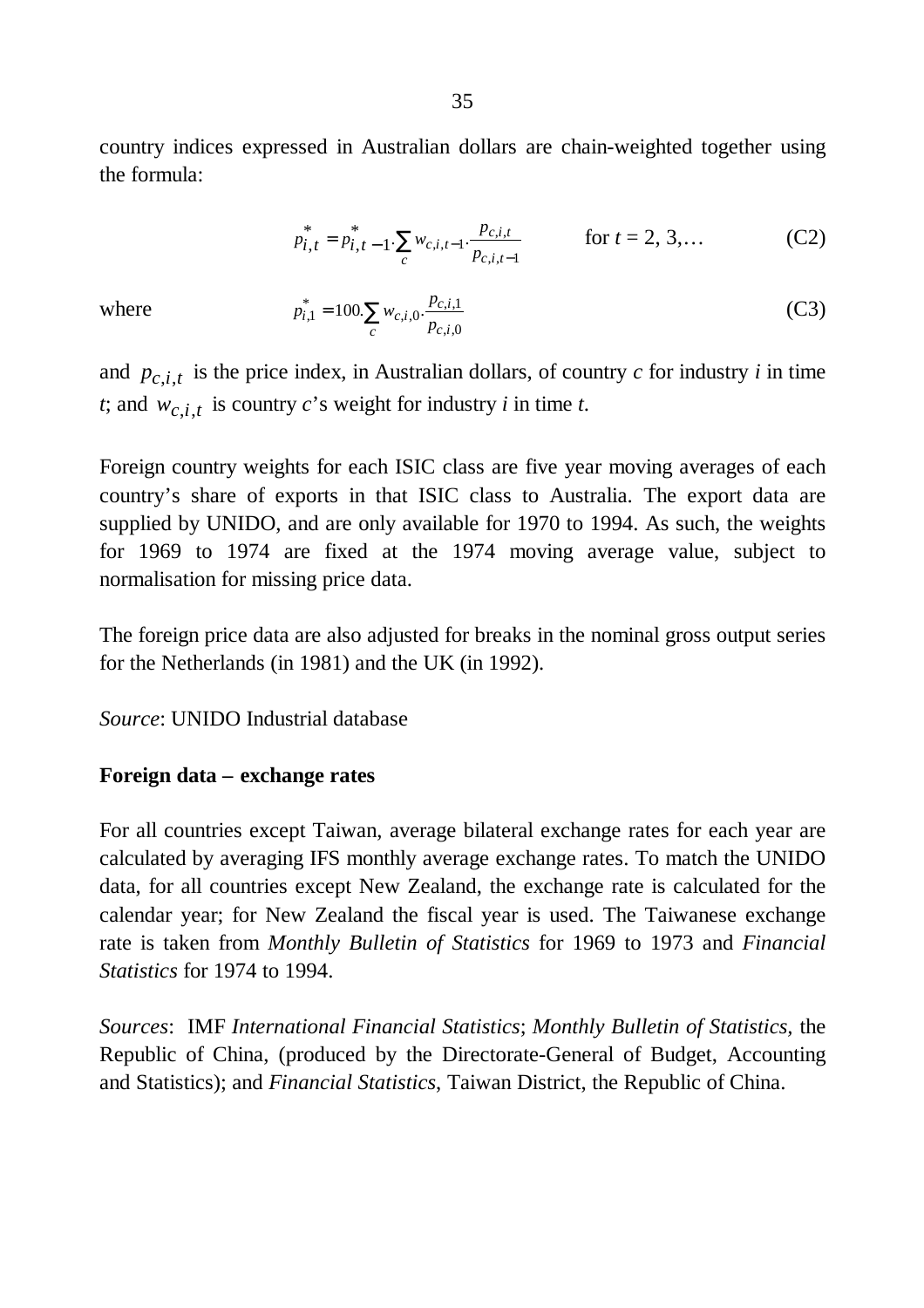country indices expressed in Australian dollars are chain-weighted together using the formula:

$$
p_{i,t}^* = p_{i,t-1}^* \cdot \sum_{c} w_{c,i,t-1} \cdot \frac{p_{c,i,t}}{p_{c,i,t-1}} \qquad \text{for } t = 2, 3, ... \qquad (C2)
$$

where

$$
p_{i,1}^* = 100 \sum_c w_{c,i,0} \cdot \frac{p_{c,i,1}}{p_{c,i,0}}
$$
 (C3)

and  $p_{c,i,t}$  is the price index, in Australian dollars, of country *c* for industry *i* in time *t*; and  $w_{c,i,t}$  is country *c*'s weight for industry *i* in time *t*.

Foreign country weights for each ISIC class are five year moving averages of each country's share of exports in that ISIC class to Australia. The export data are supplied by UNIDO, and are only available for 1970 to 1994. As such, the weights for 1969 to 1974 are fixed at the 1974 moving average value, subject to normalisation for missing price data.

The foreign price data are also adjusted for breaks in the nominal gross output series for the Netherlands (in 1981) and the UK (in 1992).

*Source*: UNIDO Industrial database

### **Foreign data – exchange rates**

For all countries except Taiwan, average bilateral exchange rates for each year are calculated by averaging IFS monthly average exchange rates. To match the UNIDO data, for all countries except New Zealand, the exchange rate is calculated for the calendar year; for New Zealand the fiscal year is used. The Taiwanese exchange rate is taken from *Monthly Bulletin of Statistics* for 1969 to 1973 and *Financial Statistics* for 1974 to 1994.

*Sources*: IMF *International Financial Statistics*; *Monthly Bulletin of Statistics,* the Republic of China, (produced by the Directorate-General of Budget, Accounting and Statistics); and *Financial Statistics*, Taiwan District, the Republic of China.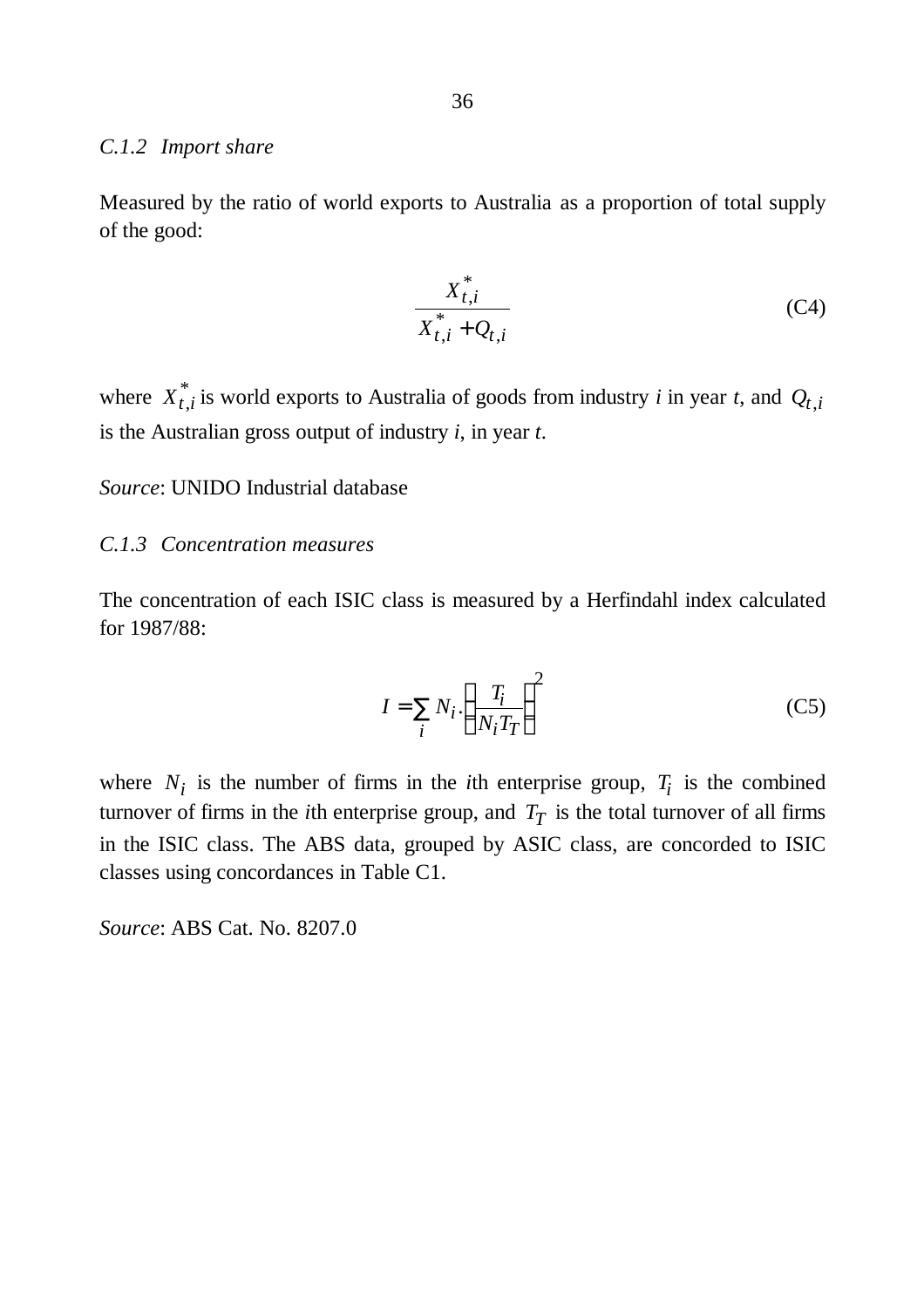#### *C.1.2 Import share*

Measured by the ratio of world exports to Australia as a proportion of total supply of the good:

$$
\frac{X_{t,i}^*}{X_{t,i}^* + Q_{t,i}}\tag{C4}
$$

where  $X_{t,i}^*$  is world exports to Australia of goods from industry *i* in year *t*, and  $Q_{t,i}$ is the Australian gross output of industry *i*, in year *t*.

*Source*: UNIDO Industrial database

#### *C.1.3 Concentration measures*

The concentration of each ISIC class is measured by a Herfindahl index calculated for 1987/88:

$$
I = \sum_{i} N_i \left(\frac{T_i}{N_i T_T}\right)^2
$$
 (C5)

where  $N_i$  is the number of firms in the *i*th enterprise group,  $T_i$  is the combined turnover of firms in the *i*th enterprise group, and  $T_T$  is the total turnover of all firms in the ISIC class. The ABS data, grouped by ASIC class, are concorded to ISIC classes using concordances in Table C1.

*Source*: ABS Cat. No. 8207.0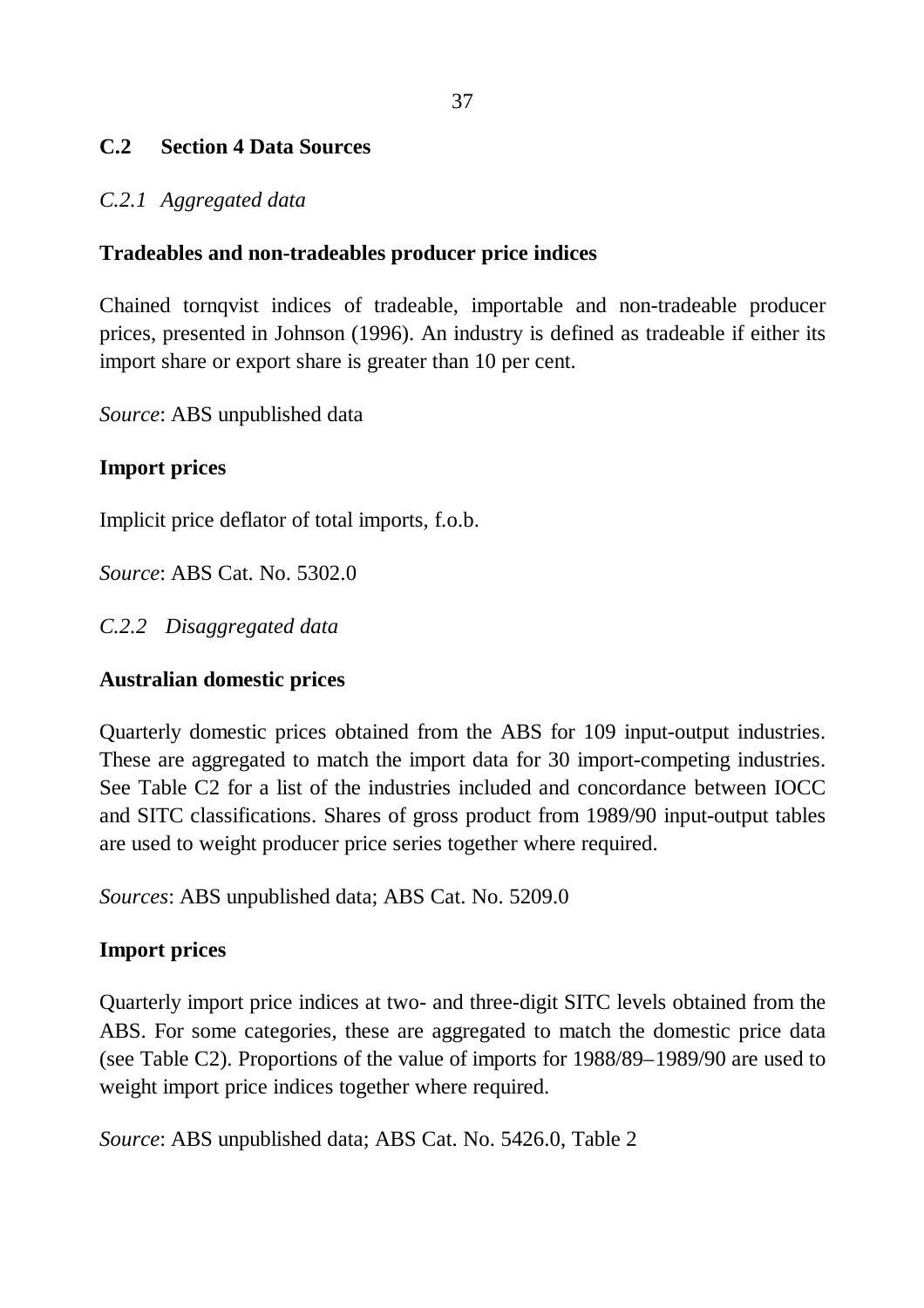# **C.2 Section 4 Data Sources**

### *C.2.1 Aggregated data*

## **Tradeables and non-tradeables producer price indices**

Chained tornqvist indices of tradeable, importable and non-tradeable producer prices, presented in Johnson (1996). An industry is defined as tradeable if either its import share or export share is greater than 10 per cent.

*Source*: ABS unpublished data

## **Import prices**

Implicit price deflator of total imports, f.o.b.

*Source*: ABS Cat. No. 5302.0

# *C.2.2 Disaggregated data*

# **Australian domestic prices**

Quarterly domestic prices obtained from the ABS for 109 input-output industries. These are aggregated to match the import data for 30 import-competing industries. See Table C2 for a list of the industries included and concordance between IOCC and SITC classifications. Shares of gross product from 1989/90 input-output tables are used to weight producer price series together where required.

*Sources*: ABS unpublished data; ABS Cat. No. 5209.0

# **Import prices**

Quarterly import price indices at two- and three-digit SITC levels obtained from the ABS. For some categories, these are aggregated to match the domestic price data (see Table C2). Proportions of the value of imports for 1988/89–1989/90 are used to weight import price indices together where required.

*Source*: ABS unpublished data; ABS Cat. No. 5426.0, Table 2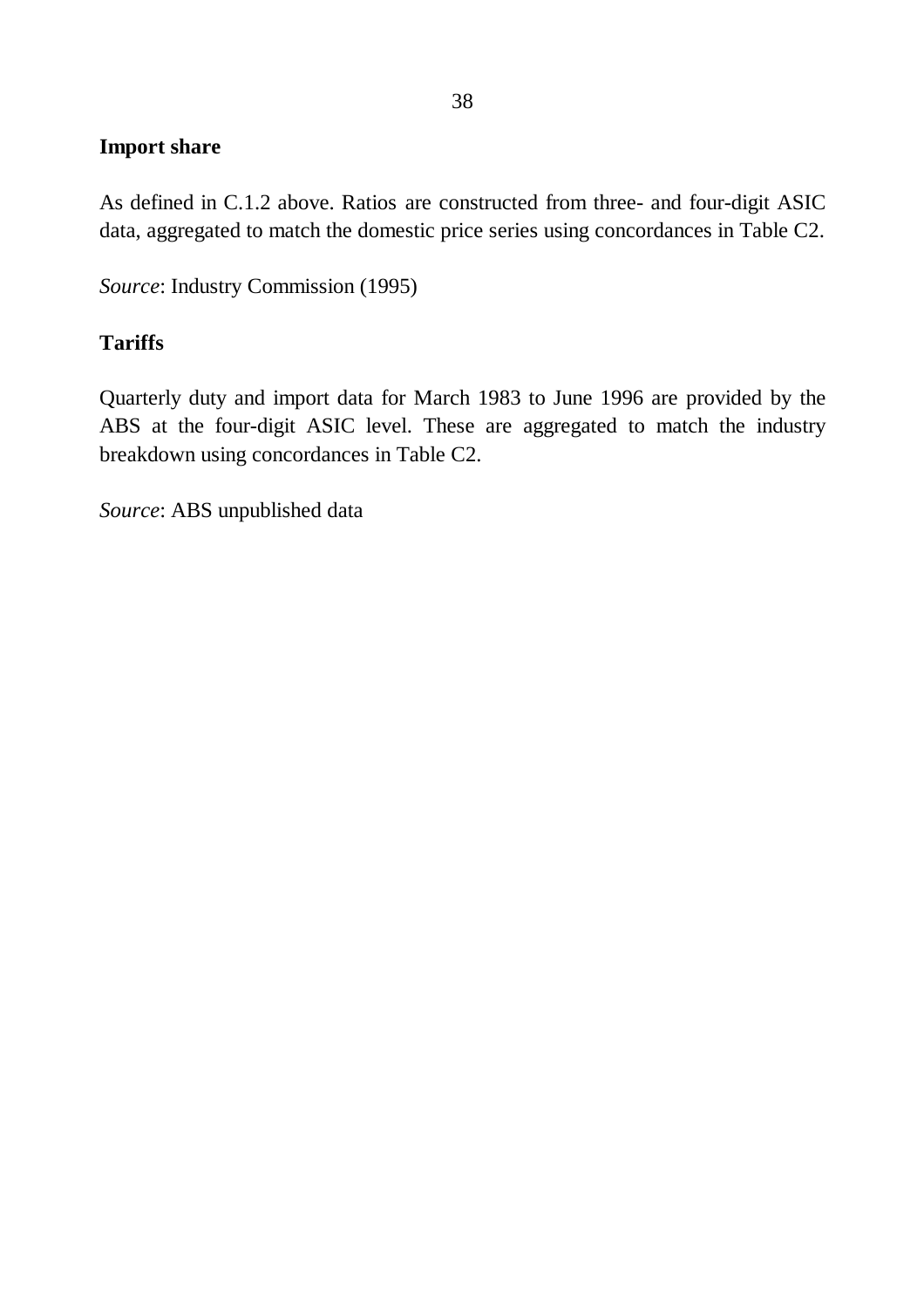### **Import share**

As defined in C.1.2 above. Ratios are constructed from three- and four-digit ASIC data, aggregated to match the domestic price series using concordances in Table C2.

*Source*: Industry Commission (1995)

### **Tariffs**

Quarterly duty and import data for March 1983 to June 1996 are provided by the ABS at the four-digit ASIC level. These are aggregated to match the industry breakdown using concordances in Table C2.

*Source*: ABS unpublished data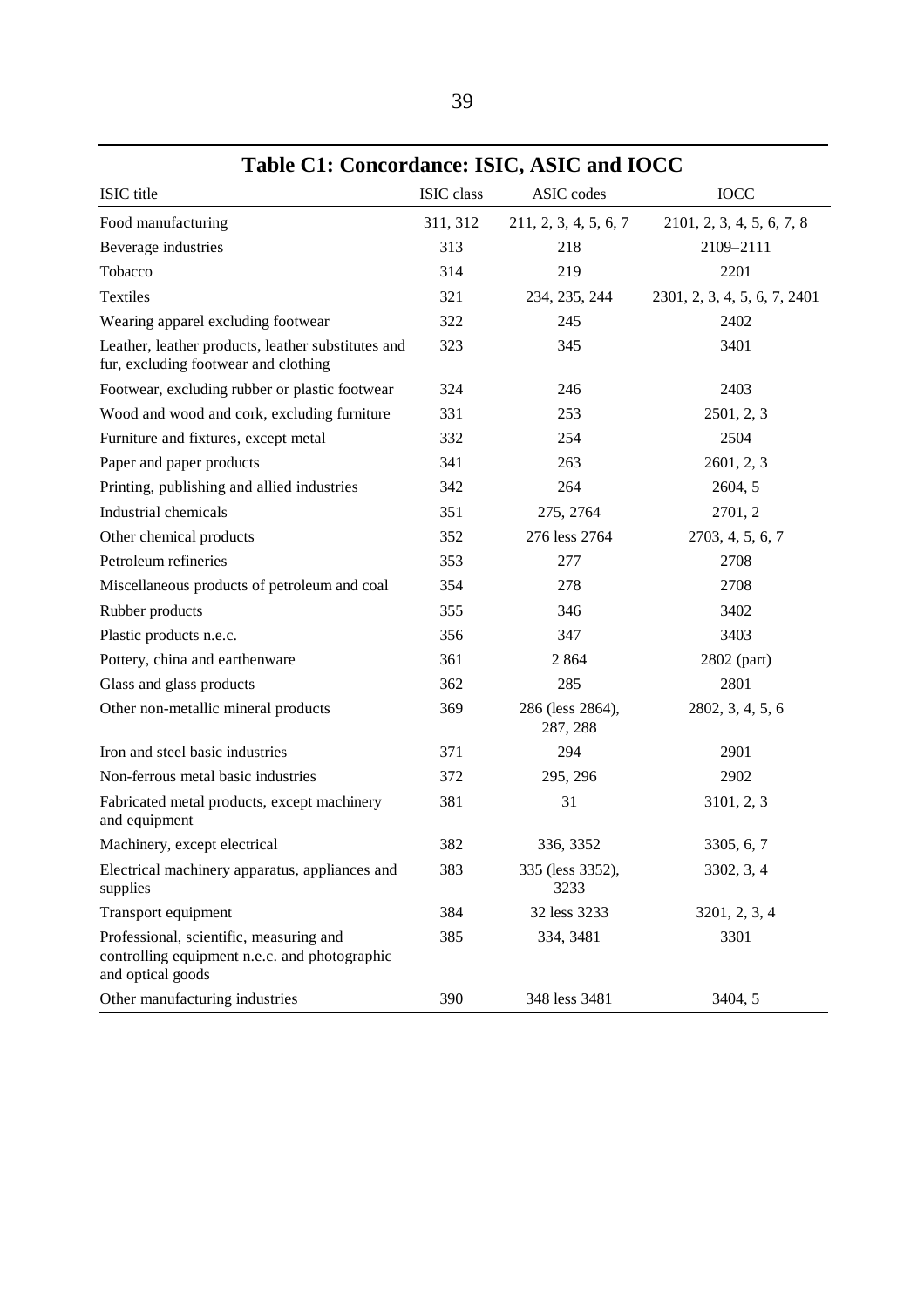|                                                                                                               | Table C1: Concordance: ISIC, ASIC and IOCC |                              |                              |  |  |  |  |
|---------------------------------------------------------------------------------------------------------------|--------------------------------------------|------------------------------|------------------------------|--|--|--|--|
| ISIC title                                                                                                    | ISIC class                                 | ASIC codes                   | <b>IOCC</b>                  |  |  |  |  |
| Food manufacturing                                                                                            | 311, 312                                   | 211, 2, 3, 4, 5, 6, 7        | 2101, 2, 3, 4, 5, 6, 7, 8    |  |  |  |  |
| Beverage industries                                                                                           | 313                                        | 218                          | 2109-2111                    |  |  |  |  |
| Tobacco                                                                                                       | 314                                        | 219                          | 2201                         |  |  |  |  |
| Textiles                                                                                                      | 321                                        | 234, 235, 244                | 2301, 2, 3, 4, 5, 6, 7, 2401 |  |  |  |  |
| Wearing apparel excluding footwear                                                                            | 322                                        | 245                          | 2402                         |  |  |  |  |
| Leather, leather products, leather substitutes and<br>fur, excluding footwear and clothing                    | 323                                        | 345                          | 3401                         |  |  |  |  |
| Footwear, excluding rubber or plastic footwear                                                                | 324                                        | 246                          | 2403                         |  |  |  |  |
| Wood and wood and cork, excluding furniture                                                                   | 331                                        | 253                          | 2501, 2, 3                   |  |  |  |  |
| Furniture and fixtures, except metal                                                                          | 332                                        | 254                          | 2504                         |  |  |  |  |
| Paper and paper products                                                                                      | 341                                        | 263                          | 2601, 2, 3                   |  |  |  |  |
| Printing, publishing and allied industries                                                                    | 342                                        | 264                          | 2604, 5                      |  |  |  |  |
| Industrial chemicals                                                                                          | 351                                        | 275, 2764                    | 2701, 2                      |  |  |  |  |
| Other chemical products                                                                                       | 352                                        | 276 less 2764                | 2703, 4, 5, 6, 7             |  |  |  |  |
| Petroleum refineries                                                                                          | 353                                        | 277                          | 2708                         |  |  |  |  |
| Miscellaneous products of petroleum and coal                                                                  | 354                                        | 278                          | 2708                         |  |  |  |  |
| Rubber products                                                                                               | 355                                        | 346                          | 3402                         |  |  |  |  |
| Plastic products n.e.c.                                                                                       | 356                                        | 347                          | 3403                         |  |  |  |  |
| Pottery, china and earthenware                                                                                | 361                                        | 2 8 6 4                      | 2802 (part)                  |  |  |  |  |
| Glass and glass products                                                                                      | 362                                        | 285                          | 2801                         |  |  |  |  |
| Other non-metallic mineral products                                                                           | 369                                        | 286 (less 2864),<br>287, 288 | 2802, 3, 4, 5, 6             |  |  |  |  |
| Iron and steel basic industries                                                                               | 371                                        | 294                          | 2901                         |  |  |  |  |
| Non-ferrous metal basic industries                                                                            | 372                                        | 295, 296                     | 2902                         |  |  |  |  |
| Fabricated metal products, except machinery<br>and equipment                                                  | 381                                        | 31                           | 3101, 2, 3                   |  |  |  |  |
| Machinery, except electrical                                                                                  | 382                                        | 336, 3352                    | 3305, 6, 7                   |  |  |  |  |
| Electrical machinery apparatus, appliances and<br>supplies                                                    | 383                                        | 335 (less 3352),<br>3233     | 3302, 3, 4                   |  |  |  |  |
| Transport equipment                                                                                           | 384                                        | 32 less 3233                 | 3201, 2, 3, 4                |  |  |  |  |
| Professional, scientific, measuring and<br>controlling equipment n.e.c. and photographic<br>and optical goods | 385                                        | 334, 3481                    | 3301                         |  |  |  |  |
| Other manufacturing industries                                                                                | 390                                        | 348 less 3481                | 3404, 5                      |  |  |  |  |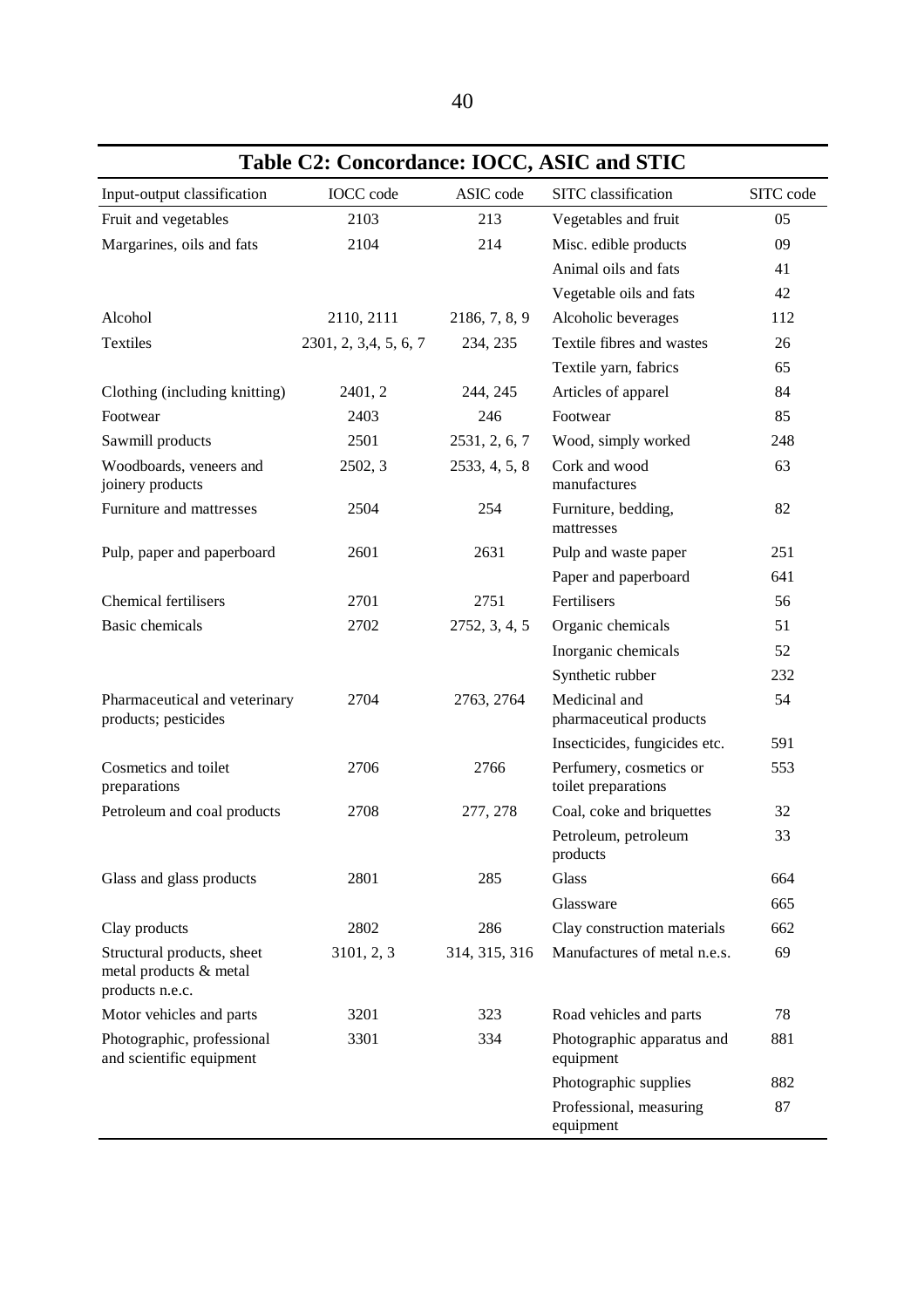| Table C2: Concordance: IOCC, ASIC and STIC                              |                       |               |                                                |           |  |  |  |
|-------------------------------------------------------------------------|-----------------------|---------------|------------------------------------------------|-----------|--|--|--|
| Input-output classification                                             | <b>IOCC</b> code      | ASIC code     | SITC classification                            | SITC code |  |  |  |
| Fruit and vegetables                                                    | 2103                  | 213           | Vegetables and fruit                           | 05        |  |  |  |
| Margarines, oils and fats                                               | 2104                  | 214           | Misc. edible products                          | 09        |  |  |  |
|                                                                         |                       |               | Animal oils and fats                           | 41        |  |  |  |
|                                                                         |                       |               | Vegetable oils and fats                        | 42        |  |  |  |
| Alcohol                                                                 | 2110, 2111            | 2186, 7, 8, 9 | Alcoholic beverages                            | 112       |  |  |  |
| <b>Textiles</b>                                                         | 2301, 2, 3,4, 5, 6, 7 | 234, 235      | Textile fibres and wastes                      | 26        |  |  |  |
|                                                                         |                       |               | Textile yarn, fabrics                          | 65        |  |  |  |
| Clothing (including knitting)                                           | 2401, 2               | 244, 245      | Articles of apparel                            | 84        |  |  |  |
| Footwear                                                                | 2403                  | 246           | Footwear                                       | 85        |  |  |  |
| Sawmill products                                                        | 2501                  | 2531, 2, 6, 7 | Wood, simply worked                            | 248       |  |  |  |
| Woodboards, veneers and<br>joinery products                             | 2502, 3               | 2533, 4, 5, 8 | Cork and wood<br>manufactures                  | 63        |  |  |  |
| Furniture and mattresses                                                | 2504                  | 254           | Furniture, bedding,<br>mattresses              | 82        |  |  |  |
| Pulp, paper and paperboard                                              | 2601                  | 2631          | Pulp and waste paper                           | 251       |  |  |  |
|                                                                         |                       |               | Paper and paperboard                           | 641       |  |  |  |
| Chemical fertilisers                                                    | 2701                  | 2751          | Fertilisers                                    | 56        |  |  |  |
| <b>Basic</b> chemicals                                                  | 2702                  | 2752, 3, 4, 5 | Organic chemicals                              | 51        |  |  |  |
|                                                                         |                       |               | Inorganic chemicals                            | 52        |  |  |  |
|                                                                         |                       |               | Synthetic rubber                               | 232       |  |  |  |
| Pharmaceutical and veterinary<br>products; pesticides                   | 2704                  | 2763, 2764    | Medicinal and<br>pharmaceutical products       | 54        |  |  |  |
|                                                                         |                       |               | Insecticides, fungicides etc.                  | 591       |  |  |  |
| Cosmetics and toilet<br>preparations                                    | 2706                  | 2766          | Perfumery, cosmetics or<br>toilet preparations | 553       |  |  |  |
| Petroleum and coal products                                             | 2708                  | 277, 278      | Coal, coke and briquettes                      | 32        |  |  |  |
|                                                                         |                       |               | Petroleum, petroleum<br>products               | 33        |  |  |  |
| Glass and glass products                                                | 2801                  | 285           | Glass                                          | 664       |  |  |  |
|                                                                         |                       |               | Glassware                                      | 665       |  |  |  |
| Clay products                                                           | 2802                  | 286           | Clay construction materials                    | 662       |  |  |  |
| Structural products, sheet<br>metal products & metal<br>products n.e.c. | 3101, 2, 3            | 314, 315, 316 | Manufactures of metal n.e.s.                   | 69        |  |  |  |
| Motor vehicles and parts                                                | 3201                  | 323           | Road vehicles and parts                        | 78        |  |  |  |
| Photographic, professional<br>and scientific equipment                  | 3301                  | 334           | Photographic apparatus and<br>equipment        | 881       |  |  |  |
|                                                                         |                       |               | Photographic supplies                          | 882       |  |  |  |
|                                                                         |                       |               | Professional, measuring<br>equipment           | 87        |  |  |  |

**Table C2: Concordance: IOCC, ASIC and STIC**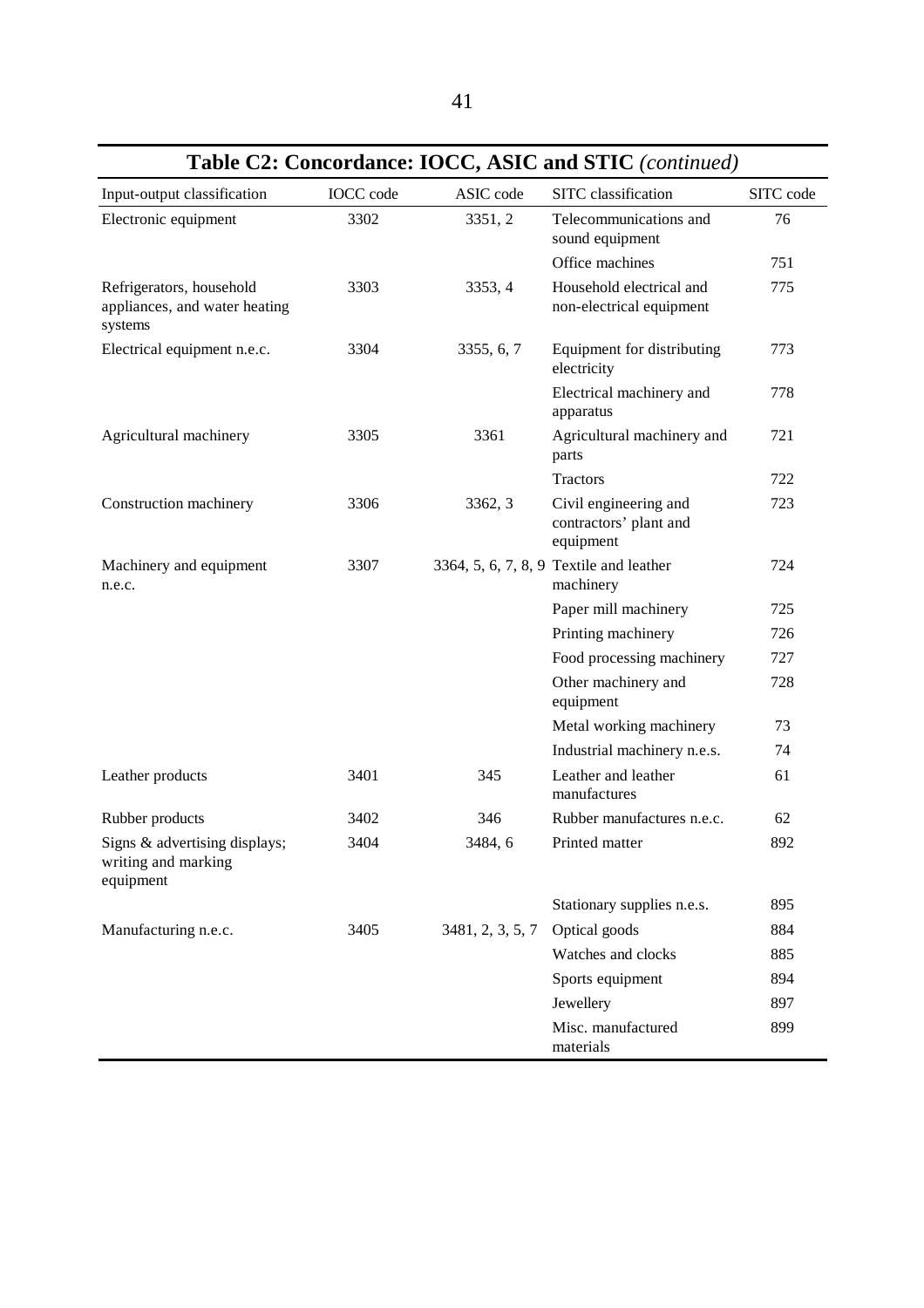|                                                                      |                  |                  | <b>Fabit C2. Concordance. FOCC, ASIC and STIC</b> ( <i>committed</i> ) |           |
|----------------------------------------------------------------------|------------------|------------------|------------------------------------------------------------------------|-----------|
| Input-output classification                                          | <b>IOCC</b> code | ASIC code        | SITC classification                                                    | SITC code |
| Electronic equipment                                                 | 3302             | 3351, 2          | Telecommunications and<br>sound equipment                              | 76        |
|                                                                      |                  |                  | Office machines                                                        | 751       |
| Refrigerators, household<br>appliances, and water heating<br>systems | 3303             | 3353, 4          | Household electrical and<br>non-electrical equipment                   | 775       |
| Electrical equipment n.e.c.                                          | 3304             | 3355, 6, 7       | Equipment for distributing<br>electricity                              | 773       |
|                                                                      |                  |                  | Electrical machinery and<br>apparatus                                  | 778       |
| Agricultural machinery                                               | 3305             | 3361             | Agricultural machinery and<br>parts                                    | 721       |
|                                                                      |                  |                  | <b>Tractors</b>                                                        | 722       |
| Construction machinery                                               | 3306             | 3362, 3          | Civil engineering and<br>contractors' plant and<br>equipment           | 723       |
| Machinery and equipment<br>n.e.c.                                    | 3307             |                  | 3364, 5, 6, 7, 8, 9 Textile and leather<br>machinery                   | 724       |
|                                                                      |                  |                  | Paper mill machinery                                                   | 725       |
|                                                                      |                  |                  | Printing machinery                                                     | 726       |
|                                                                      |                  |                  | Food processing machinery                                              | 727       |
|                                                                      |                  |                  | Other machinery and<br>equipment                                       | 728       |
|                                                                      |                  |                  | Metal working machinery                                                | 73        |
|                                                                      |                  |                  | Industrial machinery n.e.s.                                            | 74        |
| Leather products                                                     | 3401             | 345              | Leather and leather<br>manufactures                                    | 61        |
| Rubber products                                                      | 3402             | 346              | Rubber manufactures n.e.c.                                             | 62        |
| Signs & advertising displays;<br>writing and marking<br>equipment    | 3404             | 3484, 6          | Printed matter                                                         | 892       |
|                                                                      |                  |                  | Stationary supplies n.e.s.                                             | 895       |
| Manufacturing n.e.c.                                                 | 3405             | 3481, 2, 3, 5, 7 | Optical goods                                                          | 884       |
|                                                                      |                  |                  | Watches and clocks                                                     | 885       |
|                                                                      |                  |                  | Sports equipment                                                       | 894       |
|                                                                      |                  |                  | Jewellery                                                              | 897       |
|                                                                      |                  |                  | Misc. manufactured<br>materials                                        | 899       |

**Table C2: Concordance: IOCC, ASIC and STIC** *(continued)*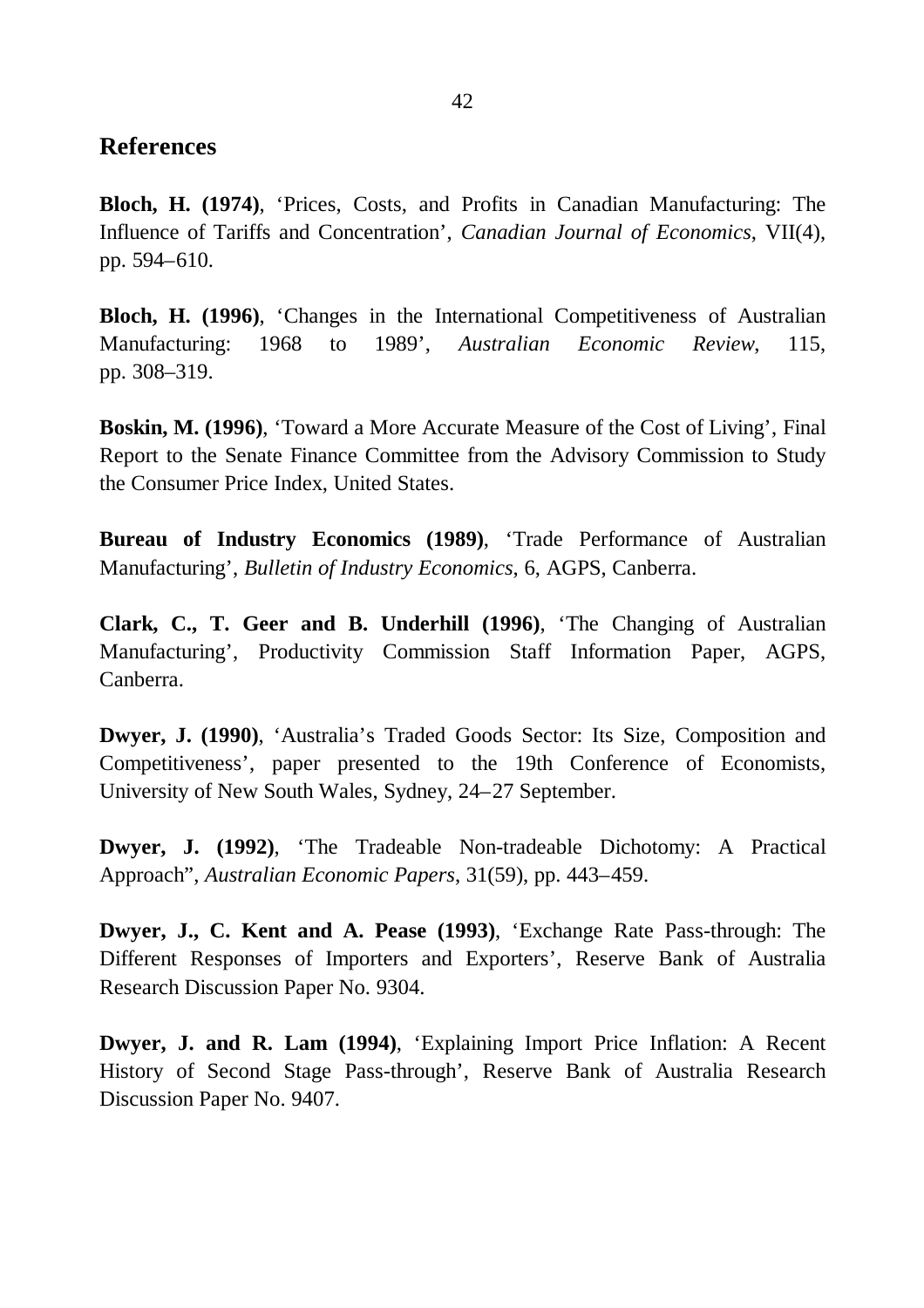### **References**

**Bloch, H. (1974)**, 'Prices, Costs, and Profits in Canadian Manufacturing: The Influence of Tariffs and Concentration', *Canadian Journal of Economics*, VII(4), pp. 594–610.

**Bloch, H. (1996).** 'Changes in the International Competitiveness of Australian Manufacturing: 1968 to 1989', *Australian Economic Review*, 115, pp. 308–319.

**Boskin, M. (1996)**, 'Toward a More Accurate Measure of the Cost of Living', Final Report to the Senate Finance Committee from the Advisory Commission to Study the Consumer Price Index, United States.

**Bureau of Industry Economics (1989)**, 'Trade Performance of Australian Manufacturing', *Bulletin of Industry Economics*, 6, AGPS, Canberra.

**Clark, C., T. Geer and B. Underhill (1996)**, 'The Changing of Australian Manufacturing', Productivity Commission Staff Information Paper, AGPS, Canberra.

**Dwyer, J. (1990)**, 'Australia's Traded Goods Sector: Its Size, Composition and Competitiveness', paper presented to the 19th Conference of Economists, University of New South Wales, Sydney, 24–27 September.

**Dwyer, J. (1992)**, 'The Tradeable Non-tradeable Dichotomy: A Practical Approach", *Australian Economic Papers*, 31(59), pp. 443–459.

**Dwyer, J., C. Kent and A. Pease (1993)**, 'Exchange Rate Pass-through: The Different Responses of Importers and Exporters', Reserve Bank of Australia Research Discussion Paper No. 9304.

**Dwyer, J. and R. Lam (1994)**, 'Explaining Import Price Inflation: A Recent History of Second Stage Pass-through', Reserve Bank of Australia Research Discussion Paper No. 9407.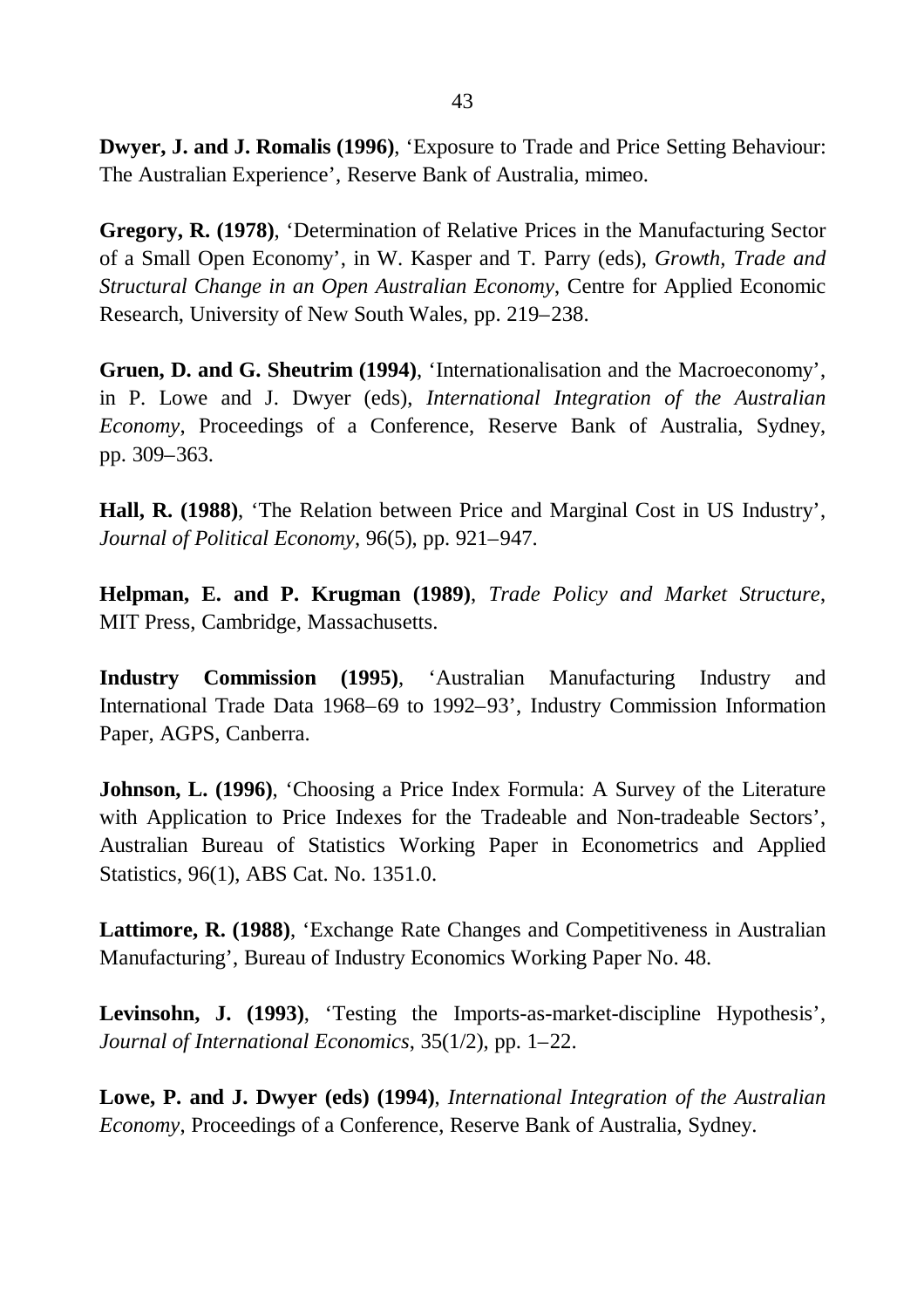**Dwyer, J. and J. Romalis (1996)**, 'Exposure to Trade and Price Setting Behaviour: The Australian Experience', Reserve Bank of Australia, mimeo.

**Gregory, R. (1978)**, 'Determination of Relative Prices in the Manufacturing Sector of a Small Open Economy', in W. Kasper and T. Parry (eds), *Growth, Trade and Structural Change in an Open Australian Economy*, Centre for Applied Economic Research, University of New South Wales, pp. 219–238.

**Gruen, D. and G. Sheutrim (1994)**, 'Internationalisation and the Macroeconomy', in P. Lowe and J. Dwyer (eds), *International Integration of the Australian Economy*, Proceedings of a Conference, Reserve Bank of Australia, Sydney, pp. 309–363.

**Hall, R. (1988)**, 'The Relation between Price and Marginal Cost in US Industry', *Journal of Political Economy*, 96(5), pp. 921–947.

**Helpman, E. and P. Krugman (1989)**, *Trade Policy and Market Structure*, MIT Press, Cambridge, Massachusetts.

**Industry Commission (1995)**, 'Australian Manufacturing Industry and International Trade Data 1968–69 to 1992–93', Industry Commission Information Paper, AGPS, Canberra.

**Johnson, L. (1996)**, 'Choosing a Price Index Formula: A Survey of the Literature with Application to Price Indexes for the Tradeable and Non-tradeable Sectors', Australian Bureau of Statistics Working Paper in Econometrics and Applied Statistics, 96(1), ABS Cat. No. 1351.0.

**Lattimore, R. (1988)**, 'Exchange Rate Changes and Competitiveness in Australian Manufacturing', Bureau of Industry Economics Working Paper No. 48.

**Levinsohn, J. (1993)**, 'Testing the Imports-as-market-discipline Hypothesis', *Journal of International Economics*, 35(1/2), pp. 1–22.

**Lowe, P. and J. Dwyer (eds) (1994)**, *International Integration of the Australian Economy*, Proceedings of a Conference, Reserve Bank of Australia, Sydney.